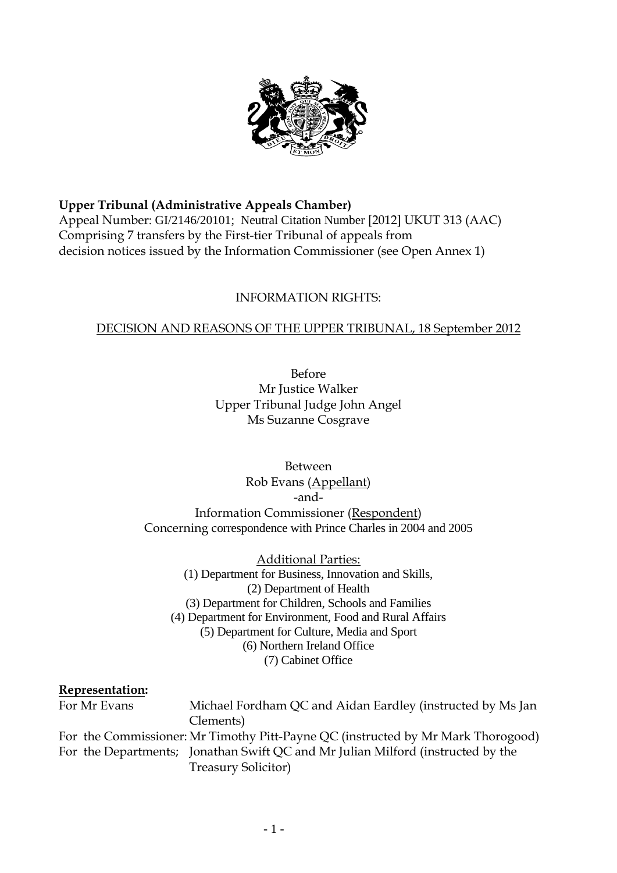

#### **Upper Tribunal (Administrative Appeals Chamber)**

Appeal Number: GI/2146/20101; Neutral Citation Number [2012] UKUT 313 (AAC) Comprising 7 transfers by the First-tier Tribunal of appeals from decision notices issued by the Information Commissioner (see Open Annex 1)

#### INFORMATION RIGHTS:

#### DECISION AND REASONS OF THE UPPER TRIBUNAL, 18 September 2012

Before Mr Justice Walker Upper Tribunal Judge John Angel Ms Suzanne Cosgrave

Between Rob Evans (Appellant) -and-Information Commissioner (Respondent) Concerning correspondence with Prince Charles in 2004 and 2005

(2) Department of Health Additional Parties: (1) Department for Business, Innovation and Skills, (3) Department for Children, Schools and Families (4) Department for Environment, Food and Rural Affairs (5) Department for Culture, Media and Sport (6) Northern Ireland Office (7) Cabinet Office

#### **Representation:**

For Mr Evans Michael Fordham QC and Aidan Eardley (instructed by Ms Jan Clements) For the Commissioner: Mr Timothy Pitt-Payne QC (instructed by Mr Mark Thorogood) For the Departments; Jonathan Swift QC and Mr Julian Milford (instructed by the Treasury Solicitor)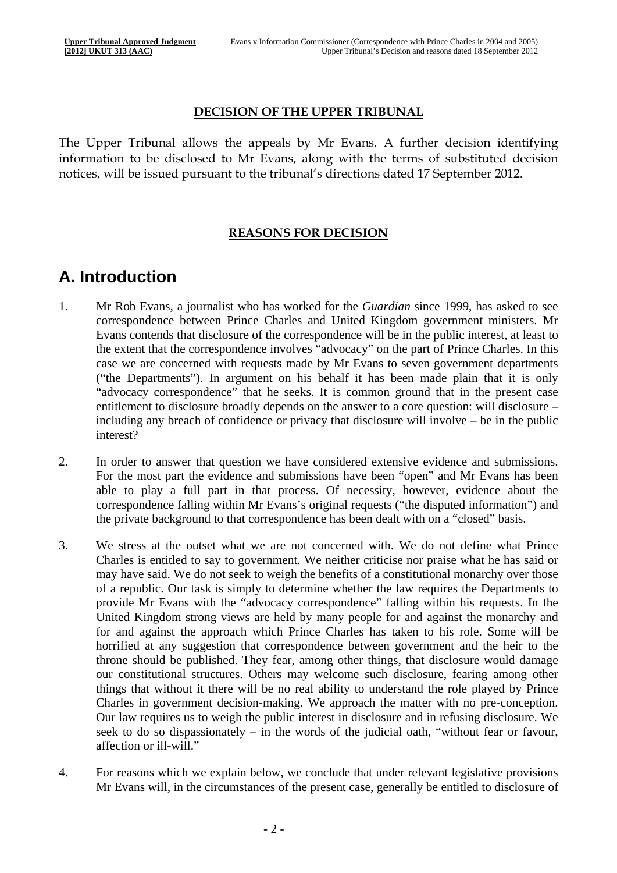#### **DECISION OF THE UPPER TRIBUNAL**

The Upper Tribunal allows the appeals by Mr Evans. A further decision identifying information to be disclosed to Mr Evans, along with the terms of substituted decision notices, will be issued pursuant to the tribunal's directions dated 17 September 2012.

#### **REASONS FOR DECISION**

### **A. Introduction**

- 1. Mr Rob Evans, a journalist who has worked for the *Guardian* since 1999, has asked to see correspondence between Prince Charles and United Kingdom government ministers. Mr Evans contends that disclosure of the correspondence will be in the public interest, at least to the extent that the correspondence involves "advocacy" on the part of Prince Charles. In this case we are concerned with requests made by Mr Evans to seven government departments ("the Departments"). In argument on his behalf it has been made plain that it is only "advocacy correspondence" that he seeks. It is common ground that in the present case entitlement to disclosure broadly depends on the answer to a core question: will disclosure – including any breach of confidence or privacy that disclosure will involve – be in the public interest?
- 2. In order to answer that question we have considered extensive evidence and submissions. For the most part the evidence and submissions have been "open" and Mr Evans has been able to play a full part in that process. Of necessity, however, evidence about the correspondence falling within Mr Evans's original requests ("the disputed information") and the private background to that correspondence has been dealt with on a "closed" basis.
- 3. We stress at the outset what we are not concerned with. We do not define what Prince Charles is entitled to say to government. We neither criticise nor praise what he has said or may have said. We do not seek to weigh the benefits of a constitutional monarchy over those of a republic. Our task is simply to determine whether the law requires the Departments to provide Mr Evans with the "advocacy correspondence" falling within his requests. In the United Kingdom strong views are held by many people for and against the monarchy and for and against the approach which Prince Charles has taken to his role. Some will be horrified at any suggestion that correspondence between government and the heir to the throne should be published. They fear, among other things, that disclosure would damage our constitutional structures. Others may welcome such disclosure, fearing among other things that without it there will be no real ability to understand the role played by Prince Charles in government decision-making. We approach the matter with no pre-conception. Our law requires us to weigh the public interest in disclosure and in refusing disclosure. We seek to do so dispassionately – in the words of the judicial oath, "without fear or favour, affection or ill-will."
- 4. For reasons which we explain below, we conclude that under relevant legislative provisions Mr Evans will, in the circumstances of the present case, generally be entitled to disclosure of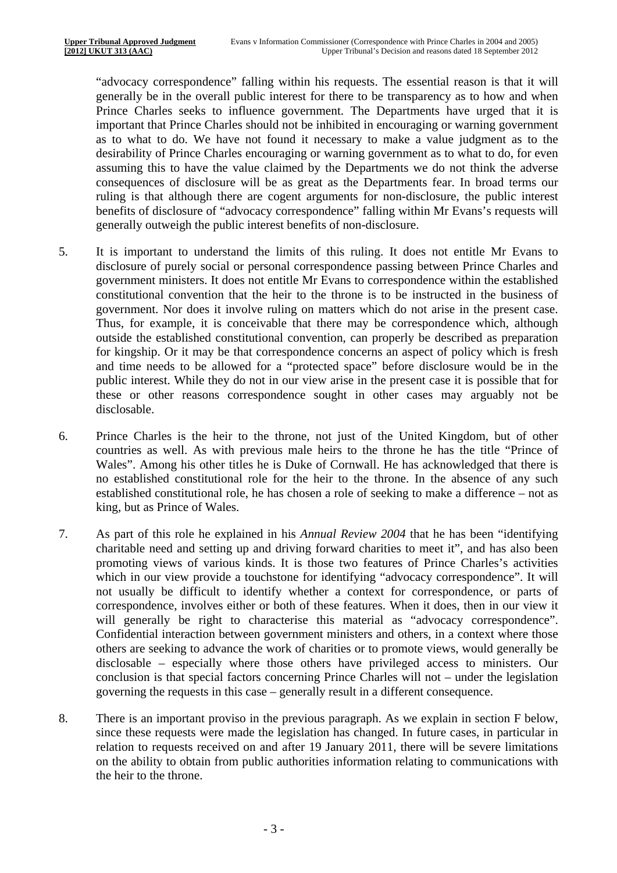"advocacy correspondence" falling within his requests. The essential reason is that it will generally be in the overall public interest for there to be transparency as to how and when Prince Charles seeks to influence government. The Departments have urged that it is important that Prince Charles should not be inhibited in encouraging or warning government as to what to do. We have not found it necessary to make a value judgment as to the desirability of Prince Charles encouraging or warning government as to what to do, for even assuming this to have the value claimed by the Departments we do not think the adverse consequences of disclosure will be as great as the Departments fear. In broad terms our ruling is that although there are cogent arguments for non-disclosure, the public interest benefits of disclosure of "advocacy correspondence" falling within Mr Evans's requests will generally outweigh the public interest benefits of non-disclosure.

- 5. It is important to understand the limits of this ruling. It does not entitle Mr Evans to disclosure of purely social or personal correspondence passing between Prince Charles and government ministers. It does not entitle Mr Evans to correspondence within the established constitutional convention that the heir to the throne is to be instructed in the business of government. Nor does it involve ruling on matters which do not arise in the present case. Thus, for example, it is conceivable that there may be correspondence which, although outside the established constitutional convention, can properly be described as preparation for kingship. Or it may be that correspondence concerns an aspect of policy which is fresh and time needs to be allowed for a "protected space" before disclosure would be in the public interest. While they do not in our view arise in the present case it is possible that for these or other reasons correspondence sought in other cases may arguably not be disclosable.
- 6. Prince Charles is the heir to the throne, not just of the United Kingdom, but of other countries as well. As with previous male heirs to the throne he has the title "Prince of Wales". Among his other titles he is Duke of Cornwall. He has acknowledged that there is no established constitutional role for the heir to the throne. In the absence of any such established constitutional role, he has chosen a role of seeking to make a difference – not as king, but as Prince of Wales.
- 7. As part of this role he explained in his *Annual Review 2004* that he has been "identifying charitable need and setting up and driving forward charities to meet it", and has also been promoting views of various kinds. It is those two features of Prince Charles's activities which in our view provide a touchstone for identifying "advocacy correspondence". It will not usually be difficult to identify whether a context for correspondence, or parts of correspondence, involves either or both of these features. When it does, then in our view it will generally be right to characterise this material as "advocacy correspondence". Confidential interaction between government ministers and others, in a context where those others are seeking to advance the work of charities or to promote views, would generally be disclosable – especially where those others have privileged access to ministers. Our conclusion is that special factors concerning Prince Charles will not – under the legislation governing the requests in this case – generally result in a different consequence.
- 8. There is an important proviso in the previous paragraph. As we explain in section F below, since these requests were made the legislation has changed. In future cases, in particular in relation to requests received on and after 19 January 2011, there will be severe limitations on the ability to obtain from public authorities information relating to communications with the heir to the throne.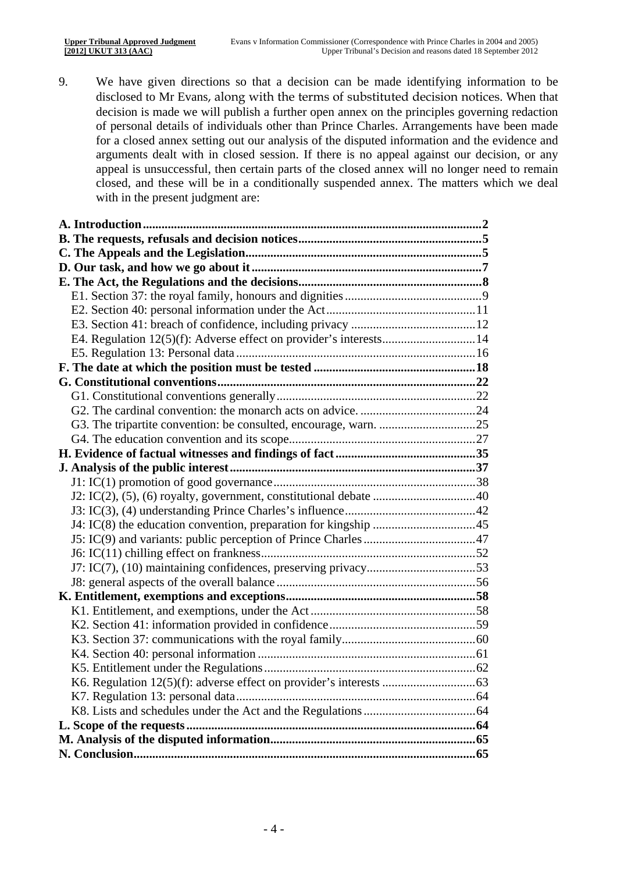9. We have given directions so that a decision can be made identifying information to be disclosed to Mr Evans, along with the terms of substituted decision notices. When that decision is made we will publish a further open annex on the principles governing redaction of personal details of individuals other than Prince Charles. Arrangements have been made for a closed annex setting out our analysis of the disputed information and the evidence and arguments dealt with in closed session. If there is no appeal against our decision, or any appeal is unsuccessful, then certain parts of the closed annex will no longer need to remain closed, and these will be in a conditionally suspended annex. The matters which we deal with in the present judgment are: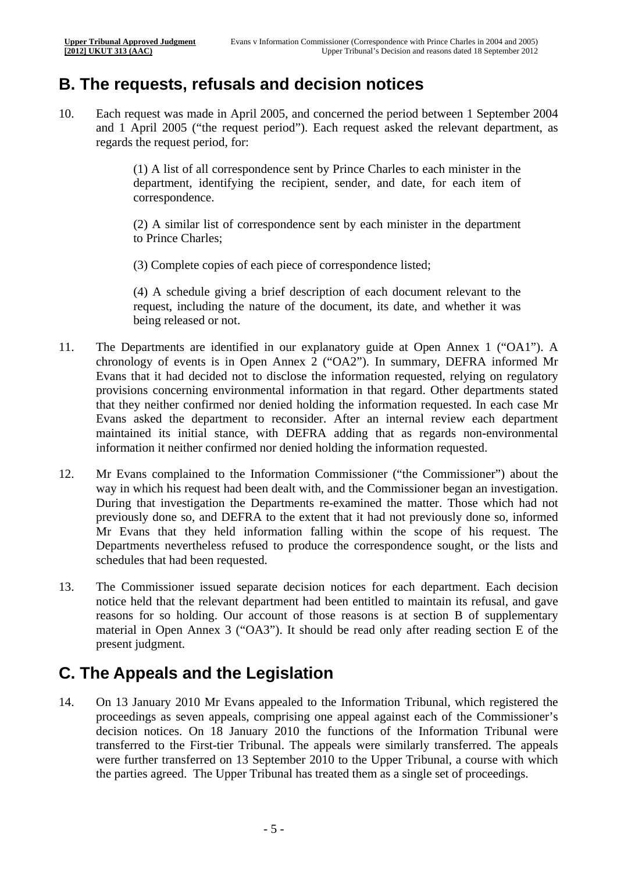## **B. The requests, refusals and decision notices**

10. Each request was made in April 2005, and concerned the period between 1 September 2004 and 1 April 2005 ("the request period"). Each request asked the relevant department, as regards the request period, for:

> (1) A list of all correspondence sent by Prince Charles to each minister in the department, identifying the recipient, sender, and date, for each item of correspondence.

> to Prince Charles: (2) A similar list of correspondence sent by each minister in the department

(3) Complete copies of each piece of correspondence listed;

(4) A schedule giving a brief description of each document relevant to the request, including the nature of the document, its date, and whether it was being released or not.

- 11. The Departments are identified in our explanatory guide at Open Annex 1 ("OA1"). A chronology of events is in Open Annex 2 ("OA2"). In summary, DEFRA informed Mr Evans that it had decided not to disclose the information requested, relying on regulatory provisions concerning environmental information in that regard. Other departments stated that they neither confirmed nor denied holding the information requested. In each case Mr Evans asked the department to reconsider. After an internal review each department maintained its initial stance, with DEFRA adding that as regards non-environmental information it neither confirmed nor denied holding the information requested.
- 12. Mr Evans complained to the Information Commissioner ("the Commissioner") about the way in which his request had been dealt with, and the Commissioner began an investigation. During that investigation the Departments re-examined the matter. Those which had not previously done so, and DEFRA to the extent that it had not previously done so, informed Mr Evans that they held information falling within the scope of his request. The Departments nevertheless refused to produce the correspondence sought, or the lists and schedules that had been requested.
- 13. The Commissioner issued separate decision notices for each department. Each decision notice held that the relevant department had been entitled to maintain its refusal, and gave reasons for so holding. Our account of those reasons is at section B of supplementary material in Open Annex 3 ("OA3"). It should be read only after reading section E of the present judgment.

## **C. The Appeals and the Legislation**

14. On 13 January 2010 Mr Evans appealed to the Information Tribunal, which registered the proceedings as seven appeals, comprising one appeal against each of the Commissioner's decision notices. On 18 January 2010 the functions of the Information Tribunal were transferred to the First-tier Tribunal. The appeals were similarly transferred. The appeals were further transferred on 13 September 2010 to the Upper Tribunal, a course with which the parties agreed. The Upper Tribunal has treated them as a single set of proceedings.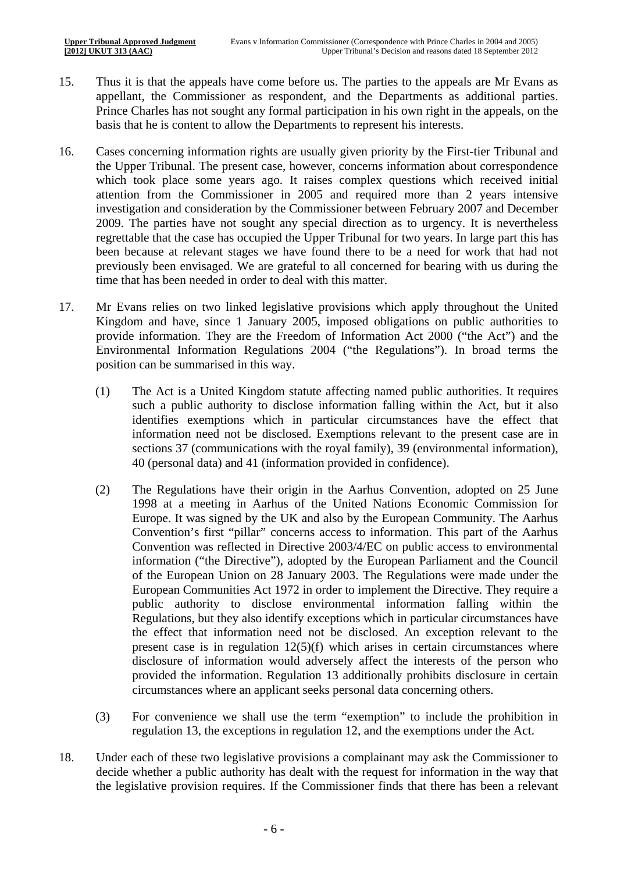- 15. Thus it is that the appeals have come before us. The parties to the appeals are Mr Evans as appellant, the Commissioner as respondent, and the Departments as additional parties. Prince Charles has not sought any formal participation in his own right in the appeals, on the basis that he is content to allow the Departments to represent his interests.
- 16. Cases concerning information rights are usually given priority by the First-tier Tribunal and the Upper Tribunal. The present case, however, concerns information about correspondence which took place some years ago. It raises complex questions which received initial attention from the Commissioner in 2005 and required more than 2 years intensive investigation and consideration by the Commissioner between February 2007 and December 2009. The parties have not sought any special direction as to urgency. It is nevertheless regrettable that the case has occupied the Upper Tribunal for two years. In large part this has been because at relevant stages we have found there to be a need for work that had not previously been envisaged. We are grateful to all concerned for bearing with us during the time that has been needed in order to deal with this matter.
- 17. Mr Evans relies on two linked legislative provisions which apply throughout the United Kingdom and have, since 1 January 2005, imposed obligations on public authorities to provide information. They are the Freedom of Information Act 2000 ("the Act") and the Environmental Information Regulations 2004 ("the Regulations"). In broad terms the position can be summarised in this way.
	- (1) The Act is a United Kingdom statute affecting named public authorities. It requires such a public authority to disclose information falling within the Act, but it also identifies exemptions which in particular circumstances have the effect that information need not be disclosed. Exemptions relevant to the present case are in sections 37 (communications with the royal family), 39 (environmental information), 40 (personal data) and 41 (information provided in confidence).
	- (2) The Regulations have their origin in the Aarhus Convention, adopted on 25 June 1998 at a meeting in Aarhus of the United Nations Economic Commission for Europe. It was signed by the UK and also by the European Community. The Aarhus Convention's first "pillar" concerns access to information. This part of the Aarhus Convention was reflected in Directive 2003/4/EC on public access to environmental information ("the Directive"), adopted by the European Parliament and the Council of the European Union on 28 January 2003. The Regulations were made under the European Communities Act 1972 in order to implement the Directive. They require a public authority to disclose environmental information falling within the Regulations, but they also identify exceptions which in particular circumstances have the effect that information need not be disclosed. An exception relevant to the present case is in regulation 12(5)(f) which arises in certain circumstances where disclosure of information would adversely affect the interests of the person who provided the information. Regulation 13 additionally prohibits disclosure in certain circumstances where an applicant seeks personal data concerning others.
	- (3) For convenience we shall use the term "exemption" to include the prohibition in regulation 13, the exceptions in regulation 12, and the exemptions under the Act.
- 18. Under each of these two legislative provisions a complainant may ask the Commissioner to decide whether a public authority has dealt with the request for information in the way that the legislative provision requires. If the Commissioner finds that there has been a relevant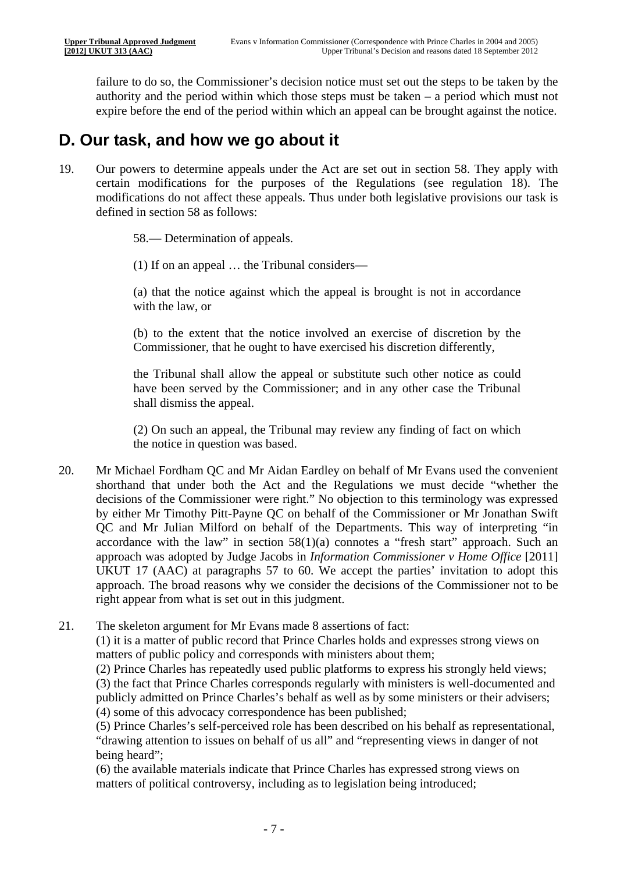failure to do so, the Commissioner's decision notice must set out the steps to be taken by the authority and the period within which those steps must be taken – a period which must not expire before the end of the period within which an appeal can be brought against the notice.

## **D. Our task, and how we go about it**

19. Our powers to determine appeals under the Act are set out in section 58. They apply with certain modifications for the purposes of the Regulations (see regulation 18). The modifications do not affect these appeals. Thus under both legislative provisions our task is defined in section 58 as follows:

58.— Determination of appeals.

(1) If on an appeal … the Tribunal considers—

(a) that the notice against which the appeal is brought is not in accordance with the law, or

(b) to the extent that the notice involved an exercise of discretion by the Commissioner, that he ought to have exercised his discretion differently,

the Tribunal shall allow the appeal or substitute such other notice as could have been served by the Commissioner; and in any other case the Tribunal shall dismiss the appeal.

(2) On such an appeal, the Tribunal may review any finding of fact on which the notice in question was based.

- 20. Mr Michael Fordham QC and Mr Aidan Eardley on behalf of Mr Evans used the convenient shorthand that under both the Act and the Regulations we must decide "whether the decisions of the Commissioner were right." No objection to this terminology was expressed by either Mr Timothy Pitt-Payne QC on behalf of the Commissioner or Mr Jonathan Swift QC and Mr Julian Milford on behalf of the Departments. This way of interpreting "in accordance with the law" in section  $58(1)(a)$  connotes a "fresh start" approach. Such an approach was adopted by Judge Jacobs in *Information Commissioner v Home Office* [2011] UKUT 17 (AAC) at paragraphs 57 to 60. We accept the parties' invitation to adopt this approach. The broad reasons why we consider the decisions of the Commissioner not to be right appear from what is set out in this judgment.
- 21. The skeleton argument for Mr Evans made 8 assertions of fact: (1) it is a matter of public record that Prince Charles holds and expresses strong views on

matters of public policy and corresponds with ministers about them;

(2) Prince Charles has repeatedly used public platforms to express his strongly held views; (3) the fact that Prince Charles corresponds regularly with ministers is well-documented and publicly admitted on Prince Charles's behalf as well as by some ministers or their advisers; (4) some of this advocacy correspondence has been published;

(5) Prince Charles's self-perceived role has been described on his behalf as representational, "drawing attention to issues on behalf of us all" and "representing views in danger of not being heard";

(6) the available materials indicate that Prince Charles has expressed strong views on matters of political controversy, including as to legislation being introduced;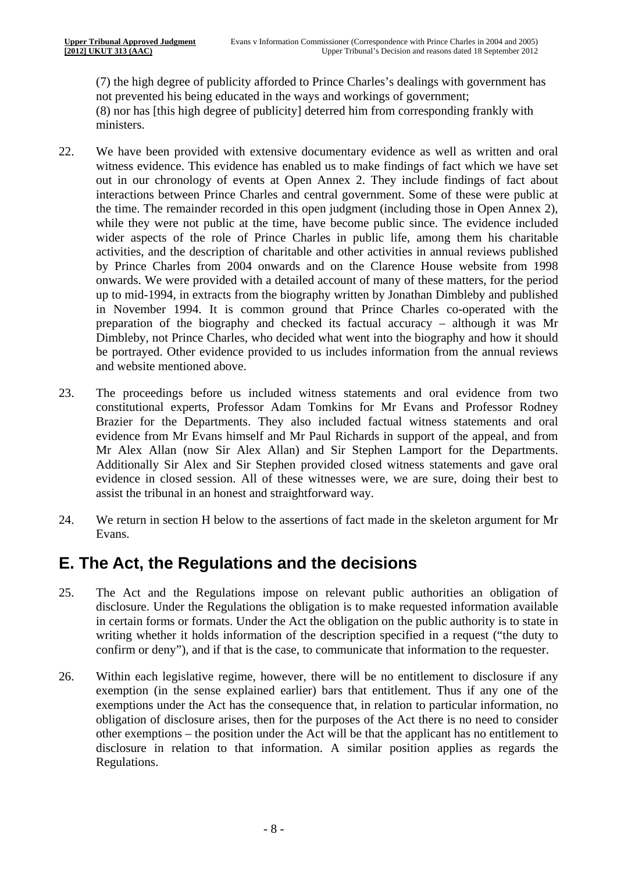(7) the high degree of publicity afforded to Prince Charles's dealings with government has not prevented his being educated in the ways and workings of government; (8) nor has [this high degree of publicity] deterred him from corresponding frankly with ministers.

- 22. We have been provided with extensive documentary evidence as well as written and oral witness evidence. This evidence has enabled us to make findings of fact which we have set out in our chronology of events at Open Annex 2. They include findings of fact about interactions between Prince Charles and central government. Some of these were public at the time. The remainder recorded in this open judgment (including those in Open Annex 2), while they were not public at the time, have become public since. The evidence included wider aspects of the role of Prince Charles in public life, among them his charitable activities, and the description of charitable and other activities in annual reviews published by Prince Charles from 2004 onwards and on the Clarence House website from 1998 onwards. We were provided with a detailed account of many of these matters, for the period up to mid-1994, in extracts from the biography written by Jonathan Dimbleby and published in November 1994. It is common ground that Prince Charles co-operated with the preparation of the biography and checked its factual accuracy – although it was Mr Dimbleby, not Prince Charles, who decided what went into the biography and how it should be portrayed. Other evidence provided to us includes information from the annual reviews and website mentioned above.
- 23. The proceedings before us included witness statements and oral evidence from two constitutional experts, Professor Adam Tomkins for Mr Evans and Professor Rodney Brazier for the Departments. They also included factual witness statements and oral evidence from Mr Evans himself and Mr Paul Richards in support of the appeal, and from Mr Alex Allan (now Sir Alex Allan) and Sir Stephen Lamport for the Departments. Additionally Sir Alex and Sir Stephen provided closed witness statements and gave oral evidence in closed session. All of these witnesses were, we are sure, doing their best to assist the tribunal in an honest and straightforward way.
- 24. We return in section H below to the assertions of fact made in the skeleton argument for Mr Evans.

## **E. The Act, the Regulations and the decisions**

- 25. The Act and the Regulations impose on relevant public authorities an obligation of disclosure. Under the Regulations the obligation is to make requested information available in certain forms or formats. Under the Act the obligation on the public authority is to state in writing whether it holds information of the description specified in a request ("the duty to confirm or deny"), and if that is the case, to communicate that information to the requester.
- 26. Within each legislative regime, however, there will be no entitlement to disclosure if any exemption (in the sense explained earlier) bars that entitlement. Thus if any one of the exemptions under the Act has the consequence that, in relation to particular information, no obligation of disclosure arises, then for the purposes of the Act there is no need to consider other exemptions – the position under the Act will be that the applicant has no entitlement to disclosure in relation to that information. A similar position applies as regards the Regulations.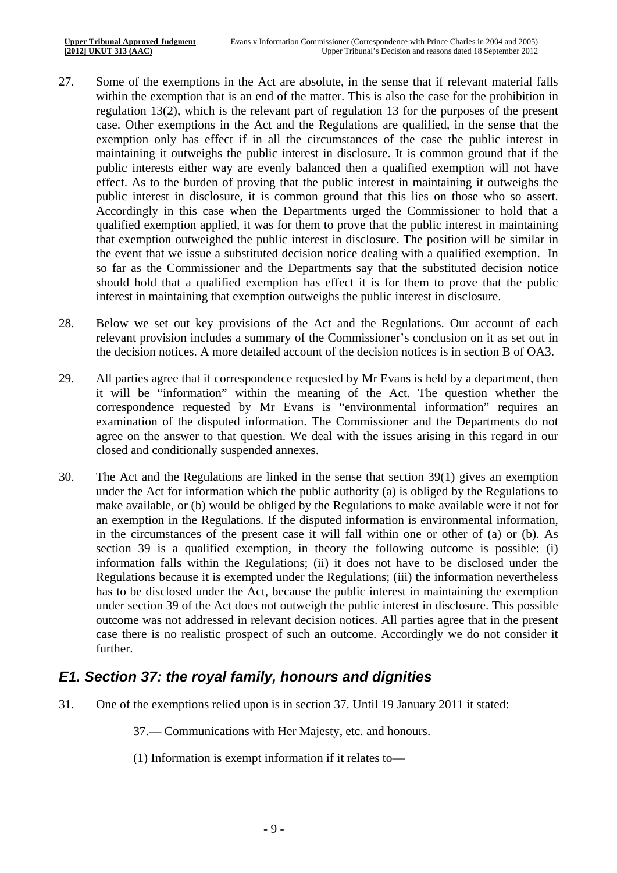- 27. Some of the exemptions in the Act are absolute, in the sense that if relevant material falls within the exemption that is an end of the matter. This is also the case for the prohibition in regulation 13(2), which is the relevant part of regulation 13 for the purposes of the present case. Other exemptions in the Act and the Regulations are qualified, in the sense that the exemption only has effect if in all the circumstances of the case the public interest in maintaining it outweighs the public interest in disclosure. It is common ground that if the public interests either way are evenly balanced then a qualified exemption will not have effect. As to the burden of proving that the public interest in maintaining it outweighs the public interest in disclosure, it is common ground that this lies on those who so assert. Accordingly in this case when the Departments urged the Commissioner to hold that a qualified exemption applied, it was for them to prove that the public interest in maintaining that exemption outweighed the public interest in disclosure. The position will be similar in the event that we issue a substituted decision notice dealing with a qualified exemption. In so far as the Commissioner and the Departments say that the substituted decision notice should hold that a qualified exemption has effect it is for them to prove that the public interest in maintaining that exemption outweighs the public interest in disclosure.
- 28. Below we set out key provisions of the Act and the Regulations. Our account of each relevant provision includes a summary of the Commissioner's conclusion on it as set out in the decision notices. A more detailed account of the decision notices is in section B of OA3.
- 29. All parties agree that if correspondence requested by Mr Evans is held by a department, then it will be "information" within the meaning of the Act. The question whether the correspondence requested by Mr Evans is "environmental information" requires an examination of the disputed information. The Commissioner and the Departments do not agree on the answer to that question. We deal with the issues arising in this regard in our closed and conditionally suspended annexes.
- 30. The Act and the Regulations are linked in the sense that section 39(1) gives an exemption under the Act for information which the public authority (a) is obliged by the Regulations to make available, or (b) would be obliged by the Regulations to make available were it not for an exemption in the Regulations. If the disputed information is environmental information, in the circumstances of the present case it will fall within one or other of (a) or (b). As section 39 is a qualified exemption, in theory the following outcome is possible: (i) information falls within the Regulations; (ii) it does not have to be disclosed under the Regulations because it is exempted under the Regulations; (iii) the information nevertheless has to be disclosed under the Act, because the public interest in maintaining the exemption under section 39 of the Act does not outweigh the public interest in disclosure. This possible outcome was not addressed in relevant decision notices. All parties agree that in the present case there is no realistic prospect of such an outcome. Accordingly we do not consider it further.

### *E1. Section 37: the royal family, honours and dignities*

31. One of the exemptions relied upon is in section 37. Until 19 January 2011 it stated:

37.— Communications with Her Majesty, etc. and honours.

(1) Information is exempt information if it relates to—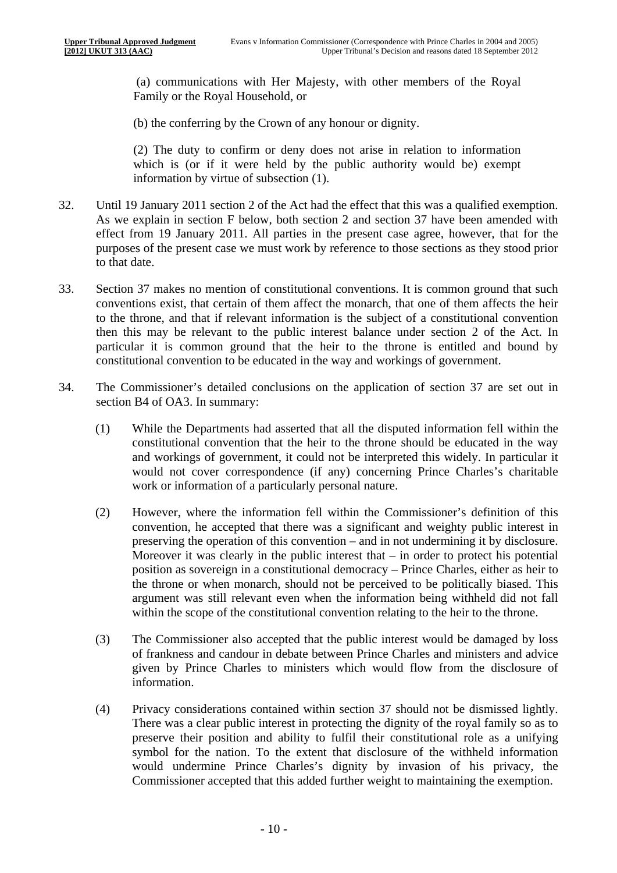(a) communications with Her Majesty, with other members of the Royal Family or the Royal Household, or

(b) the conferring by the Crown of any honour or dignity.

(2) The duty to confirm or deny does not arise in relation to information which is (or if it were held by the public authority would be) exempt information by virtue of subsection (1).

- 32. Until 19 January 2011 section 2 of the Act had the effect that this was a qualified exemption. As we explain in section F below, both section 2 and section 37 have been amended with effect from 19 January 2011. All parties in the present case agree, however, that for the purposes of the present case we must work by reference to those sections as they stood prior to that date.
- 33. Section 37 makes no mention of constitutional conventions. It is common ground that such conventions exist, that certain of them affect the monarch, that one of them affects the heir to the throne, and that if relevant information is the subject of a constitutional convention then this may be relevant to the public interest balance under section 2 of the Act. In particular it is common ground that the heir to the throne is entitled and bound by constitutional convention to be educated in the way and workings of government.
- 34. The Commissioner's detailed conclusions on the application of section 37 are set out in section B4 of OA3. In summary:
	- (1) While the Departments had asserted that all the disputed information fell within the constitutional convention that the heir to the throne should be educated in the way and workings of government, it could not be interpreted this widely. In particular it would not cover correspondence (if any) concerning Prince Charles's charitable work or information of a particularly personal nature.
	- (2) However, where the information fell within the Commissioner's definition of this convention, he accepted that there was a significant and weighty public interest in preserving the operation of this convention – and in not undermining it by disclosure. Moreover it was clearly in the public interest that  $-$  in order to protect his potential position as sovereign in a constitutional democracy – Prince Charles, either as heir to the throne or when monarch, should not be perceived to be politically biased. This argument was still relevant even when the information being withheld did not fall within the scope of the constitutional convention relating to the heir to the throne.
	- (3) The Commissioner also accepted that the public interest would be damaged by loss of frankness and candour in debate between Prince Charles and ministers and advice given by Prince Charles to ministers which would flow from the disclosure of information.
	- (4) Privacy considerations contained within section 37 should not be dismissed lightly. There was a clear public interest in protecting the dignity of the royal family so as to preserve their position and ability to fulfil their constitutional role as a unifying symbol for the nation. To the extent that disclosure of the withheld information would undermine Prince Charles's dignity by invasion of his privacy, the Commissioner accepted that this added further weight to maintaining the exemption.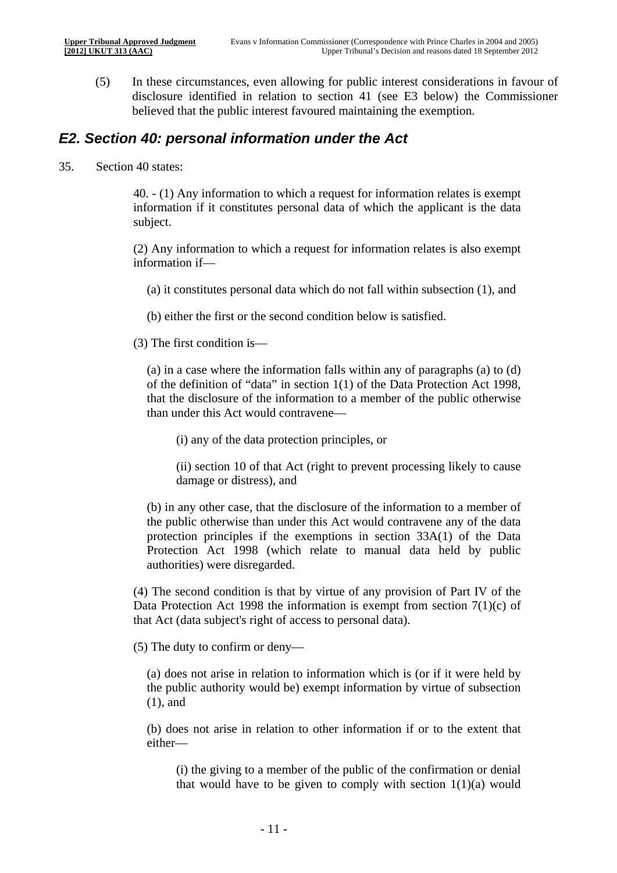(5) In these circumstances, even allowing for public interest considerations in favour of disclosure identified in relation to section 41 (see E3 below) the Commissioner believed that the public interest favoured maintaining the exemption.

#### *E2. Section 40: personal information under the Act*

35. Section 40 states:

40. - (1) Any information to which a request for information relates is exempt information if it constitutes personal data of which the applicant is the data subject.

(2) Any information to which a request for information relates is also exempt information if—

(a) it constitutes personal data which do not fall within subsection (1), and

(b) either the first or the second condition below is satisfied.

(3) The first condition is—

(a) in a case where the information falls within any of paragraphs (a) to (d) of the definition of "data" in section 1(1) of the Data Protection Act 1998, that the disclosure of the information to a member of the public otherwise than under this Act would contravene—

(i) any of the data protection principles, or

(ii) section 10 of that Act (right to prevent processing likely to cause damage or distress), and

(b) in any other case, that the disclosure of the information to a member of the public otherwise than under this Act would contravene any of the data protection principles if the exemptions in section 33A(1) of the Data Protection Act 1998 (which relate to manual data held by public authorities) were disregarded.

(4) The second condition is that by virtue of any provision of Part IV of the Data Protection Act 1998 the information is exempt from section  $7(1)(c)$  of that Act (data subject's right of access to personal data).

(5) The duty to confirm or deny—

(a) does not arise in relation to information which is (or if it were held by the public authority would be) exempt information by virtue of subsection (1), and

(b) does not arise in relation to other information if or to the extent that either—

(i) the giving to a member of the public of the confirmation or denial that would have to be given to comply with section  $1(1)(a)$  would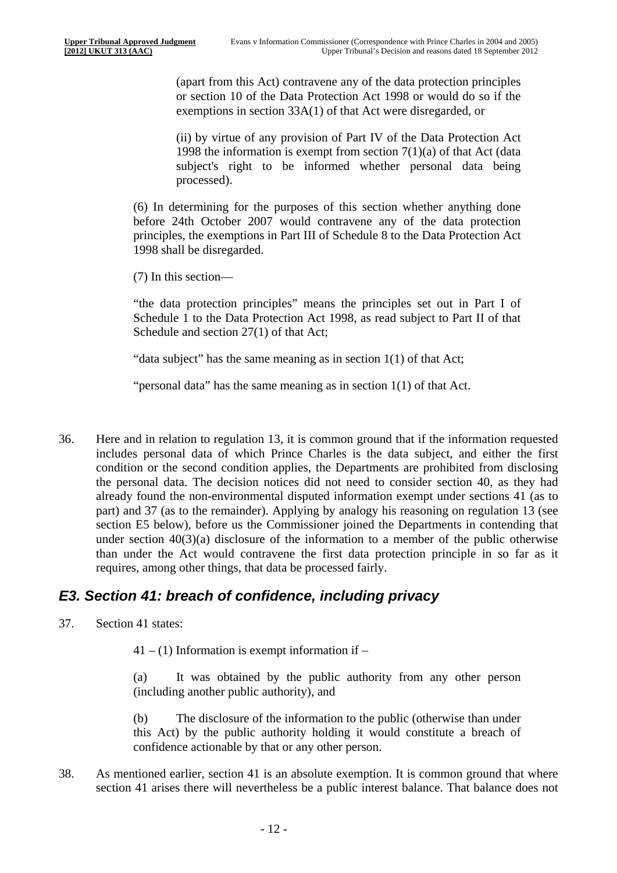(apart from this Act) contravene any of the data protection principles or section 10 of the Data Protection Act 1998 or would do so if the exemptions in section 33A(1) of that Act were disregarded, or

(ii) by virtue of any provision of Part IV of the Data Protection Act 1998 the information is exempt from section  $7(1)(a)$  of that Act (data subject's right to be informed whether personal data being processed).

(6) In determining for the purposes of this section whether anything done before 24th October 2007 would contravene any of the data protection principles, the exemptions in Part III of Schedule 8 to the Data Protection Act 1998 shall be disregarded.

(7) In this section—

"the data protection principles" means the principles set out in Part I of Schedule 1 to the Data Protection Act 1998, as read subject to Part II of that Schedule and section 27(1) of that Act;

"data subject" has the same meaning as in section 1(1) of that Act;

"personal data" has the same meaning as in section 1(1) of that Act.

36. Here and in relation to regulation 13, it is common ground that if the information requested includes personal data of which Prince Charles is the data subject, and either the first condition or the second condition applies, the Departments are prohibited from disclosing the personal data. The decision notices did not need to consider section 40, as they had already found the non-environmental disputed information exempt under sections 41 (as to part) and 37 (as to the remainder). Applying by analogy his reasoning on regulation 13 (see section E5 below), before us the Commissioner joined the Departments in contending that under section 40(3)(a) disclosure of the information to a member of the public otherwise than under the Act would contravene the first data protection principle in so far as it requires, among other things, that data be processed fairly.

#### *E3. Section 41: breach of confidence, including privacy*

37. Section 41 states:

 $41 - (1)$  Information is exempt information if –

(a) It was obtained by the public authority from any other person (including another public authority), and

(b) The disclosure of the information to the public (otherwise than under this Act) by the public authority holding it would constitute a breach of confidence actionable by that or any other person.

38. As mentioned earlier, section 41 is an absolute exemption. It is common ground that where section 41 arises there will nevertheless be a public interest balance. That balance does not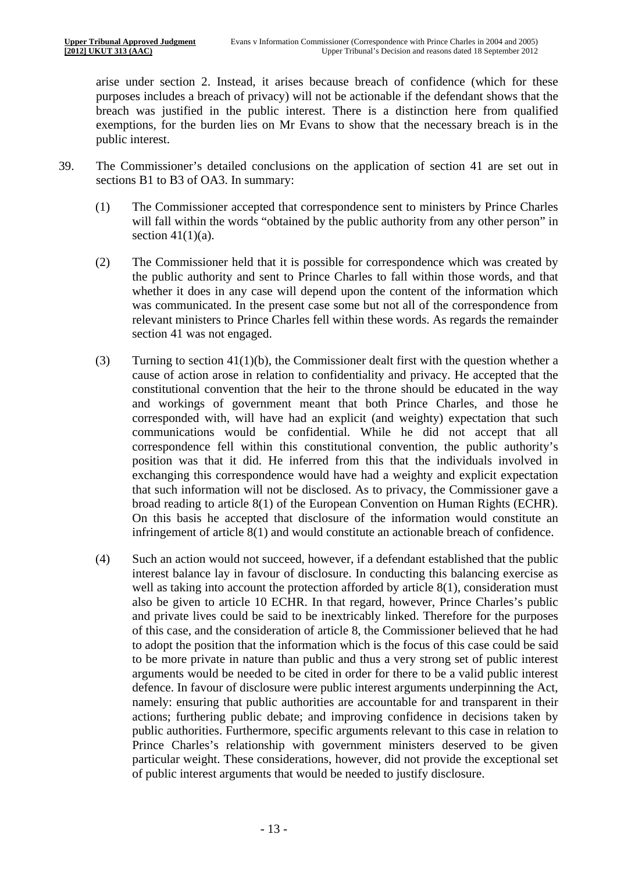arise under section 2. Instead, it arises because breach of confidence (which for these purposes includes a breach of privacy) will not be actionable if the defendant shows that the breach was justified in the public interest. There is a distinction here from qualified exemptions, for the burden lies on Mr Evans to show that the necessary breach is in the public interest.

- 39. The Commissioner's detailed conclusions on the application of section 41 are set out in sections B1 to B3 of OA3. In summary:
	- (1) The Commissioner accepted that correspondence sent to ministers by Prince Charles will fall within the words "obtained by the public authority from any other person" in section  $41(1)(a)$ .
	- (2) The Commissioner held that it is possible for correspondence which was created by the public authority and sent to Prince Charles to fall within those words, and that whether it does in any case will depend upon the content of the information which was communicated. In the present case some but not all of the correspondence from relevant ministers to Prince Charles fell within these words. As regards the remainder section 41 was not engaged.
	- (3) Turning to section  $41(1)(b)$ , the Commissioner dealt first with the question whether a cause of action arose in relation to confidentiality and privacy. He accepted that the constitutional convention that the heir to the throne should be educated in the way and workings of government meant that both Prince Charles, and those he corresponded with, will have had an explicit (and weighty) expectation that such communications would be confidential. While he did not accept that all correspondence fell within this constitutional convention, the public authority's position was that it did. He inferred from this that the individuals involved in exchanging this correspondence would have had a weighty and explicit expectation that such information will not be disclosed. As to privacy, the Commissioner gave a broad reading to article 8(1) of the European Convention on Human Rights (ECHR). On this basis he accepted that disclosure of the information would constitute an infringement of article 8(1) and would constitute an actionable breach of confidence.
	- (4) Such an action would not succeed, however, if a defendant established that the public interest balance lay in favour of disclosure. In conducting this balancing exercise as well as taking into account the protection afforded by article 8(1), consideration must also be given to article 10 ECHR. In that regard, however, Prince Charles's public and private lives could be said to be inextricably linked. Therefore for the purposes of this case, and the consideration of article 8, the Commissioner believed that he had to adopt the position that the information which is the focus of this case could be said to be more private in nature than public and thus a very strong set of public interest arguments would be needed to be cited in order for there to be a valid public interest defence. In favour of disclosure were public interest arguments underpinning the Act, namely: ensuring that public authorities are accountable for and transparent in their actions; furthering public debate; and improving confidence in decisions taken by public authorities. Furthermore, specific arguments relevant to this case in relation to Prince Charles's relationship with government ministers deserved to be given particular weight. These considerations, however, did not provide the exceptional set of public interest arguments that would be needed to justify disclosure.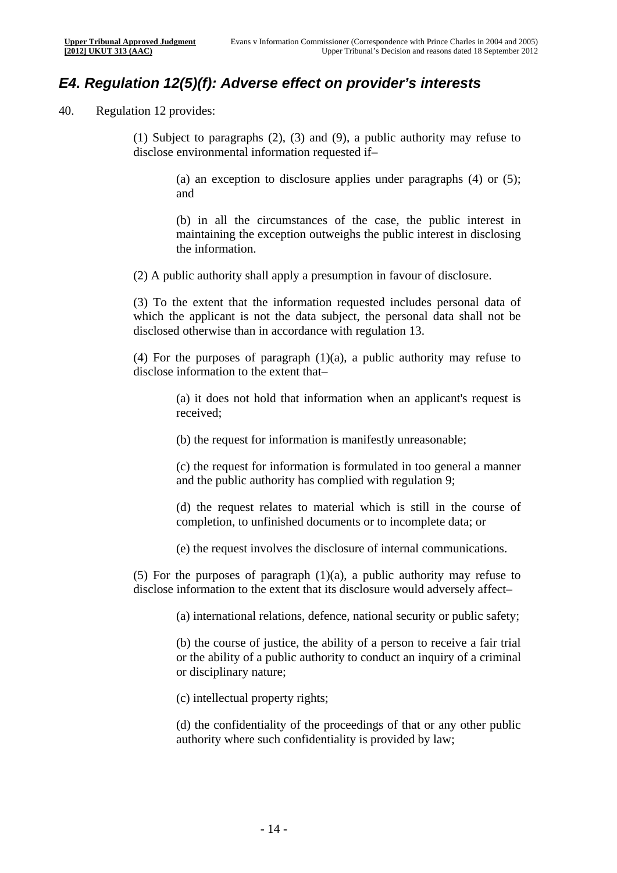### *E4. Regulation 12(5)(f): Adverse effect on provider's interests*

40. Regulation 12 provides:

(1) Subject to paragraphs (2), (3) and (9), a public authority may refuse to disclose environmental information requested if–

> (a) an exception to disclosure applies under paragraphs (4) or (5); and

> (b) in all the circumstances of the case, the public interest in maintaining the exception outweighs the public interest in disclosing the information.

(2) A public authority shall apply a presumption in favour of disclosure.

(3) To the extent that the information requested includes personal data of which the applicant is not the data subject, the personal data shall not be disclosed otherwise than in accordance with regulation 13.

(4) For the purposes of paragraph (1)(a), a public authority may refuse to disclose information to the extent that–

> (a) it does not hold that information when an applicant's request is received;

(b) the request for information is manifestly unreasonable;

(c) the request for information is formulated in too general a manner and the public authority has complied with regulation 9;

(d) the request relates to material which is still in the course of completion, to unfinished documents or to incomplete data; or

(e) the request involves the disclosure of internal communications.

(5) For the purposes of paragraph (1)(a), a public authority may refuse to disclose information to the extent that its disclosure would adversely affect–

(a) international relations, defence, national security or public safety;

(b) the course of justice, the ability of a person to receive a fair trial or the ability of a public authority to conduct an inquiry of a criminal or disciplinary nature;

(c) intellectual property rights;

(d) the confidentiality of the proceedings of that or any other public authority where such confidentiality is provided by law;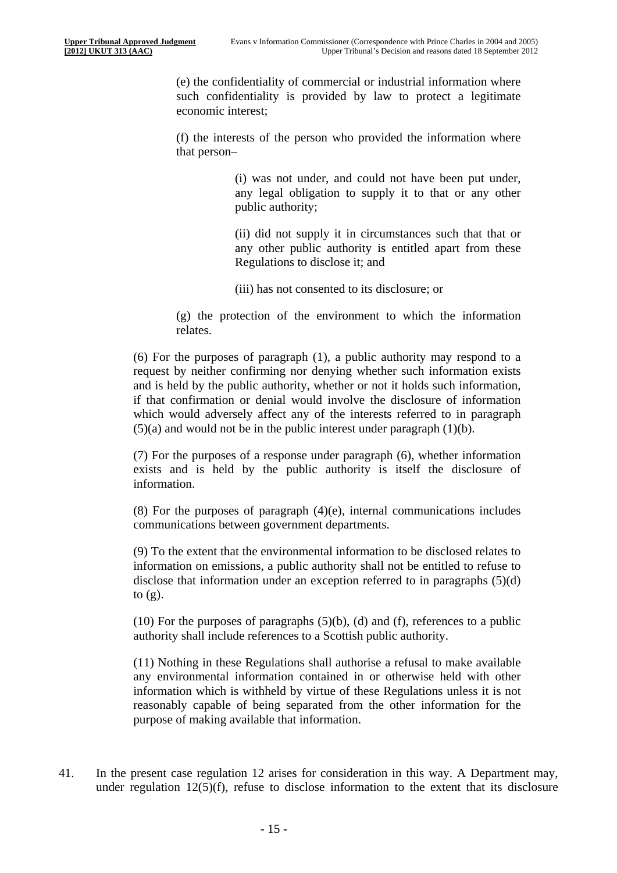(e) the confidentiality of commercial or industrial information where such confidentiality is provided by law to protect a legitimate economic interest;

(f) the interests of the person who provided the information where that person–

> (i) was not under, and could not have been put under, any legal obligation to supply it to that or any other public authority;

> (ii) did not supply it in circumstances such that that or any other public authority is entitled apart from these Regulations to disclose it; and

(iii) has not consented to its disclosure; or

(g) the protection of the environment to which the information relates.

(6) For the purposes of paragraph (1), a public authority may respond to a request by neither confirming nor denying whether such information exists and is held by the public authority, whether or not it holds such information, if that confirmation or denial would involve the disclosure of information which would adversely affect any of the interests referred to in paragraph  $(5)(a)$  and would not be in the public interest under paragraph  $(1)(b)$ .

(7) For the purposes of a response under paragraph (6), whether information exists and is held by the public authority is itself the disclosure of information.

(8) For the purposes of paragraph (4)(e), internal communications includes communications between government departments.

(9) To the extent that the environmental information to be disclosed relates to information on emissions, a public authority shall not be entitled to refuse to disclose that information under an exception referred to in paragraphs (5)(d) to (g).

(10) For the purposes of paragraphs  $(5)(b)$ , (d) and (f), references to a public authority shall include references to a Scottish public authority.

(11) Nothing in these Regulations shall authorise a refusal to make available any environmental information contained in or otherwise held with other information which is withheld by virtue of these Regulations unless it is not reasonably capable of being separated from the other information for the purpose of making available that information.

41. In the present case regulation 12 arises for consideration in this way. A Department may, under regulation 12(5)(f), refuse to disclose information to the extent that its disclosure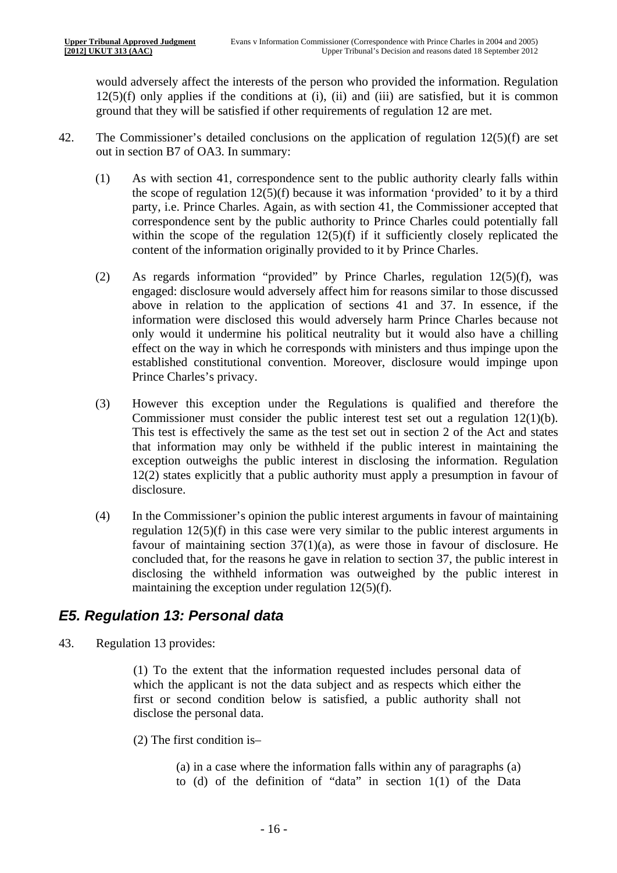would adversely affect the interests of the person who provided the information. Regulation  $12(5)(f)$  only applies if the conditions at (i), (ii) and (iii) are satisfied, but it is common ground that they will be satisfied if other requirements of regulation 12 are met.

- 42. The Commissioner's detailed conclusions on the application of regulation 12(5)(f) are set out in section B7 of OA3. In summary:
	- (1) As with section 41, correspondence sent to the public authority clearly falls within the scope of regulation 12(5)(f) because it was information 'provided' to it by a third party, i.e. Prince Charles. Again, as with section 41, the Commissioner accepted that correspondence sent by the public authority to Prince Charles could potentially fall within the scope of the regulation  $12(5)(f)$  if it sufficiently closely replicated the content of the information originally provided to it by Prince Charles.
	- (2) As regards information "provided" by Prince Charles, regulation 12(5)(f), was engaged: disclosure would adversely affect him for reasons similar to those discussed above in relation to the application of sections 41 and 37. In essence, if the information were disclosed this would adversely harm Prince Charles because not only would it undermine his political neutrality but it would also have a chilling effect on the way in which he corresponds with ministers and thus impinge upon the established constitutional convention. Moreover, disclosure would impinge upon Prince Charles's privacy.
	- (3) However this exception under the Regulations is qualified and therefore the Commissioner must consider the public interest test set out a regulation 12(1)(b). This test is effectively the same as the test set out in section 2 of the Act and states that information may only be withheld if the public interest in maintaining the exception outweighs the public interest in disclosing the information. Regulation 12(2) states explicitly that a public authority must apply a presumption in favour of disclosure.
	- (4) In the Commissioner's opinion the public interest arguments in favour of maintaining regulation 12(5)(f) in this case were very similar to the public interest arguments in favour of maintaining section  $37(1)(a)$ , as were those in favour of disclosure. He concluded that, for the reasons he gave in relation to section 37, the public interest in disclosing the withheld information was outweighed by the public interest in maintaining the exception under regulation 12(5)(f).

### *E5. Regulation 13: Personal data*

43. Regulation 13 provides:

(1) To the extent that the information requested includes personal data of which the applicant is not the data subject and as respects which either the first or second condition below is satisfied, a public authority shall not disclose the personal data.

- (2) The first condition is–
	- (a) in a case where the information falls within any of paragraphs (a) to (d) of the definition of "data" in section 1(1) of the Data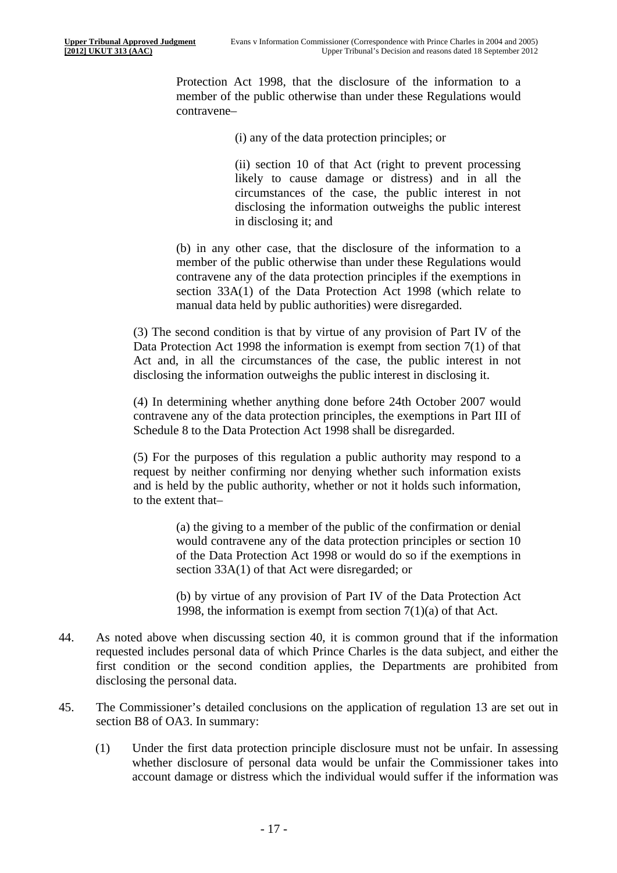Protection Act 1998, that the disclosure of the information to a member of the public otherwise than under these Regulations would contravene–

(i) any of the data protection principles; or

(ii) section 10 of that Act (right to prevent processing likely to cause damage or distress) and in all the circumstances of the case, the public interest in not disclosing the information outweighs the public interest in disclosing it; and

(b) in any other case, that the disclosure of the information to a member of the public otherwise than under these Regulations would contravene any of the data protection principles if the exemptions in section 33A(1) of the Data Protection Act 1998 (which relate to manual data held by public authorities) were disregarded.

(3) The second condition is that by virtue of any provision of Part IV of the Data Protection Act 1998 the information is exempt from section 7(1) of that Act and, in all the circumstances of the case, the public interest in not disclosing the information outweighs the public interest in disclosing it.

(4) In determining whether anything done before 24th October 2007 would contravene any of the data protection principles, the exemptions in Part III of Schedule 8 to the Data Protection Act 1998 shall be disregarded.

(5) For the purposes of this regulation a public authority may respond to a request by neither confirming nor denying whether such information exists and is held by the public authority, whether or not it holds such information, to the extent that–

> (a) the giving to a member of the public of the confirmation or denial would contravene any of the data protection principles or section 10 of the Data Protection Act 1998 or would do so if the exemptions in section 33A(1) of that Act were disregarded; or

> (b) by virtue of any provision of Part IV of the Data Protection Act 1998, the information is exempt from section 7(1)(a) of that Act.

- 44. As noted above when discussing section 40, it is common ground that if the information requested includes personal data of which Prince Charles is the data subject, and either the first condition or the second condition applies, the Departments are prohibited from disclosing the personal data.
- 45. The Commissioner's detailed conclusions on the application of regulation 13 are set out in section B8 of OA3. In summary:
	- (1) Under the first data protection principle disclosure must not be unfair. In assessing whether disclosure of personal data would be unfair the Commissioner takes into account damage or distress which the individual would suffer if the information was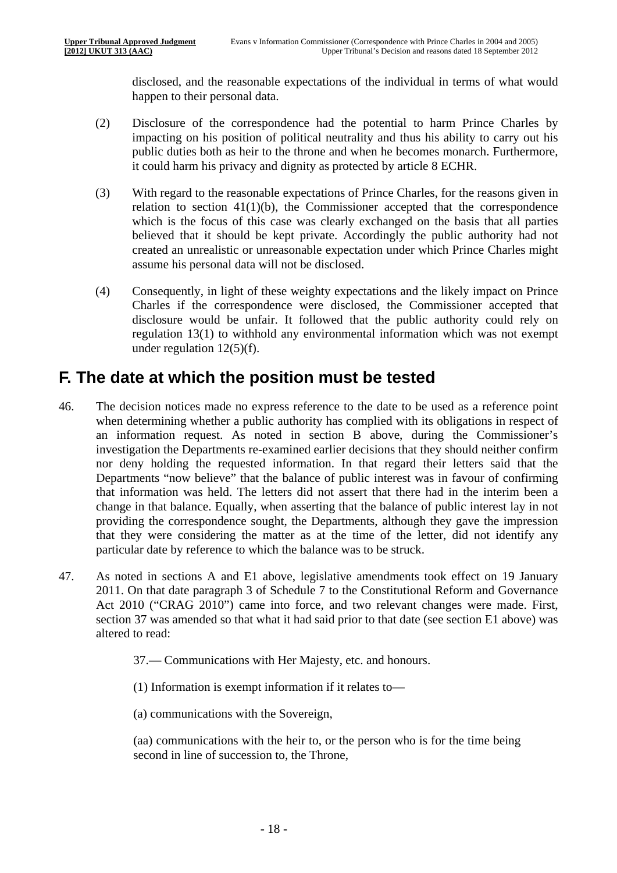disclosed, and the reasonable expectations of the individual in terms of what would happen to their personal data.

- (2) Disclosure of the correspondence had the potential to harm Prince Charles by impacting on his position of political neutrality and thus his ability to carry out his public duties both as heir to the throne and when he becomes monarch. Furthermore, it could harm his privacy and dignity as protected by article 8 ECHR.
- (3) With regard to the reasonable expectations of Prince Charles, for the reasons given in relation to section  $41(1)(b)$ , the Commissioner accepted that the correspondence which is the focus of this case was clearly exchanged on the basis that all parties believed that it should be kept private. Accordingly the public authority had not created an unrealistic or unreasonable expectation under which Prince Charles might assume his personal data will not be disclosed.
- (4) Consequently, in light of these weighty expectations and the likely impact on Prince Charles if the correspondence were disclosed, the Commissioner accepted that disclosure would be unfair. It followed that the public authority could rely on regulation 13(1) to withhold any environmental information which was not exempt under regulation 12(5)(f).

### **F. The date at which the position must be tested**

- 46. The decision notices made no express reference to the date to be used as a reference point when determining whether a public authority has complied with its obligations in respect of an information request. As noted in section B above, during the Commissioner's investigation the Departments re-examined earlier decisions that they should neither confirm nor deny holding the requested information. In that regard their letters said that the Departments "now believe" that the balance of public interest was in favour of confirming that information was held. The letters did not assert that there had in the interim been a change in that balance. Equally, when asserting that the balance of public interest lay in not providing the correspondence sought, the Departments, although they gave the impression that they were considering the matter as at the time of the letter, did not identify any particular date by reference to which the balance was to be struck.
- 47. As noted in sections A and E1 above, legislative amendments took effect on 19 January 2011. On that date paragraph 3 of Schedule 7 to the Constitutional Reform and Governance Act 2010 ("CRAG 2010") came into force, and two relevant changes were made. First, section 37 was amended so that what it had said prior to that date (see section E1 above) was altered to read:

37.— Communications with Her Majesty, etc. and honours.

(1) Information is exempt information if it relates to—

(a) communications with the Sovereign,

(aa) communications with the heir to, or the person who is for the time being second in line of succession to, the Throne,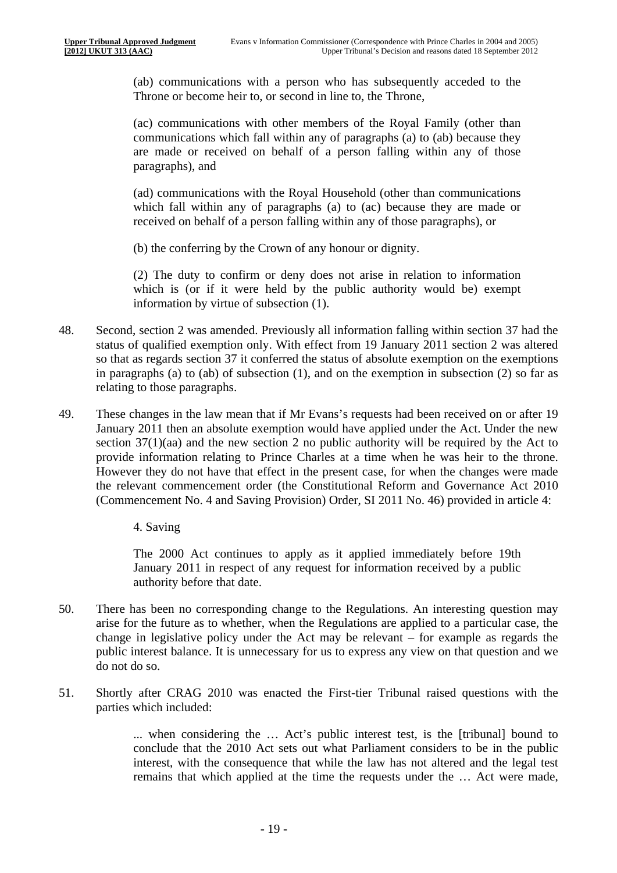(ab) communications with a person who has subsequently acceded to the Throne or become heir to, or second in line to, the Throne,

(ac) communications with other members of the Royal Family (other than communications which fall within any of paragraphs (a) to (ab) because they are made or received on behalf of a person falling within any of those paragraphs), and

(ad) communications with the Royal Household (other than communications which fall within any of paragraphs (a) to (ac) because they are made or received on behalf of a person falling within any of those paragraphs), or

(b) the conferring by the Crown of any honour or dignity.

(2) The duty to confirm or deny does not arise in relation to information which is (or if it were held by the public authority would be) exempt information by virtue of subsection (1).

- 48. Second, section 2 was amended. Previously all information falling within section 37 had the status of qualified exemption only. With effect from 19 January 2011 section 2 was altered so that as regards section 37 it conferred the status of absolute exemption on the exemptions in paragraphs (a) to (ab) of subsection (1), and on the exemption in subsection (2) so far as relating to those paragraphs.
- 49. These changes in the law mean that if Mr Evans's requests had been received on or after 19 January 2011 then an absolute exemption would have applied under the Act. Under the new section 37(1)(aa) and the new section 2 no public authority will be required by the Act to provide information relating to Prince Charles at a time when he was heir to the throne. However they do not have that effect in the present case, for when the changes were made the relevant commencement order (the Constitutional Reform and Governance Act 2010 (Commencement No. 4 and Saving Provision) Order, SI 2011 No. 46) provided in article 4:

4. Saving

The 2000 Act continues to apply as it applied immediately before 19th January 2011 in respect of any request for information received by a public authority before that date.

- 50. There has been no corresponding change to the Regulations. An interesting question may arise for the future as to whether, when the Regulations are applied to a particular case, the change in legislative policy under the Act may be relevant – for example as regards the public interest balance. It is unnecessary for us to express any view on that question and we do not do so.
- 51. Shortly after CRAG 2010 was enacted the First-tier Tribunal raised questions with the parties which included:

... when considering the … Act's public interest test, is the [tribunal] bound to conclude that the 2010 Act sets out what Parliament considers to be in the public interest, with the consequence that while the law has not altered and the legal test remains that which applied at the time the requests under the … Act were made,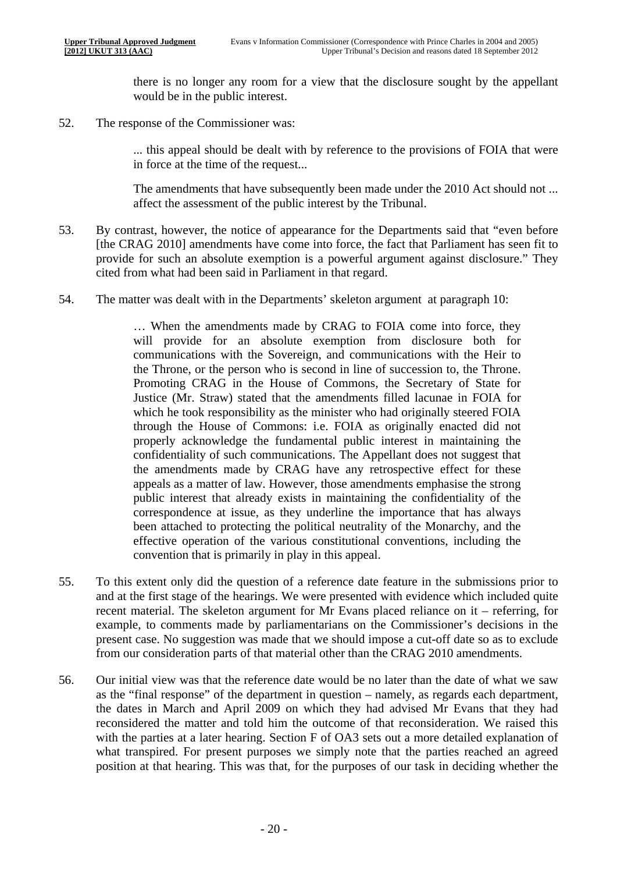there is no longer any room for a view that the disclosure sought by the appellant would be in the public interest.

52. The response of the Commissioner was:

... this appeal should be dealt with by reference to the provisions of FOIA that were in force at the time of the request...

The amendments that have subsequently been made under the 2010 Act should not ... affect the assessment of the public interest by the Tribunal.

- 53. By contrast, however, the notice of appearance for the Departments said that "even before [the CRAG 2010] amendments have come into force, the fact that Parliament has seen fit to provide for such an absolute exemption is a powerful argument against disclosure." They cited from what had been said in Parliament in that regard.
- 54. The matter was dealt with in the Departments' skeleton argument at paragraph 10:

… When the amendments made by CRAG to FOIA come into force, they will provide for an absolute exemption from disclosure both for communications with the Sovereign, and communications with the Heir to the Throne, or the person who is second in line of succession to, the Throne. Promoting CRAG in the House of Commons, the Secretary of State for Justice (Mr. Straw) stated that the amendments filled lacunae in FOIA for which he took responsibility as the minister who had originally steered FOIA through the House of Commons: i.e. FOIA as originally enacted did not properly acknowledge the fundamental public interest in maintaining the confidentiality of such communications. The Appellant does not suggest that the amendments made by CRAG have any retrospective effect for these appeals as a matter of law. However, those amendments emphasise the strong public interest that already exists in maintaining the confidentiality of the correspondence at issue, as they underline the importance that has always been attached to protecting the political neutrality of the Monarchy, and the effective operation of the various constitutional conventions, including the convention that is primarily in play in this appeal.

- 55. To this extent only did the question of a reference date feature in the submissions prior to and at the first stage of the hearings. We were presented with evidence which included quite recent material. The skeleton argument for Mr Evans placed reliance on it – referring, for example, to comments made by parliamentarians on the Commissioner's decisions in the present case. No suggestion was made that we should impose a cut-off date so as to exclude from our consideration parts of that material other than the CRAG 2010 amendments.
- 56. Our initial view was that the reference date would be no later than the date of what we saw as the "final response" of the department in question – namely, as regards each department, the dates in March and April 2009 on which they had advised Mr Evans that they had reconsidered the matter and told him the outcome of that reconsideration. We raised this with the parties at a later hearing. Section F of OA3 sets out a more detailed explanation of what transpired. For present purposes we simply note that the parties reached an agreed position at that hearing. This was that, for the purposes of our task in deciding whether the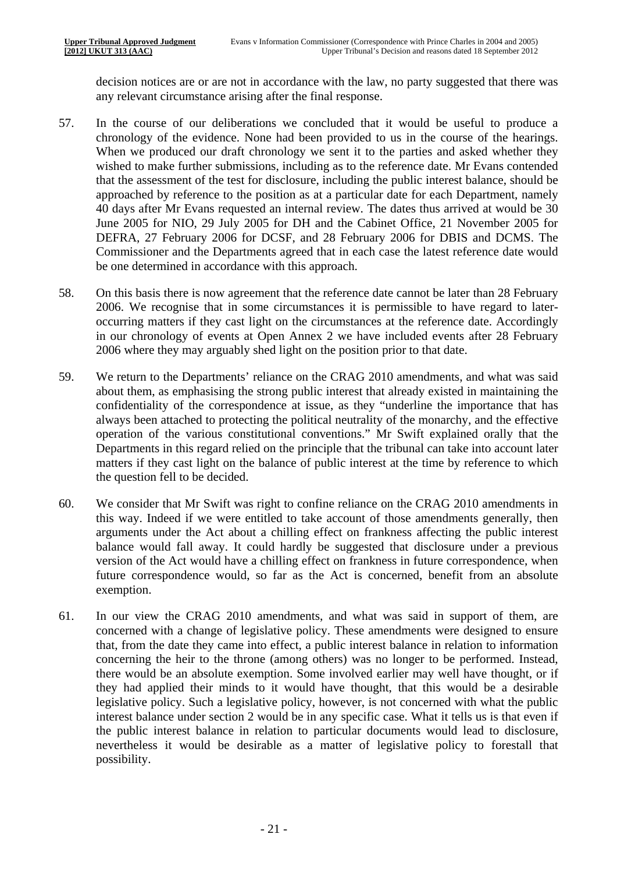decision notices are or are not in accordance with the law, no party suggested that there was any relevant circumstance arising after the final response.

- 57. In the course of our deliberations we concluded that it would be useful to produce a chronology of the evidence. None had been provided to us in the course of the hearings. When we produced our draft chronology we sent it to the parties and asked whether they wished to make further submissions, including as to the reference date. Mr Evans contended that the assessment of the test for disclosure, including the public interest balance, should be approached by reference to the position as at a particular date for each Department, namely 40 days after Mr Evans requested an internal review. The dates thus arrived at would be 30 June 2005 for NIO, 29 July 2005 for DH and the Cabinet Office, 21 November 2005 for DEFRA, 27 February 2006 for DCSF, and 28 February 2006 for DBIS and DCMS. The Commissioner and the Departments agreed that in each case the latest reference date would be one determined in accordance with this approach.
- 58. On this basis there is now agreement that the reference date cannot be later than 28 February 2006. We recognise that in some circumstances it is permissible to have regard to lateroccurring matters if they cast light on the circumstances at the reference date. Accordingly in our chronology of events at Open Annex 2 we have included events after 28 February 2006 where they may arguably shed light on the position prior to that date.
- 59. We return to the Departments' reliance on the CRAG 2010 amendments, and what was said about them, as emphasising the strong public interest that already existed in maintaining the confidentiality of the correspondence at issue, as they "underline the importance that has always been attached to protecting the political neutrality of the monarchy, and the effective operation of the various constitutional conventions." Mr Swift explained orally that the Departments in this regard relied on the principle that the tribunal can take into account later matters if they cast light on the balance of public interest at the time by reference to which the question fell to be decided.
- 60. We consider that Mr Swift was right to confine reliance on the CRAG 2010 amendments in this way. Indeed if we were entitled to take account of those amendments generally, then arguments under the Act about a chilling effect on frankness affecting the public interest balance would fall away. It could hardly be suggested that disclosure under a previous version of the Act would have a chilling effect on frankness in future correspondence, when future correspondence would, so far as the Act is concerned, benefit from an absolute exemption.
- 61. In our view the CRAG 2010 amendments, and what was said in support of them, are concerned with a change of legislative policy. These amendments were designed to ensure that, from the date they came into effect, a public interest balance in relation to information concerning the heir to the throne (among others) was no longer to be performed. Instead, there would be an absolute exemption. Some involved earlier may well have thought, or if they had applied their minds to it would have thought, that this would be a desirable legislative policy. Such a legislative policy, however, is not concerned with what the public interest balance under section 2 would be in any specific case. What it tells us is that even if the public interest balance in relation to particular documents would lead to disclosure, nevertheless it would be desirable as a matter of legislative policy to forestall that possibility.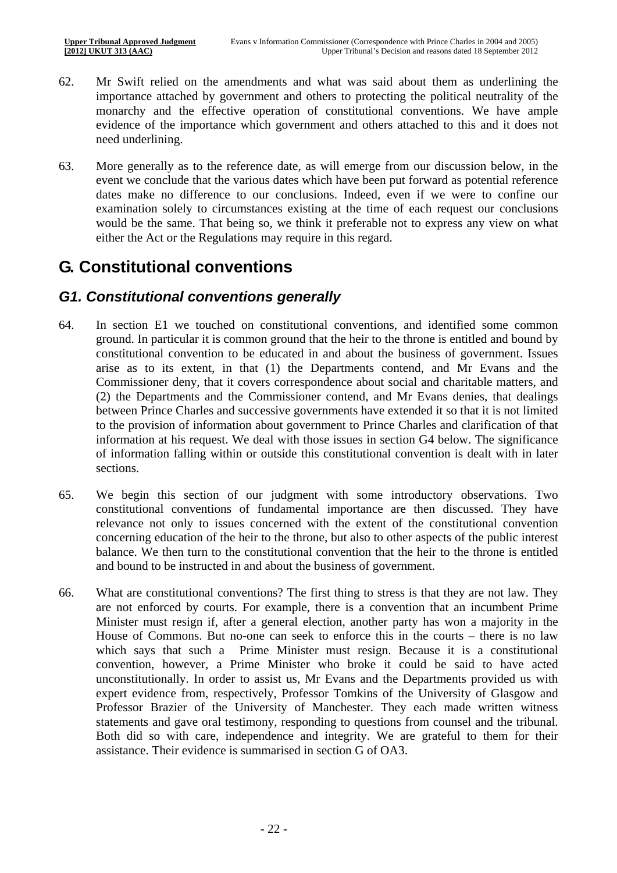- 62. Mr Swift relied on the amendments and what was said about them as underlining the importance attached by government and others to protecting the political neutrality of the monarchy and the effective operation of constitutional conventions. We have ample evidence of the importance which government and others attached to this and it does not need underlining.
- 63. More generally as to the reference date, as will emerge from our discussion below, in the event we conclude that the various dates which have been put forward as potential reference dates make no difference to our conclusions. Indeed, even if we were to confine our examination solely to circumstances existing at the time of each request our conclusions would be the same. That being so, we think it preferable not to express any view on what either the Act or the Regulations may require in this regard.

## **G. Constitutional conventions**

#### *G1. Constitutional conventions generally*

- 64. In section E1 we touched on constitutional conventions, and identified some common ground. In particular it is common ground that the heir to the throne is entitled and bound by constitutional convention to be educated in and about the business of government. Issues arise as to its extent, in that (1) the Departments contend, and Mr Evans and the Commissioner deny, that it covers correspondence about social and charitable matters, and (2) the Departments and the Commissioner contend, and Mr Evans denies, that dealings between Prince Charles and successive governments have extended it so that it is not limited to the provision of information about government to Prince Charles and clarification of that information at his request. We deal with those issues in section G4 below. The significance of information falling within or outside this constitutional convention is dealt with in later sections.
- 65. We begin this section of our judgment with some introductory observations. Two constitutional conventions of fundamental importance are then discussed. They have relevance not only to issues concerned with the extent of the constitutional convention concerning education of the heir to the throne, but also to other aspects of the public interest balance. We then turn to the constitutional convention that the heir to the throne is entitled and bound to be instructed in and about the business of government.
- 66. What are constitutional conventions? The first thing to stress is that they are not law. They are not enforced by courts. For example, there is a convention that an incumbent Prime Minister must resign if, after a general election, another party has won a majority in the House of Commons. But no-one can seek to enforce this in the courts – there is no law which says that such a Prime Minister must resign. Because it is a constitutional convention, however, a Prime Minister who broke it could be said to have acted unconstitutionally. In order to assist us, Mr Evans and the Departments provided us with expert evidence from, respectively, Professor Tomkins of the University of Glasgow and Professor Brazier of the University of Manchester. They each made written witness statements and gave oral testimony, responding to questions from counsel and the tribunal. Both did so with care, independence and integrity. We are grateful to them for their assistance. Their evidence is summarised in section G of OA3.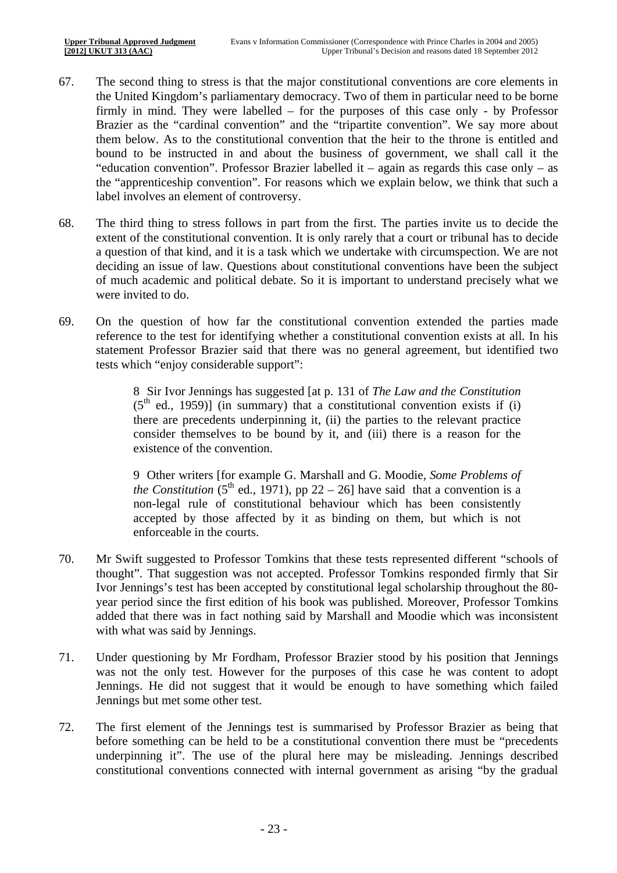- 67. The second thing to stress is that the major constitutional conventions are core elements in the United Kingdom's parliamentary democracy. Two of them in particular need to be borne firmly in mind. They were labelled – for the purposes of this case only - by Professor Brazier as the "cardinal convention" and the "tripartite convention". We say more about them below. As to the constitutional convention that the heir to the throne is entitled and bound to be instructed in and about the business of government, we shall call it the "education convention". Professor Brazier labelled it – again as regards this case only – as the "apprenticeship convention". For reasons which we explain below, we think that such a label involves an element of controversy.
- 68. The third thing to stress follows in part from the first. The parties invite us to decide the extent of the constitutional convention. It is only rarely that a court or tribunal has to decide a question of that kind, and it is a task which we undertake with circumspection. We are not deciding an issue of law. Questions about constitutional conventions have been the subject of much academic and political debate. So it is important to understand precisely what we were invited to do.
- 69. On the question of how far the constitutional convention extended the parties made reference to the test for identifying whether a constitutional convention exists at all. In his statement Professor Brazier said that there was no general agreement, but identified two tests which "enjoy considerable support":

8 Sir Ivor Jennings has suggested [at p. 131 of *The Law and the Constitution*   $(5<sup>th</sup>$  ed., 1959)] (in summary) that a constitutional convention exists if (i) there are precedents underpinning it, (ii) the parties to the relevant practice consider themselves to be bound by it, and (iii) there is a reason for the existence of the convention.

9 Other writers [for example G. Marshall and G. Moodie, *Some Problems of the Constitution* (5<sup>th</sup> ed., 1971), pp 22 – 26] have said that a convention is a non-legal rule of constitutional behaviour which has been consistently accepted by those affected by it as binding on them, but which is not enforceable in the courts.

- 70. Mr Swift suggested to Professor Tomkins that these tests represented different "schools of thought". That suggestion was not accepted. Professor Tomkins responded firmly that Sir Ivor Jennings's test has been accepted by constitutional legal scholarship throughout the 80 year period since the first edition of his book was published. Moreover, Professor Tomkins added that there was in fact nothing said by Marshall and Moodie which was inconsistent with what was said by Jennings.
- 71. Under questioning by Mr Fordham, Professor Brazier stood by his position that Jennings was not the only test. However for the purposes of this case he was content to adopt Jennings. He did not suggest that it would be enough to have something which failed Jennings but met some other test.
- 72. The first element of the Jennings test is summarised by Professor Brazier as being that before something can be held to be a constitutional convention there must be "precedents underpinning it". The use of the plural here may be misleading. Jennings described constitutional conventions connected with internal government as arising "by the gradual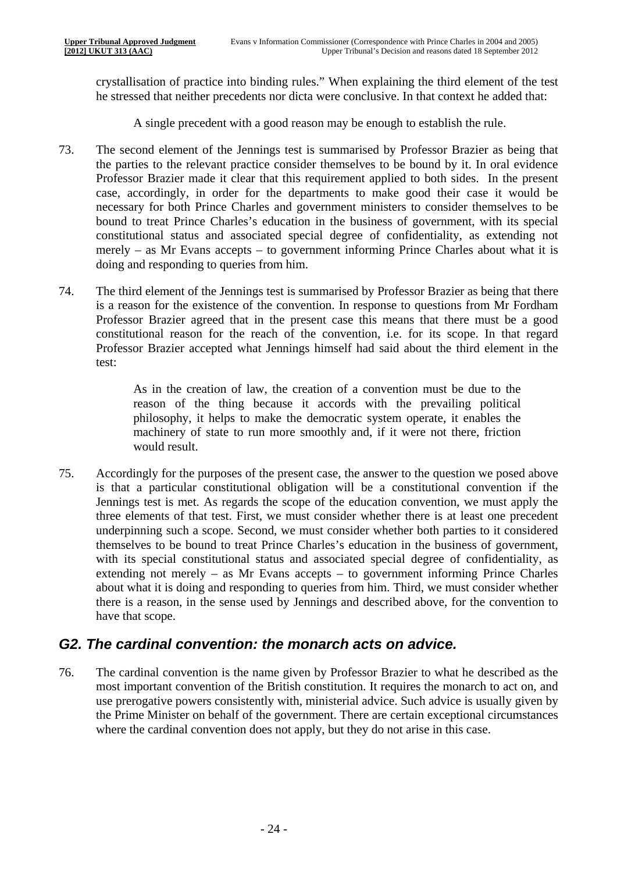crystallisation of practice into binding rules." When explaining the third element of the test he stressed that neither precedents nor dicta were conclusive. In that context he added that:

A single precedent with a good reason may be enough to establish the rule.

- doing and responding to queries from him. 73. The second element of the Jennings test is summarised by Professor Brazier as being that the parties to the relevant practice consider themselves to be bound by it. In oral evidence Professor Brazier made it clear that this requirement applied to both sides. In the present case, accordingly, in order for the departments to make good their case it would be necessary for both Prince Charles and government ministers to consider themselves to be bound to treat Prince Charles's education in the business of government, with its special constitutional status and associated special degree of confidentiality, as extending not merely – as Mr Evans accepts – to government informing Prince Charles about what it is
- 74. The third element of the Jennings test is summarised by Professor Brazier as being that there is a reason for the existence of the convention. In response to questions from Mr Fordham Professor Brazier agreed that in the present case this means that there must be a good constitutional reason for the reach of the convention, i.e. for its scope. In that regard Professor Brazier accepted what Jennings himself had said about the third element in the test:

As in the creation of law, the creation of a convention must be due to the reason of the thing because it accords with the prevailing political philosophy, it helps to make the democratic system operate, it enables the machinery of state to run more smoothly and, if it were not there, friction would result.

75. Accordingly for the purposes of the present case, the answer to the question we posed above is that a particular constitutional obligation will be a constitutional convention if the Jennings test is met. As regards the scope of the education convention, we must apply the three elements of that test. First, we must consider whether there is at least one precedent underpinning such a scope. Second, we must consider whether both parties to it considered themselves to be bound to treat Prince Charles's education in the business of government, with its special constitutional status and associated special degree of confidentiality, as extending not merely – as Mr Evans accepts – to government informing Prince Charles about what it is doing and responding to queries from him. Third, we must consider whether there is a reason, in the sense used by Jennings and described above, for the convention to have that scope.

#### *G2. The cardinal convention: the monarch acts on advice.*

76. The cardinal convention is the name given by Professor Brazier to what he described as the most important convention of the British constitution. It requires the monarch to act on, and use prerogative powers consistently with, ministerial advice. Such advice is usually given by the Prime Minister on behalf of the government. There are certain exceptional circumstances where the cardinal convention does not apply, but they do not arise in this case.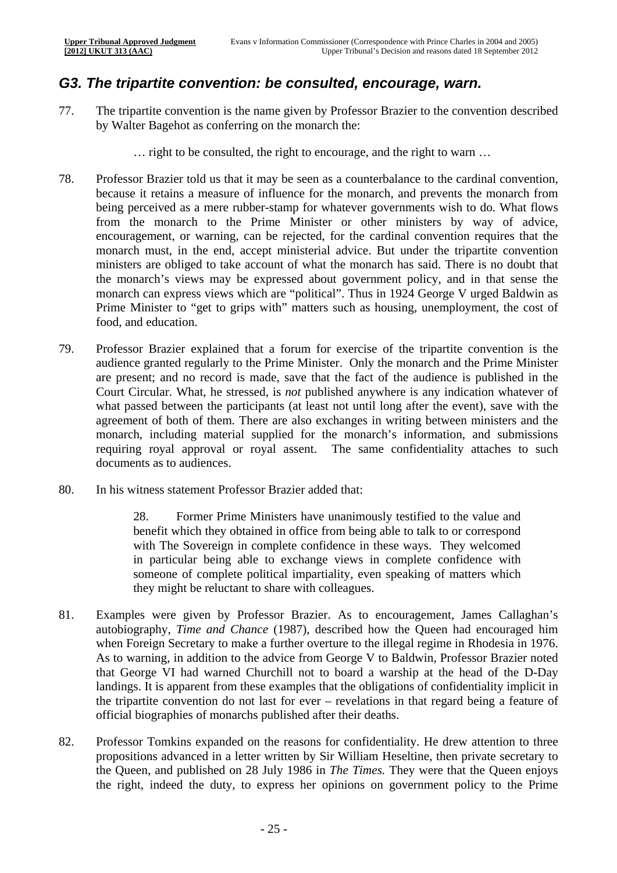#### *G3. The tripartite convention: be consulted, encourage, warn.*

- 77. The tripartite convention is the name given by Professor Brazier to the convention described by Walter Bagehot as conferring on the monarch the:
	- … right to be consulted, the right to encourage, and the right to warn …
- 78. Professor Brazier told us that it may be seen as a counterbalance to the cardinal convention, because it retains a measure of influence for the monarch, and prevents the monarch from being perceived as a mere rubber-stamp for whatever governments wish to do. What flows from the monarch to the Prime Minister or other ministers by way of advice, encouragement, or warning, can be rejected, for the cardinal convention requires that the monarch must, in the end, accept ministerial advice. But under the tripartite convention ministers are obliged to take account of what the monarch has said. There is no doubt that the monarch's views may be expressed about government policy, and in that sense the monarch can express views which are "political". Thus in 1924 George V urged Baldwin as Prime Minister to "get to grips with" matters such as housing, unemployment, the cost of food, and education.
- 79. Professor Brazier explained that a forum for exercise of the tripartite convention is the audience granted regularly to the Prime Minister. Only the monarch and the Prime Minister are present; and no record is made, save that the fact of the audience is published in the Court Circular. What, he stressed, is *not* published anywhere is any indication whatever of what passed between the participants (at least not until long after the event), save with the agreement of both of them. There are also exchanges in writing between ministers and the monarch, including material supplied for the monarch's information, and submissions requiring royal approval or royal assent. The same confidentiality attaches to such documents as to audiences.
- 80. In his witness statement Professor Brazier added that:

28. Former Prime Ministers have unanimously testified to the value and benefit which they obtained in office from being able to talk to or correspond with The Sovereign in complete confidence in these ways. They welcomed in particular being able to exchange views in complete confidence with someone of complete political impartiality, even speaking of matters which they might be reluctant to share with colleagues.

- 81. Examples were given by Professor Brazier. As to encouragement, James Callaghan's autobiography, *Time and Chance* (1987), described how the Queen had encouraged him when Foreign Secretary to make a further overture to the illegal regime in Rhodesia in 1976. As to warning, in addition to the advice from George V to Baldwin, Professor Brazier noted that George VI had warned Churchill not to board a warship at the head of the D-Day landings. It is apparent from these examples that the obligations of confidentiality implicit in the tripartite convention do not last for ever – revelations in that regard being a feature of official biographies of monarchs published after their deaths.
- 82. Professor Tomkins expanded on the reasons for confidentiality. He drew attention to three propositions advanced in a letter written by Sir William Heseltine, then private secretary to the Queen, and published on 28 July 1986 in *The Times.* They were that the Queen enjoys the right, indeed the duty, to express her opinions on government policy to the Prime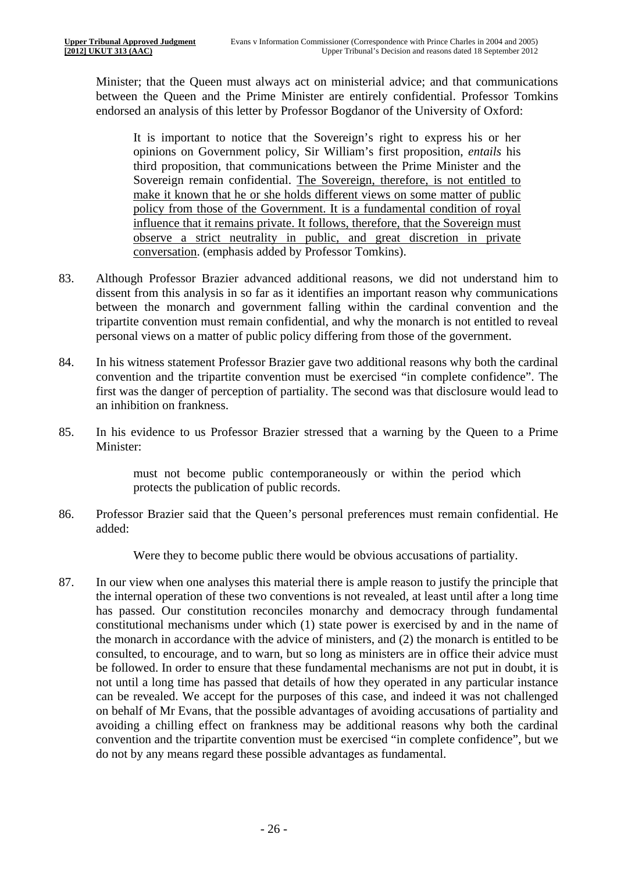Minister; that the Queen must always act on ministerial advice; and that communications between the Queen and the Prime Minister are entirely confidential. Professor Tomkins endorsed an analysis of this letter by Professor Bogdanor of the University of Oxford:

It is important to notice that the Sovereign's right to express his or her opinions on Government policy, Sir William's first proposition, *entails* his third proposition, that communications between the Prime Minister and the Sovereign remain confidential. The Sovereign, therefore, is not entitled to make it known that he or she holds different views on some matter of public policy from those of the Government. It is a fundamental condition of royal influence that it remains private. It follows, therefore, that the Sovereign must observe a strict neutrality in public, and great discretion in private conversation. (emphasis added by Professor Tomkins).

- 83. Although Professor Brazier advanced additional reasons, we did not understand him to dissent from this analysis in so far as it identifies an important reason why communications between the monarch and government falling within the cardinal convention and the tripartite convention must remain confidential, and why the monarch is not entitled to reveal personal views on a matter of public policy differing from those of the government.
- 84. In his witness statement Professor Brazier gave two additional reasons why both the cardinal convention and the tripartite convention must be exercised "in complete confidence". The first was the danger of perception of partiality. The second was that disclosure would lead to an inhibition on frankness.
- 85. In his evidence to us Professor Brazier stressed that a warning by the Queen to a Prime Minister:

must not become public contemporaneously or within the period which protects the publication of public records.

86. Professor Brazier said that the Queen's personal preferences must remain confidential. He added:

Were they to become public there would be obvious accusations of partiality.

87. In our view when one analyses this material there is ample reason to justify the principle that the internal operation of these two conventions is not revealed, at least until after a long time has passed. Our constitution reconciles monarchy and democracy through fundamental constitutional mechanisms under which (1) state power is exercised by and in the name of the monarch in accordance with the advice of ministers, and (2) the monarch is entitled to be consulted, to encourage, and to warn, but so long as ministers are in office their advice must be followed. In order to ensure that these fundamental mechanisms are not put in doubt, it is not until a long time has passed that details of how they operated in any particular instance can be revealed. We accept for the purposes of this case, and indeed it was not challenged on behalf of Mr Evans, that the possible advantages of avoiding accusations of partiality and avoiding a chilling effect on frankness may be additional reasons why both the cardinal convention and the tripartite convention must be exercised "in complete confidence", but we do not by any means regard these possible advantages as fundamental.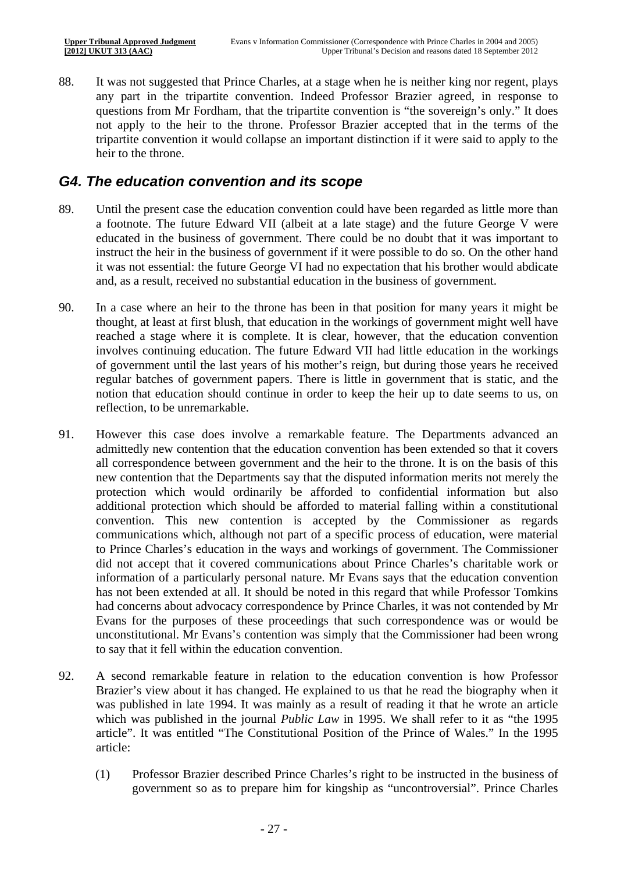88. It was not suggested that Prince Charles, at a stage when he is neither king nor regent, plays any part in the tripartite convention. Indeed Professor Brazier agreed, in response to questions from Mr Fordham, that the tripartite convention is "the sovereign's only." It does not apply to the heir to the throne. Professor Brazier accepted that in the terms of the tripartite convention it would collapse an important distinction if it were said to apply to the heir to the throne.

#### *G4. The education convention and its scope*

- 89. Until the present case the education convention could have been regarded as little more than a footnote. The future Edward VII (albeit at a late stage) and the future George V were educated in the business of government. There could be no doubt that it was important to instruct the heir in the business of government if it were possible to do so. On the other hand it was not essential: the future George VI had no expectation that his brother would abdicate and, as a result, received no substantial education in the business of government.
- 90. In a case where an heir to the throne has been in that position for many years it might be thought, at least at first blush, that education in the workings of government might well have reached a stage where it is complete. It is clear, however, that the education convention involves continuing education. The future Edward VII had little education in the workings of government until the last years of his mother's reign, but during those years he received regular batches of government papers. There is little in government that is static, and the notion that education should continue in order to keep the heir up to date seems to us, on reflection, to be unremarkable.
- 91. However this case does involve a remarkable feature. The Departments advanced an admittedly new contention that the education convention has been extended so that it covers all correspondence between government and the heir to the throne. It is on the basis of this new contention that the Departments say that the disputed information merits not merely the protection which would ordinarily be afforded to confidential information but also additional protection which should be afforded to material falling within a constitutional convention. This new contention is accepted by the Commissioner as regards communications which, although not part of a specific process of education, were material to Prince Charles's education in the ways and workings of government. The Commissioner did not accept that it covered communications about Prince Charles's charitable work or information of a particularly personal nature. Mr Evans says that the education convention has not been extended at all. It should be noted in this regard that while Professor Tomkins had concerns about advocacy correspondence by Prince Charles, it was not contended by Mr Evans for the purposes of these proceedings that such correspondence was or would be unconstitutional. Mr Evans's contention was simply that the Commissioner had been wrong to say that it fell within the education convention.
- 92. A second remarkable feature in relation to the education convention is how Professor Brazier's view about it has changed. He explained to us that he read the biography when it was published in late 1994. It was mainly as a result of reading it that he wrote an article which was published in the journal *Public Law* in 1995. We shall refer to it as "the 1995 article". It was entitled "The Constitutional Position of the Prince of Wales." In the 1995 article:
	- (1) Professor Brazier described Prince Charles's right to be instructed in the business of government so as to prepare him for kingship as "uncontroversial". Prince Charles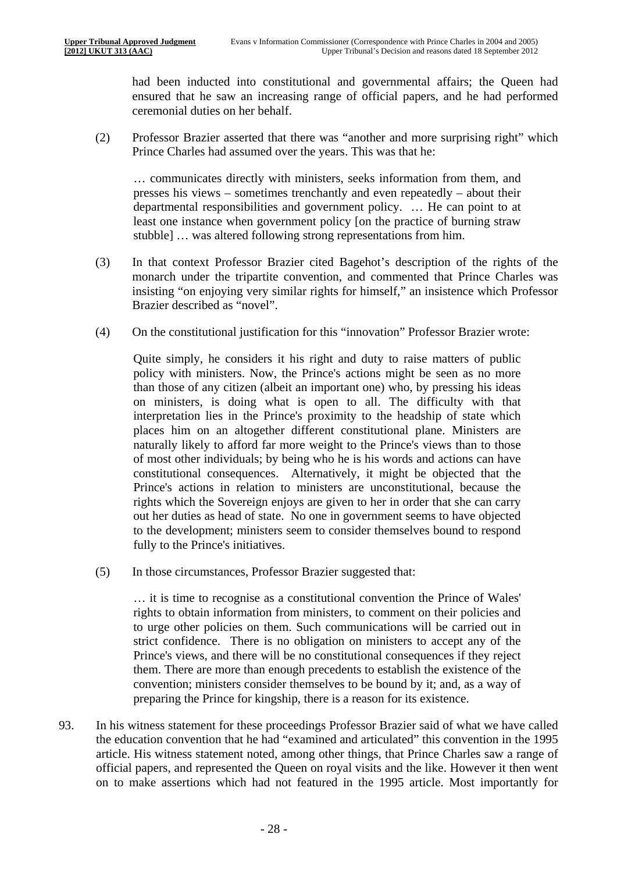had been inducted into constitutional and governmental affairs; the Queen had ensured that he saw an increasing range of official papers, and he had performed ceremonial duties on her behalf.

(2) Professor Brazier asserted that there was "another and more surprising right" which Prince Charles had assumed over the years. This was that he:

… communicates directly with ministers, seeks information from them, and presses his views – sometimes trenchantly and even repeatedly – about their departmental responsibilities and government policy. … He can point to at least one instance when government policy [on the practice of burning straw stubble] … was altered following strong representations from him.

- (3) In that context Professor Brazier cited Bagehot's description of the rights of the monarch under the tripartite convention, and commented that Prince Charles was insisting "on enjoying very similar rights for himself," an insistence which Professor Brazier described as "novel".
- (4) On the constitutional justification for this "innovation" Professor Brazier wrote:

Quite simply, he considers it his right and duty to raise matters of public policy with ministers. Now, the Prince's actions might be seen as no more than those of any citizen (albeit an important one) who, by pressing his ideas on ministers, is doing what is open to all. The difficulty with that interpretation lies in the Prince's proximity to the headship of state which places him on an altogether different constitutional plane. Ministers are naturally likely to afford far more weight to the Prince's views than to those of most other individuals; by being who he is his words and actions can have constitutional consequences. Alternatively, it might be objected that the Prince's actions in relation to ministers are unconstitutional, because the rights which the Sovereign enjoys are given to her in order that she can carry out her duties as head of state. No one in government seems to have objected to the development; ministers seem to consider themselves bound to respond fully to the Prince's initiatives.

(5) In those circumstances, Professor Brazier suggested that:

… it is time to recognise as a constitutional convention the Prince of Wales' rights to obtain information from ministers, to comment on their policies and to urge other policies on them. Such communications will be carried out in strict confidence. There is no obligation on ministers to accept any of the Prince's views, and there will be no constitutional consequences if they reject them. There are more than enough precedents to establish the existence of the convention; ministers consider themselves to be bound by it; and, as a way of preparing the Prince for kingship, there is a reason for its existence.

93. In his witness statement for these proceedings Professor Brazier said of what we have called the education convention that he had "examined and articulated" this convention in the 1995 article. His witness statement noted, among other things, that Prince Charles saw a range of official papers, and represented the Queen on royal visits and the like. However it then went on to make assertions which had not featured in the 1995 article. Most importantly for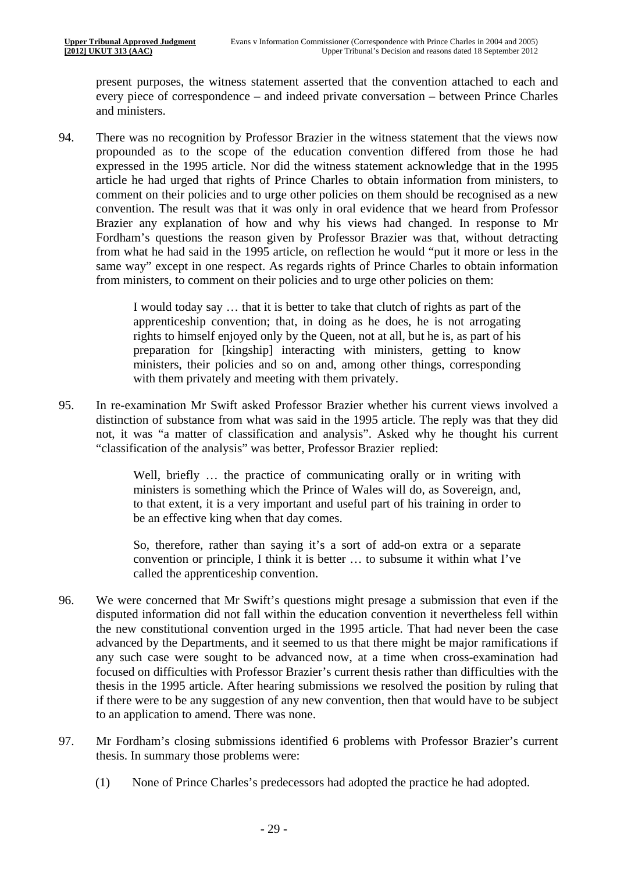present purposes, the witness statement asserted that the convention attached to each and every piece of correspondence – and indeed private conversation – between Prince Charles and ministers.

94. There was no recognition by Professor Brazier in the witness statement that the views now propounded as to the scope of the education convention differed from those he had expressed in the 1995 article. Nor did the witness statement acknowledge that in the 1995 article he had urged that rights of Prince Charles to obtain information from ministers, to comment on their policies and to urge other policies on them should be recognised as a new convention. The result was that it was only in oral evidence that we heard from Professor Brazier any explanation of how and why his views had changed. In response to Mr Fordham's questions the reason given by Professor Brazier was that, without detracting from what he had said in the 1995 article, on reflection he would "put it more or less in the same way" except in one respect. As regards rights of Prince Charles to obtain information from ministers, to comment on their policies and to urge other policies on them:

> I would today say … that it is better to take that clutch of rights as part of the apprenticeship convention; that, in doing as he does, he is not arrogating rights to himself enjoyed only by the Queen, not at all, but he is, as part of his preparation for [kingship] interacting with ministers, getting to know ministers, their policies and so on and, among other things, corresponding with them privately and meeting with them privately.

95. In re-examination Mr Swift asked Professor Brazier whether his current views involved a distinction of substance from what was said in the 1995 article. The reply was that they did not, it was "a matter of classification and analysis". Asked why he thought his current "classification of the analysis" was better, Professor Brazier replied:

> Well, briefly … the practice of communicating orally or in writing with ministers is something which the Prince of Wales will do, as Sovereign, and, to that extent, it is a very important and useful part of his training in order to be an effective king when that day comes.

> So, therefore, rather than saying it's a sort of add-on extra or a separate convention or principle, I think it is better … to subsume it within what I've called the apprenticeship convention.

- 96. We were concerned that Mr Swift's questions might presage a submission that even if the disputed information did not fall within the education convention it nevertheless fell within the new constitutional convention urged in the 1995 article. That had never been the case advanced by the Departments, and it seemed to us that there might be major ramifications if any such case were sought to be advanced now, at a time when cross-examination had focused on difficulties with Professor Brazier's current thesis rather than difficulties with the thesis in the 1995 article. After hearing submissions we resolved the position by ruling that if there were to be any suggestion of any new convention, then that would have to be subject to an application to amend. There was none.
- 97. Mr Fordham's closing submissions identified 6 problems with Professor Brazier's current thesis. In summary those problems were:
	- (1) None of Prince Charles's predecessors had adopted the practice he had adopted.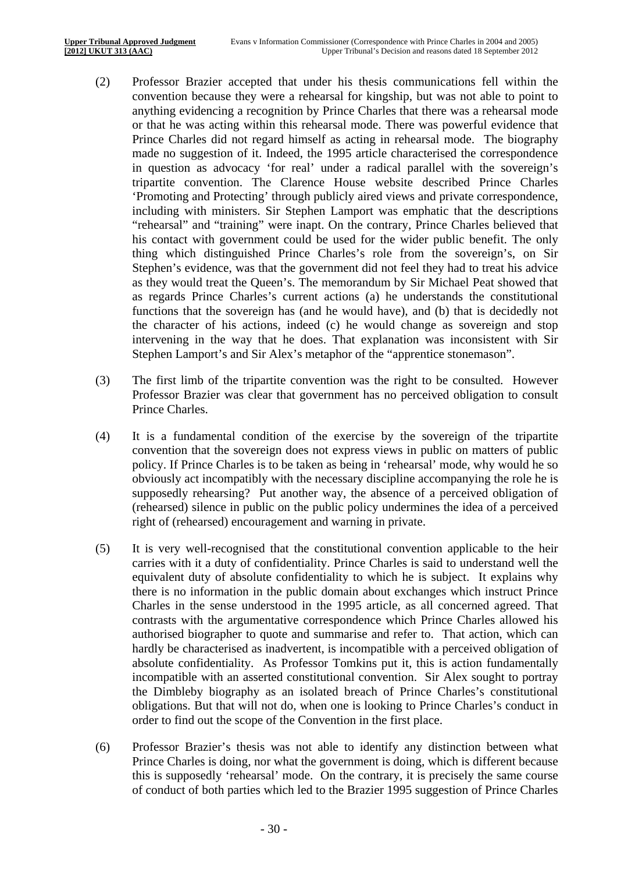- (2) Professor Brazier accepted that under his thesis communications fell within the convention because they were a rehearsal for kingship, but was not able to point to anything evidencing a recognition by Prince Charles that there was a rehearsal mode or that he was acting within this rehearsal mode. There was powerful evidence that Prince Charles did not regard himself as acting in rehearsal mode. The biography made no suggestion of it. Indeed, the 1995 article characterised the correspondence in question as advocacy 'for real' under a radical parallel with the sovereign's tripartite convention. The Clarence House website described Prince Charles 'Promoting and Protecting' through publicly aired views and private correspondence, including with ministers. Sir Stephen Lamport was emphatic that the descriptions "rehearsal" and "training" were inapt. On the contrary, Prince Charles believed that his contact with government could be used for the wider public benefit. The only thing which distinguished Prince Charles's role from the sovereign's, on Sir Stephen's evidence, was that the government did not feel they had to treat his advice as they would treat the Queen's. The memorandum by Sir Michael Peat showed that as regards Prince Charles's current actions (a) he understands the constitutional functions that the sovereign has (and he would have), and (b) that is decidedly not the character of his actions, indeed (c) he would change as sovereign and stop intervening in the way that he does. That explanation was inconsistent with Sir Stephen Lamport's and Sir Alex's metaphor of the "apprentice stonemason".
- (3) The first limb of the tripartite convention was the right to be consulted. However Professor Brazier was clear that government has no perceived obligation to consult Prince Charles.
- (4) It is a fundamental condition of the exercise by the sovereign of the tripartite convention that the sovereign does not express views in public on matters of public policy. If Prince Charles is to be taken as being in 'rehearsal' mode, why would he so obviously act incompatibly with the necessary discipline accompanying the role he is supposedly rehearsing? Put another way, the absence of a perceived obligation of (rehearsed) silence in public on the public policy undermines the idea of a perceived right of (rehearsed) encouragement and warning in private.
- incompatible with an asserted constitutional convention. Sir Alex sought to portray (5) It is very well-recognised that the constitutional convention applicable to the heir carries with it a duty of confidentiality. Prince Charles is said to understand well the equivalent duty of absolute confidentiality to which he is subject. It explains why there is no information in the public domain about exchanges which instruct Prince Charles in the sense understood in the 1995 article, as all concerned agreed. That contrasts with the argumentative correspondence which Prince Charles allowed his authorised biographer to quote and summarise and refer to. That action, which can hardly be characterised as inadvertent, is incompatible with a perceived obligation of absolute confidentiality. As Professor Tomkins put it, this is action fundamentally the Dimbleby biography as an isolated breach of Prince Charles's constitutional obligations. But that will not do, when one is looking to Prince Charles's conduct in order to find out the scope of the Convention in the first place.
- (6) Professor Brazier's thesis was not able to identify any distinction between what Prince Charles is doing, nor what the government is doing, which is different because this is supposedly 'rehearsal' mode. On the contrary, it is precisely the same course of conduct of both parties which led to the Brazier 1995 suggestion of Prince Charles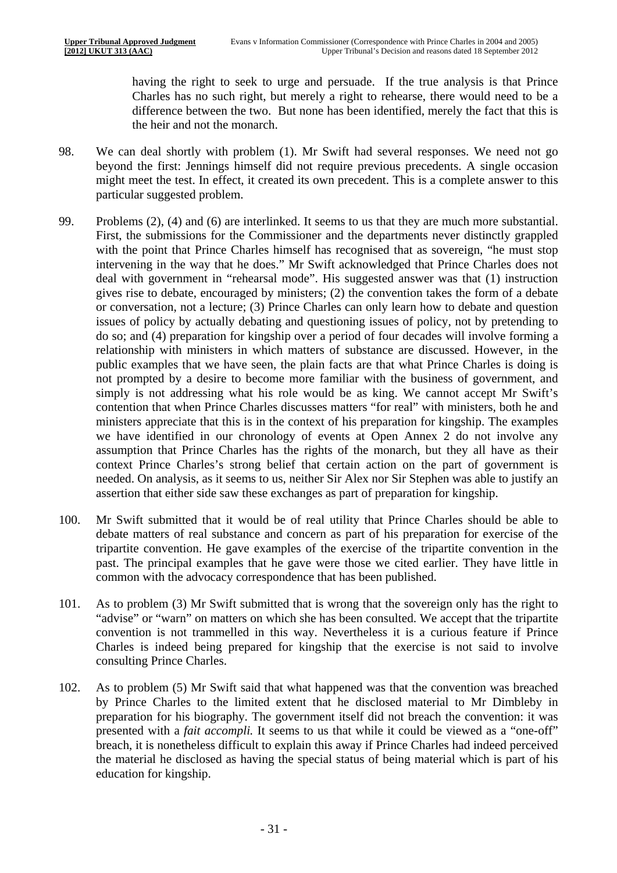having the right to seek to urge and persuade. If the true analysis is that Prince Charles has no such right, but merely a right to rehearse, there would need to be a difference between the two. But none has been identified, merely the fact that this is the heir and not the monarch.

- particular suggested problem. 98. We can deal shortly with problem (1). Mr Swift had several responses. We need not go beyond the first: Jennings himself did not require previous precedents. A single occasion might meet the test. In effect, it created its own precedent. This is a complete answer to this
- 99. Problems  $(2)$ ,  $(4)$  and  $(6)$  are interlinked. It seems to us that they are much more substantial. First, the submissions for the Commissioner and the departments never distinctly grappled with the point that Prince Charles himself has recognised that as sovereign, "he must stop intervening in the way that he does." Mr Swift acknowledged that Prince Charles does not deal with government in "rehearsal mode". His suggested answer was that (1) instruction gives rise to debate, encouraged by ministers; (2) the convention takes the form of a debate or conversation, not a lecture; (3) Prince Charles can only learn how to debate and question issues of policy by actually debating and questioning issues of policy, not by pretending to do so; and (4) preparation for kingship over a period of four decades will involve forming a relationship with ministers in which matters of substance are discussed. However, in the public examples that we have seen, the plain facts are that what Prince Charles is doing is not prompted by a desire to become more familiar with the business of government, and simply is not addressing what his role would be as king. We cannot accept Mr Swift's contention that when Prince Charles discusses matters "for real" with ministers, both he and ministers appreciate that this is in the context of his preparation for kingship. The examples we have identified in our chronology of events at Open Annex 2 do not involve any assumption that Prince Charles has the rights of the monarch, but they all have as their context Prince Charles's strong belief that certain action on the part of government is needed. On analysis, as it seems to us, neither Sir Alex nor Sir Stephen was able to justify an assertion that either side saw these exchanges as part of preparation for kingship.
- 100. Mr Swift submitted that it would be of real utility that Prince Charles should be able to debate matters of real substance and concern as part of his preparation for exercise of the tripartite convention. He gave examples of the exercise of the tripartite convention in the past. The principal examples that he gave were those we cited earlier. They have little in common with the advocacy correspondence that has been published.
- 101. As to problem (3) Mr Swift submitted that is wrong that the sovereign only has the right to "advise" or "warn" on matters on which she has been consulted. We accept that the tripartite convention is not trammelled in this way. Nevertheless it is a curious feature if Prince Charles is indeed being prepared for kingship that the exercise is not said to involve consulting Prince Charles.
- 102. As to problem (5) Mr Swift said that what happened was that the convention was breached by Prince Charles to the limited extent that he disclosed material to Mr Dimbleby in preparation for his biography. The government itself did not breach the convention: it was presented with a *fait accompli.* It seems to us that while it could be viewed as a "one-off" breach, it is nonetheless difficult to explain this away if Prince Charles had indeed perceived the material he disclosed as having the special status of being material which is part of his education for kingship.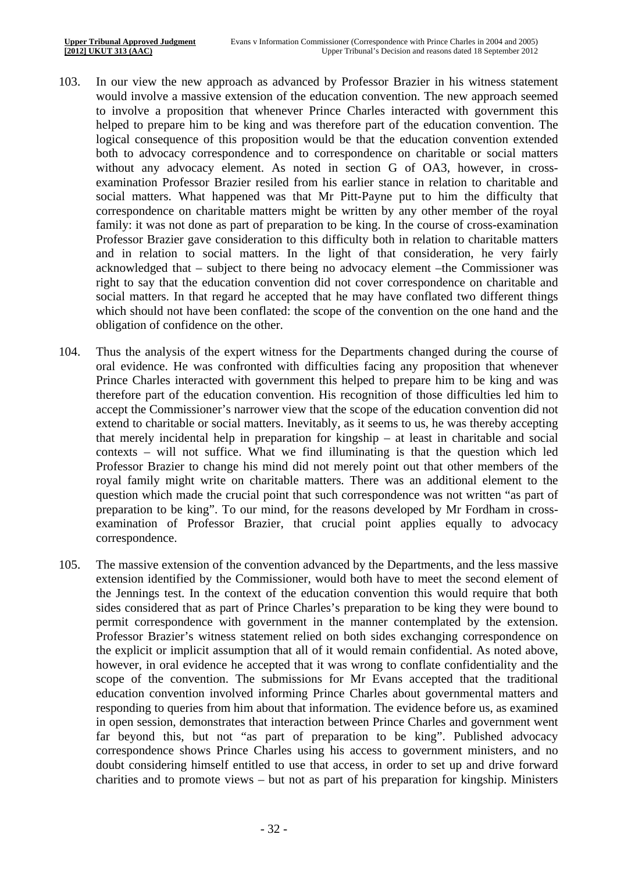- 103. In our view the new approach as advanced by Professor Brazier in his witness statement would involve a massive extension of the education convention. The new approach seemed to involve a proposition that whenever Prince Charles interacted with government this helped to prepare him to be king and was therefore part of the education convention. The logical consequence of this proposition would be that the education convention extended both to advocacy correspondence and to correspondence on charitable or social matters without any advocacy element. As noted in section G of OA3, however, in crossexamination Professor Brazier resiled from his earlier stance in relation to charitable and social matters. What happened was that Mr Pitt-Payne put to him the difficulty that correspondence on charitable matters might be written by any other member of the royal family: it was not done as part of preparation to be king. In the course of cross-examination Professor Brazier gave consideration to this difficulty both in relation to charitable matters and in relation to social matters. In the light of that consideration, he very fairly acknowledged that – subject to there being no advocacy element –the Commissioner was right to say that the education convention did not cover correspondence on charitable and social matters. In that regard he accepted that he may have conflated two different things which should not have been conflated: the scope of the convention on the one hand and the obligation of confidence on the other.
- 104. Thus the analysis of the expert witness for the Departments changed during the course of oral evidence. He was confronted with difficulties facing any proposition that whenever Prince Charles interacted with government this helped to prepare him to be king and was therefore part of the education convention. His recognition of those difficulties led him to accept the Commissioner's narrower view that the scope of the education convention did not extend to charitable or social matters. Inevitably, as it seems to us, he was thereby accepting that merely incidental help in preparation for kingship – at least in charitable and social contexts – will not suffice. What we find illuminating is that the question which led Professor Brazier to change his mind did not merely point out that other members of the royal family might write on charitable matters. There was an additional element to the question which made the crucial point that such correspondence was not written "as part of preparation to be king". To our mind, for the reasons developed by Mr Fordham in crossexamination of Professor Brazier, that crucial point applies equally to advocacy correspondence.
- 105. The massive extension of the convention advanced by the Departments, and the less massive extension identified by the Commissioner, would both have to meet the second element of the Jennings test. In the context of the education convention this would require that both sides considered that as part of Prince Charles's preparation to be king they were bound to permit correspondence with government in the manner contemplated by the extension. Professor Brazier's witness statement relied on both sides exchanging correspondence on the explicit or implicit assumption that all of it would remain confidential. As noted above, however, in oral evidence he accepted that it was wrong to conflate confidentiality and the scope of the convention. The submissions for Mr Evans accepted that the traditional education convention involved informing Prince Charles about governmental matters and responding to queries from him about that information. The evidence before us, as examined in open session, demonstrates that interaction between Prince Charles and government went far beyond this, but not "as part of preparation to be king". Published advocacy correspondence shows Prince Charles using his access to government ministers, and no doubt considering himself entitled to use that access, in order to set up and drive forward charities and to promote views – but not as part of his preparation for kingship. Ministers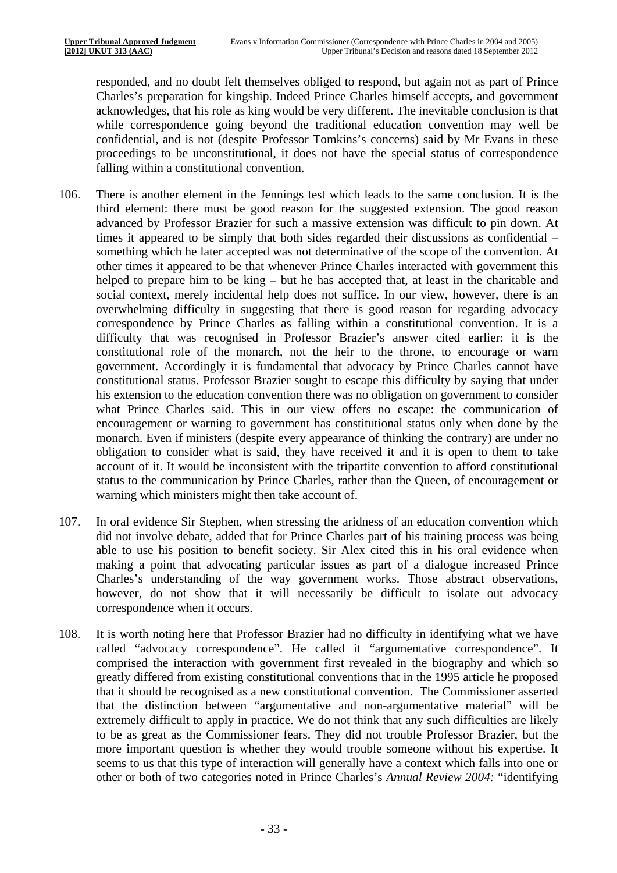responded, and no doubt felt themselves obliged to respond, but again not as part of Prince Charles's preparation for kingship. Indeed Prince Charles himself accepts, and government acknowledges, that his role as king would be very different. The inevitable conclusion is that while correspondence going beyond the traditional education convention may well be confidential, and is not (despite Professor Tomkins's concerns) said by Mr Evans in these proceedings to be unconstitutional, it does not have the special status of correspondence falling within a constitutional convention.

- 106. There is another element in the Jennings test which leads to the same conclusion. It is the third element: there must be good reason for the suggested extension. The good reason advanced by Professor Brazier for such a massive extension was difficult to pin down. At times it appeared to be simply that both sides regarded their discussions as confidential – something which he later accepted was not determinative of the scope of the convention. At other times it appeared to be that whenever Prince Charles interacted with government this helped to prepare him to be king – but he has accepted that, at least in the charitable and social context, merely incidental help does not suffice. In our view, however, there is an overwhelming difficulty in suggesting that there is good reason for regarding advocacy correspondence by Prince Charles as falling within a constitutional convention. It is a difficulty that was recognised in Professor Brazier's answer cited earlier: it is the constitutional role of the monarch, not the heir to the throne, to encourage or warn government. Accordingly it is fundamental that advocacy by Prince Charles cannot have constitutional status. Professor Brazier sought to escape this difficulty by saying that under his extension to the education convention there was no obligation on government to consider what Prince Charles said. This in our view offers no escape: the communication of encouragement or warning to government has constitutional status only when done by the monarch. Even if ministers (despite every appearance of thinking the contrary) are under no obligation to consider what is said, they have received it and it is open to them to take account of it. It would be inconsistent with the tripartite convention to afford constitutional status to the communication by Prince Charles, rather than the Queen, of encouragement or warning which ministers might then take account of.
- 107. In oral evidence Sir Stephen, when stressing the aridness of an education convention which did not involve debate, added that for Prince Charles part of his training process was being able to use his position to benefit society. Sir Alex cited this in his oral evidence when making a point that advocating particular issues as part of a dialogue increased Prince Charles's understanding of the way government works. Those abstract observations, however, do not show that it will necessarily be difficult to isolate out advocacy correspondence when it occurs.
- 108. It is worth noting here that Professor Brazier had no difficulty in identifying what we have called "advocacy correspondence". He called it "argumentative correspondence". It comprised the interaction with government first revealed in the biography and which so greatly differed from existing constitutional conventions that in the 1995 article he proposed that it should be recognised as a new constitutional convention. The Commissioner asserted that the distinction between "argumentative and non-argumentative material" will be extremely difficult to apply in practice. We do not think that any such difficulties are likely to be as great as the Commissioner fears. They did not trouble Professor Brazier, but the more important question is whether they would trouble someone without his expertise. It seems to us that this type of interaction will generally have a context which falls into one or other or both of two categories noted in Prince Charles's *Annual Review 2004:* "identifying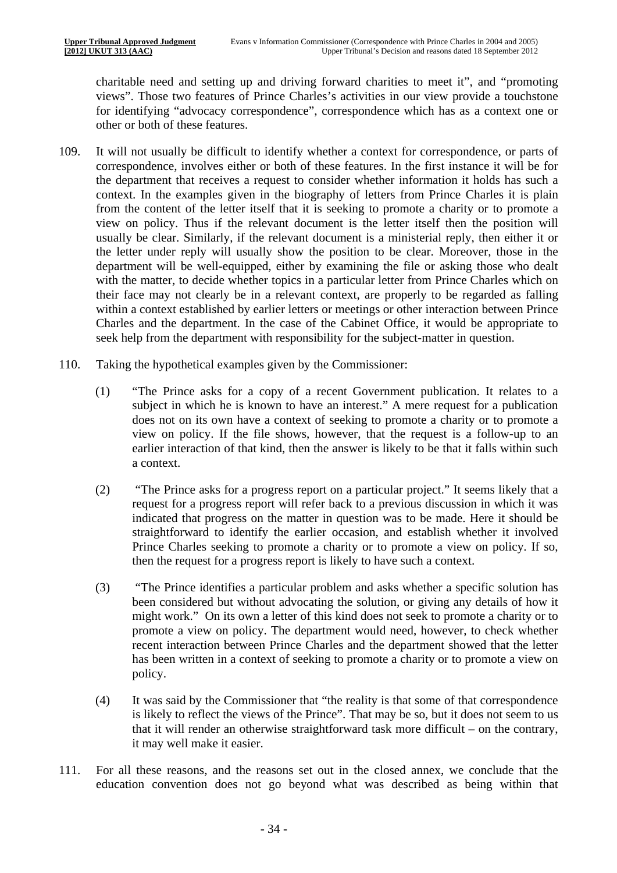charitable need and setting up and driving forward charities to meet it", and "promoting views". Those two features of Prince Charles's activities in our view provide a touchstone for identifying "advocacy correspondence", correspondence which has as a context one or other or both of these features.

- 109. It will not usually be difficult to identify whether a context for correspondence, or parts of correspondence, involves either or both of these features. In the first instance it will be for the department that receives a request to consider whether information it holds has such a context. In the examples given in the biography of letters from Prince Charles it is plain from the content of the letter itself that it is seeking to promote a charity or to promote a view on policy. Thus if the relevant document is the letter itself then the position will usually be clear. Similarly, if the relevant document is a ministerial reply, then either it or the letter under reply will usually show the position to be clear. Moreover, those in the department will be well-equipped, either by examining the file or asking those who dealt with the matter, to decide whether topics in a particular letter from Prince Charles which on their face may not clearly be in a relevant context, are properly to be regarded as falling within a context established by earlier letters or meetings or other interaction between Prince Charles and the department. In the case of the Cabinet Office, it would be appropriate to seek help from the department with responsibility for the subject-matter in question.
- 110. Taking the hypothetical examples given by the Commissioner:
	- (1) "The Prince asks for a copy of a recent Government publication. It relates to a subject in which he is known to have an interest." A mere request for a publication does not on its own have a context of seeking to promote a charity or to promote a view on policy. If the file shows, however, that the request is a follow-up to an earlier interaction of that kind, then the answer is likely to be that it falls within such a context.
	- (2) "The Prince asks for a progress report on a particular project." It seems likely that a request for a progress report will refer back to a previous discussion in which it was indicated that progress on the matter in question was to be made. Here it should be straightforward to identify the earlier occasion, and establish whether it involved Prince Charles seeking to promote a charity or to promote a view on policy. If so, then the request for a progress report is likely to have such a context.
	- (3) "The Prince identifies a particular problem and asks whether a specific solution has been considered but without advocating the solution, or giving any details of how it might work." On its own a letter of this kind does not seek to promote a charity or to promote a view on policy. The department would need, however, to check whether recent interaction between Prince Charles and the department showed that the letter has been written in a context of seeking to promote a charity or to promote a view on policy.
	- (4) It was said by the Commissioner that "the reality is that some of that correspondence is likely to reflect the views of the Prince". That may be so, but it does not seem to us that it will render an otherwise straightforward task more difficult – on the contrary, it may well make it easier.
- 111. For all these reasons, and the reasons set out in the closed annex, we conclude that the education convention does not go beyond what was described as being within that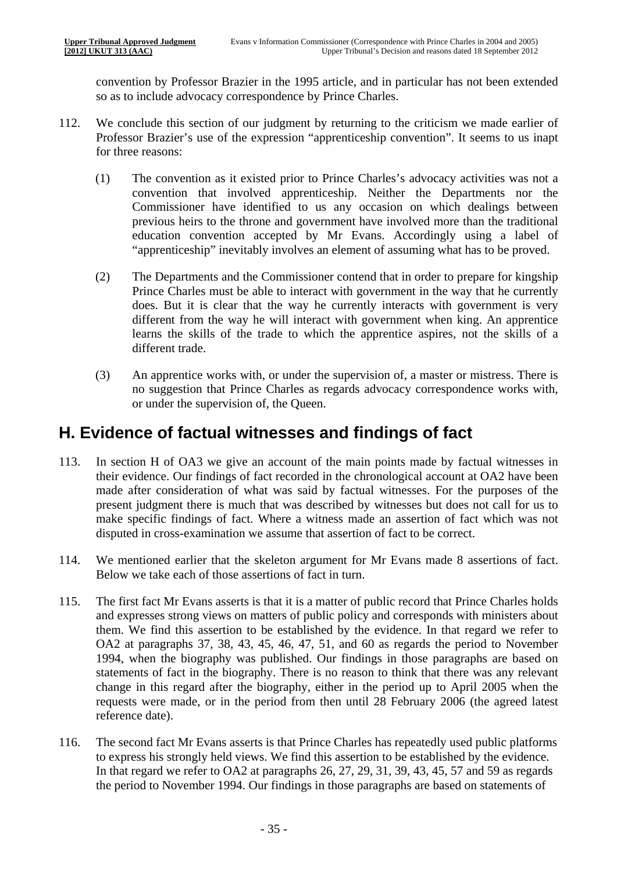convention by Professor Brazier in the 1995 article, and in particular has not been extended so as to include advocacy correspondence by Prince Charles.

- 112. We conclude this section of our judgment by returning to the criticism we made earlier of Professor Brazier's use of the expression "apprenticeship convention". It seems to us inapt for three reasons:
	- (1) The convention as it existed prior to Prince Charles's advocacy activities was not a convention that involved apprenticeship. Neither the Departments nor the Commissioner have identified to us any occasion on which dealings between previous heirs to the throne and government have involved more than the traditional education convention accepted by Mr Evans. Accordingly using a label of "apprenticeship" inevitably involves an element of assuming what has to be proved.
	- (2) The Departments and the Commissioner contend that in order to prepare for kingship Prince Charles must be able to interact with government in the way that he currently does. But it is clear that the way he currently interacts with government is very different from the way he will interact with government when king. An apprentice learns the skills of the trade to which the apprentice aspires, not the skills of a different trade.
	- (3) An apprentice works with, or under the supervision of, a master or mistress. There is no suggestion that Prince Charles as regards advocacy correspondence works with, or under the supervision of, the Queen.

### **H. Evidence of factual witnesses and findings of fact**

- 113. In section H of OA3 we give an account of the main points made by factual witnesses in their evidence. Our findings of fact recorded in the chronological account at OA2 have been made after consideration of what was said by factual witnesses. For the purposes of the present judgment there is much that was described by witnesses but does not call for us to make specific findings of fact. Where a witness made an assertion of fact which was not disputed in cross-examination we assume that assertion of fact to be correct.
- 114. We mentioned earlier that the skeleton argument for Mr Evans made 8 assertions of fact. Below we take each of those assertions of fact in turn.
- 115. The first fact Mr Evans asserts is that it is a matter of public record that Prince Charles holds and expresses strong views on matters of public policy and corresponds with ministers about them. We find this assertion to be established by the evidence. In that regard we refer to OA2 at paragraphs 37, 38, 43, 45, 46, 47, 51, and 60 as regards the period to November 1994, when the biography was published. Our findings in those paragraphs are based on statements of fact in the biography. There is no reason to think that there was any relevant change in this regard after the biography, either in the period up to April 2005 when the requests were made, or in the period from then until 28 February 2006 (the agreed latest reference date).
- 116. The second fact Mr Evans asserts is that Prince Charles has repeatedly used public platforms to express his strongly held views. We find this assertion to be established by the evidence. In that regard we refer to OA2 at paragraphs 26, 27, 29, 31, 39, 43, 45, 57 and 59 as regards the period to November 1994. Our findings in those paragraphs are based on statements of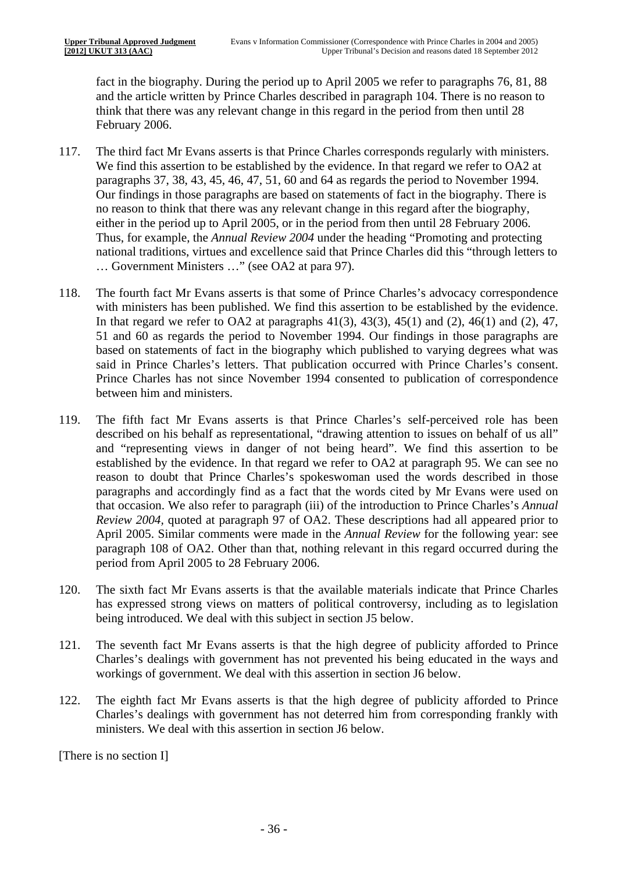fact in the biography. During the period up to April 2005 we refer to paragraphs 76, 81, 88 and the article written by Prince Charles described in paragraph 104. There is no reason to think that there was any relevant change in this regard in the period from then until 28 February 2006.

- 117. The third fact Mr Evans asserts is that Prince Charles corresponds regularly with ministers. We find this assertion to be established by the evidence. In that regard we refer to OA2 at paragraphs 37, 38, 43, 45, 46, 47, 51, 60 and 64 as regards the period to November 1994. Our findings in those paragraphs are based on statements of fact in the biography. There is no reason to think that there was any relevant change in this regard after the biography, either in the period up to April 2005, or in the period from then until 28 February 2006. Thus, for example, the *Annual Review 2004* under the heading "Promoting and protecting national traditions, virtues and excellence said that Prince Charles did this "through letters to … Government Ministers …" (see OA2 at para 97).
- 118. The fourth fact Mr Evans asserts is that some of Prince Charles's advocacy correspondence with ministers has been published. We find this assertion to be established by the evidence. In that regard we refer to OA2 at paragraphs  $41(3)$ ,  $43(3)$ ,  $45(1)$  and  $(2)$ ,  $46(1)$  and  $(2)$ ,  $47$ , 51 and 60 as regards the period to November 1994. Our findings in those paragraphs are based on statements of fact in the biography which published to varying degrees what was said in Prince Charles's letters. That publication occurred with Prince Charles's consent. Prince Charles has not since November 1994 consented to publication of correspondence between him and ministers.
- 119. The fifth fact Mr Evans asserts is that Prince Charles's self-perceived role has been described on his behalf as representational, "drawing attention to issues on behalf of us all" and "representing views in danger of not being heard". We find this assertion to be established by the evidence. In that regard we refer to OA2 at paragraph 95. We can see no reason to doubt that Prince Charles's spokeswoman used the words described in those paragraphs and accordingly find as a fact that the words cited by Mr Evans were used on that occasion. We also refer to paragraph (iii) of the introduction to Prince Charles's *Annual Review 2004*, quoted at paragraph 97 of OA2. These descriptions had all appeared prior to April 2005. Similar comments were made in the *Annual Review* for the following year: see paragraph 108 of OA2. Other than that, nothing relevant in this regard occurred during the period from April 2005 to 28 February 2006.
- 120. The sixth fact Mr Evans asserts is that the available materials indicate that Prince Charles has expressed strong views on matters of political controversy, including as to legislation being introduced. We deal with this subject in section J5 below.
- 121. The seventh fact Mr Evans asserts is that the high degree of publicity afforded to Prince Charles's dealings with government has not prevented his being educated in the ways and workings of government. We deal with this assertion in section J6 below.
- 122. The eighth fact Mr Evans asserts is that the high degree of publicity afforded to Prince Charles's dealings with government has not deterred him from corresponding frankly with ministers. We deal with this assertion in section J6 below.

[There is no section I]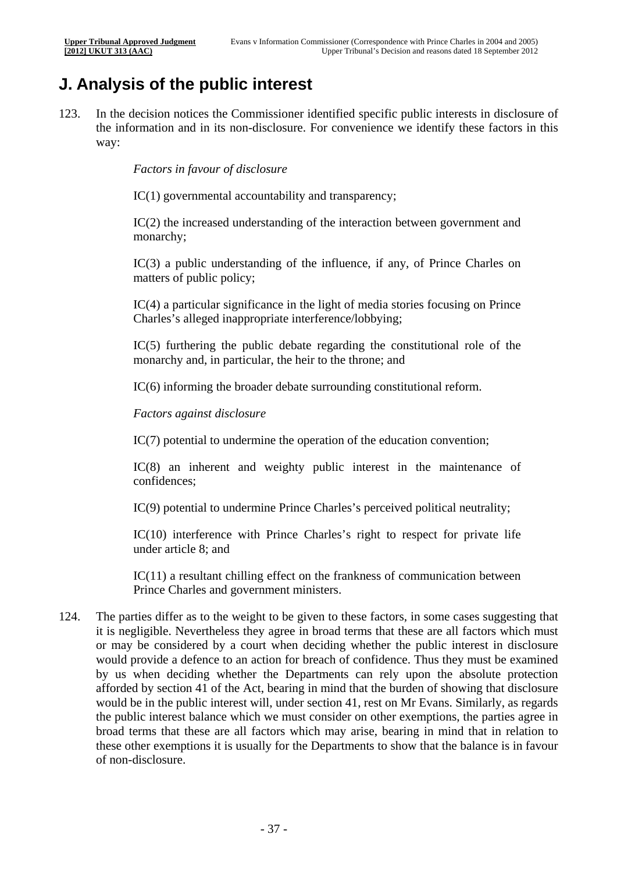## **J. Analysis of the public interest**

123. In the decision notices the Commissioner identified specific public interests in disclosure of the information and in its non-disclosure. For convenience we identify these factors in this way:

*Factors in favour of disclosure* 

IC(1) governmental accountability and transparency;

IC(2) the increased understanding of the interaction between government and monarchy;

IC(3) a public understanding of the influence, if any, of Prince Charles on matters of public policy;

IC(4) a particular significance in the light of media stories focusing on Prince Charles's alleged inappropriate interference/lobbying;

IC(5) furthering the public debate regarding the constitutional role of the monarchy and, in particular, the heir to the throne; and

IC(6) informing the broader debate surrounding constitutional reform.

*Factors against disclosure* 

IC(7) potential to undermine the operation of the education convention;

IC(8) an inherent and weighty public interest in the maintenance of confidences;

IC(9) potential to undermine Prince Charles's perceived political neutrality;

IC(10) interference with Prince Charles's right to respect for private life under article 8; and

IC(11) a resultant chilling effect on the frankness of communication between Prince Charles and government ministers.

124. The parties differ as to the weight to be given to these factors, in some cases suggesting that it is negligible. Nevertheless they agree in broad terms that these are all factors which must or may be considered by a court when deciding whether the public interest in disclosure would provide a defence to an action for breach of confidence. Thus they must be examined by us when deciding whether the Departments can rely upon the absolute protection afforded by section 41 of the Act, bearing in mind that the burden of showing that disclosure would be in the public interest will, under section 41, rest on Mr Evans. Similarly, as regards the public interest balance which we must consider on other exemptions, the parties agree in broad terms that these are all factors which may arise, bearing in mind that in relation to these other exemptions it is usually for the Departments to show that the balance is in favour of non-disclosure.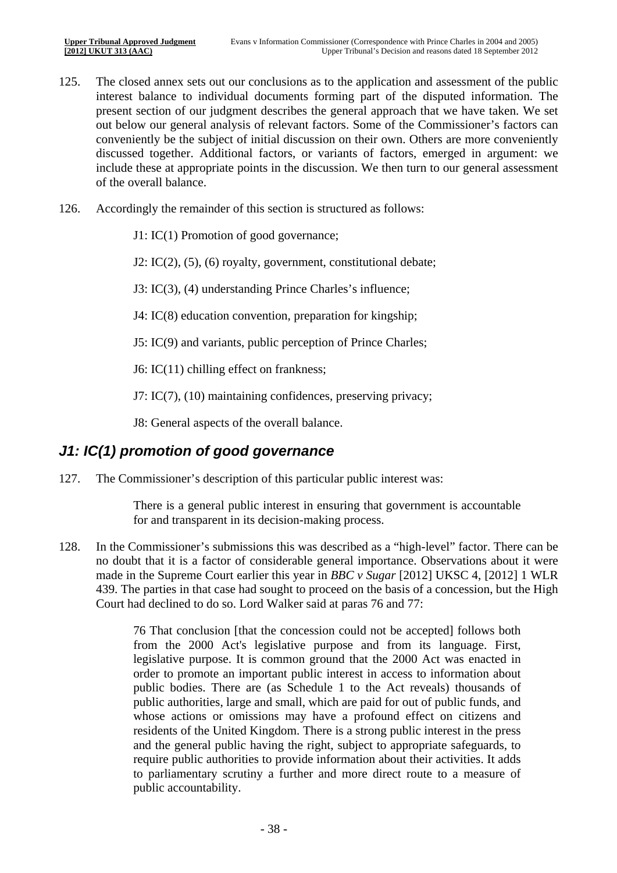- 125. The closed annex sets out our conclusions as to the application and assessment of the public interest balance to individual documents forming part of the disputed information. The present section of our judgment describes the general approach that we have taken. We set out below our general analysis of relevant factors. Some of the Commissioner's factors can conveniently be the subject of initial discussion on their own. Others are more conveniently discussed together. Additional factors, or variants of factors, emerged in argument: we include these at appropriate points in the discussion. We then turn to our general assessment of the overall balance.
- 126. Accordingly the remainder of this section is structured as follows:
	- J1: IC(1) Promotion of good governance;

J2: IC(2), (5), (6) royalty, government, constitutional debate;

J3: IC(3), (4) understanding Prince Charles's influence;

- J4: IC(8) education convention, preparation for kingship;
- J5: IC(9) and variants, public perception of Prince Charles;

J6: IC(11) chilling effect on frankness;

J7: IC(7), (10) maintaining confidences, preserving privacy;

J8: General aspects of the overall balance.

#### *J1: IC(1) promotion of good governance*

127. The Commissioner's description of this particular public interest was:

There is a general public interest in ensuring that government is accountable for and transparent in its decision-making process.

128. In the Commissioner's submissions this was described as a "high-level" factor. There can be no doubt that it is a factor of considerable general importance. Observations about it were made in the Supreme Court earlier this year in *BBC v Sugar* [2012] UKSC 4, [2012] 1 WLR 439. The parties in that case had sought to proceed on the basis of a concession, but the High Court had declined to do so. Lord Walker said at paras 76 and 77:

> 76 That conclusion [that the concession could not be accepted] follows both from the 2000 Act's legislative purpose and from its language. First, legislative purpose. It is common ground that the 2000 Act was enacted in order to promote an important public interest in access to information about public bodies. There are (as Schedule 1 to the Act reveals) thousands of public authorities, large and small, which are paid for out of public funds, and whose actions or omissions may have a profound effect on citizens and residents of the United Kingdom. There is a strong public interest in the press and the general public having the right, subject to appropriate safeguards, to require public authorities to provide information about their activities. It adds to parliamentary scrutiny a further and more direct route to a measure of public accountability.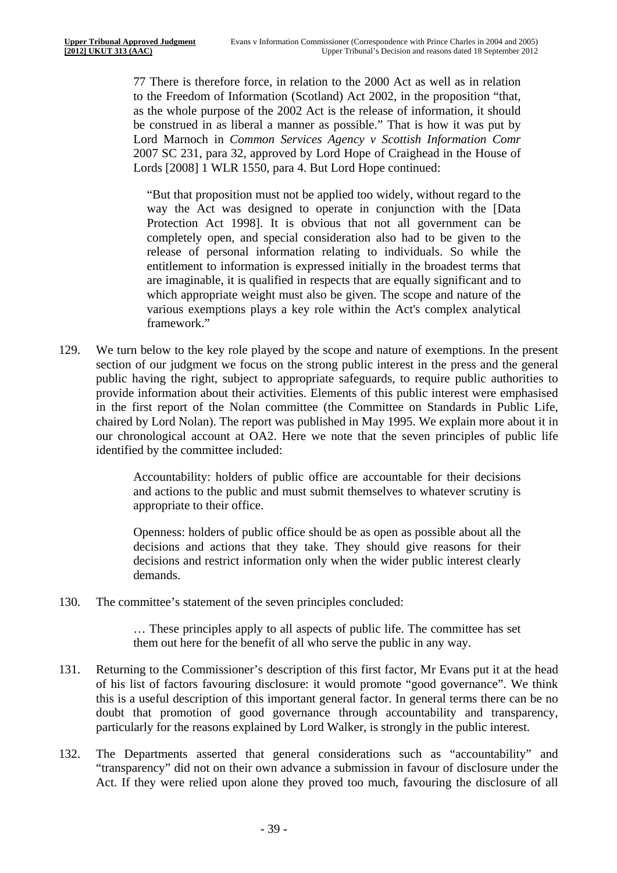77 There is therefore force, in relation to the 2000 Act as well as in relation to the Freedom of Information (Scotland) Act 2002, in the proposition "that, as the whole purpose of the 2002 Act is the release of information, it should be construed in as liberal a manner as possible." That is how it was put by Lord Marnoch in *Common Services Agency v Scottish Information Comr*  2007 SC 231, para 32, approved by Lord Hope of Craighead in the House of Lords [2008] 1 WLR 1550, para 4. But Lord Hope continued:

"But that proposition must not be applied too widely, without regard to the way the Act was designed to operate in conjunction with the [Data Protection Act 1998]. It is obvious that not all government can be completely open, and special consideration also had to be given to the release of personal information relating to individuals. So while the entitlement to information is expressed initially in the broadest terms that are imaginable, it is qualified in respects that are equally significant and to which appropriate weight must also be given. The scope and nature of the various exemptions plays a key role within the Act's complex analytical framework."

129. We turn below to the key role played by the scope and nature of exemptions. In the present section of our judgment we focus on the strong public interest in the press and the general public having the right, subject to appropriate safeguards, to require public authorities to provide information about their activities. Elements of this public interest were emphasised in the first report of the Nolan committee (the Committee on Standards in Public Life, chaired by Lord Nolan). The report was published in May 1995. We explain more about it in our chronological account at OA2. Here we note that the seven principles of public life identified by the committee included:

> Accountability: holders of public office are accountable for their decisions and actions to the public and must submit themselves to whatever scrutiny is appropriate to their office.

> Openness: holders of public office should be as open as possible about all the decisions and actions that they take. They should give reasons for their decisions and restrict information only when the wider public interest clearly demands.

130. The committee's statement of the seven principles concluded:

… These principles apply to all aspects of public life. The committee has set them out here for the benefit of all who serve the public in any way.

- particularly for the reasons explained by Lord Walker, is strongly in the public interest. 131. Returning to the Commissioner's description of this first factor, Mr Evans put it at the head of his list of factors favouring disclosure: it would promote "good governance". We think this is a useful description of this important general factor. In general terms there can be no doubt that promotion of good governance through accountability and transparency,
- 132. The Departments asserted that general considerations such as "accountability" and "transparency" did not on their own advance a submission in favour of disclosure under the Act. If they were relied upon alone they proved too much, favouring the disclosure of all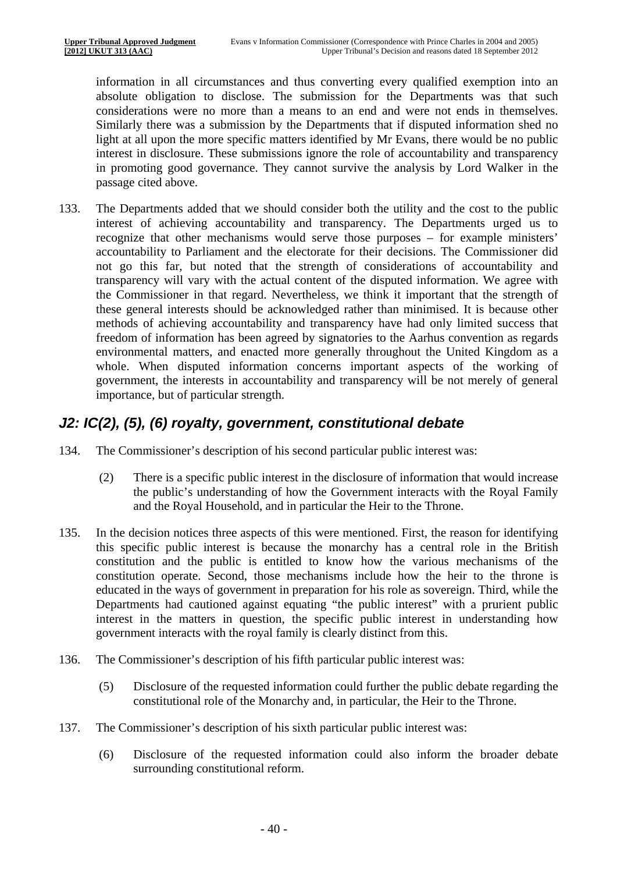information in all circumstances and thus converting every qualified exemption into an absolute obligation to disclose. The submission for the Departments was that such considerations were no more than a means to an end and were not ends in themselves. Similarly there was a submission by the Departments that if disputed information shed no light at all upon the more specific matters identified by Mr Evans, there would be no public interest in disclosure. These submissions ignore the role of accountability and transparency in promoting good governance. They cannot survive the analysis by Lord Walker in the passage cited above.

133. The Departments added that we should consider both the utility and the cost to the public interest of achieving accountability and transparency. The Departments urged us to recognize that other mechanisms would serve those purposes – for example ministers' accountability to Parliament and the electorate for their decisions. The Commissioner did not go this far, but noted that the strength of considerations of accountability and transparency will vary with the actual content of the disputed information. We agree with the Commissioner in that regard. Nevertheless, we think it important that the strength of these general interests should be acknowledged rather than minimised. It is because other methods of achieving accountability and transparency have had only limited success that freedom of information has been agreed by signatories to the Aarhus convention as regards environmental matters, and enacted more generally throughout the United Kingdom as a whole. When disputed information concerns important aspects of the working of government, the interests in accountability and transparency will be not merely of general importance, but of particular strength.

#### *J2: IC(2), (5), (6) royalty, government, constitutional debate*

- 134. The Commissioner's description of his second particular public interest was:
	- (2) There is a specific public interest in the disclosure of information that would increase the public's understanding of how the Government interacts with the Royal Family and the Royal Household, and in particular the Heir to the Throne.
- 135. In the decision notices three aspects of this were mentioned. First, the reason for identifying this specific public interest is because the monarchy has a central role in the British constitution and the public is entitled to know how the various mechanisms of the constitution operate. Second, those mechanisms include how the heir to the throne is educated in the ways of government in preparation for his role as sovereign. Third, while the Departments had cautioned against equating "the public interest" with a prurient public interest in the matters in question, the specific public interest in understanding how government interacts with the royal family is clearly distinct from this.
- 136. The Commissioner's description of his fifth particular public interest was:
	- $(5)$ Disclosure of the requested information could further the public debate regarding the constitutional role of the Monarchy and, in particular, the Heir to the Throne.
- 137. The Commissioner's description of his sixth particular public interest was:
	- $(6)$ Disclosure of the requested information could also inform the broader debate surrounding constitutional reform.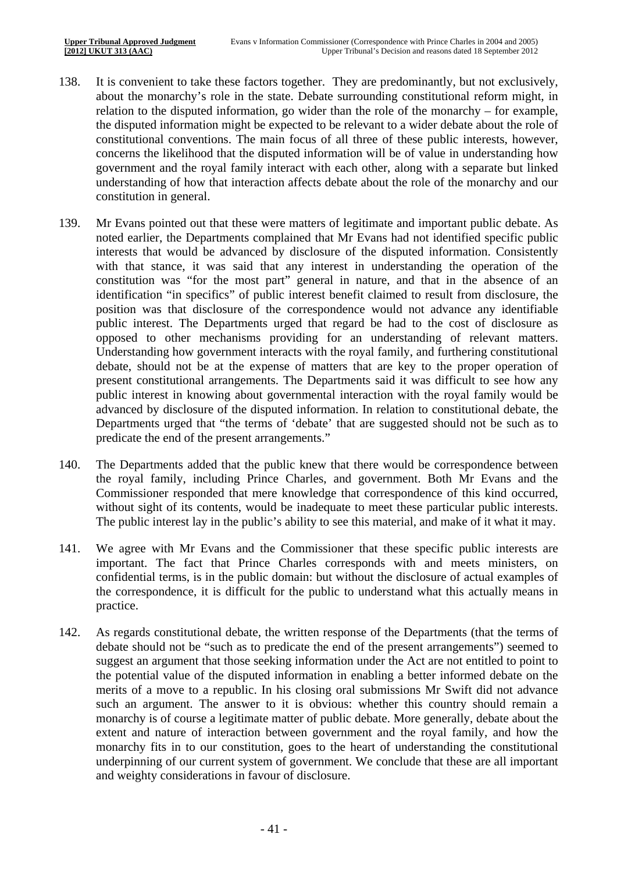- 138. It is convenient to take these factors together. They are predominantly, but not exclusively, about the monarchy's role in the state. Debate surrounding constitutional reform might, in relation to the disputed information, go wider than the role of the monarchy – for example, the disputed information might be expected to be relevant to a wider debate about the role of constitutional conventions. The main focus of all three of these public interests, however, concerns the likelihood that the disputed information will be of value in understanding how government and the royal family interact with each other, along with a separate but linked understanding of how that interaction affects debate about the role of the monarchy and our constitution in general.
- 139. Mr Evans pointed out that these were matters of legitimate and important public debate. As noted earlier, the Departments complained that Mr Evans had not identified specific public interests that would be advanced by disclosure of the disputed information. Consistently with that stance, it was said that any interest in understanding the operation of the constitution was "for the most part" general in nature, and that in the absence of an identification "in specifics" of public interest benefit claimed to result from disclosure, the position was that disclosure of the correspondence would not advance any identifiable public interest. The Departments urged that regard be had to the cost of disclosure as opposed to other mechanisms providing for an understanding of relevant matters. Understanding how government interacts with the royal family, and furthering constitutional debate, should not be at the expense of matters that are key to the proper operation of present constitutional arrangements. The Departments said it was difficult to see how any public interest in knowing about governmental interaction with the royal family would be advanced by disclosure of the disputed information. In relation to constitutional debate, the Departments urged that "the terms of 'debate' that are suggested should not be such as to predicate the end of the present arrangements."
- 140. The Departments added that the public knew that there would be correspondence between the royal family, including Prince Charles, and government. Both Mr Evans and the Commissioner responded that mere knowledge that correspondence of this kind occurred, without sight of its contents, would be inadequate to meet these particular public interests. The public interest lay in the public's ability to see this material, and make of it what it may.
- 141. We agree with Mr Evans and the Commissioner that these specific public interests are important. The fact that Prince Charles corresponds with and meets ministers, on confidential terms, is in the public domain: but without the disclosure of actual examples of the correspondence, it is difficult for the public to understand what this actually means in practice.
- 142. As regards constitutional debate, the written response of the Departments (that the terms of debate should not be "such as to predicate the end of the present arrangements") seemed to suggest an argument that those seeking information under the Act are not entitled to point to the potential value of the disputed information in enabling a better informed debate on the merits of a move to a republic. In his closing oral submissions Mr Swift did not advance such an argument. The answer to it is obvious: whether this country should remain a monarchy is of course a legitimate matter of public debate. More generally, debate about the extent and nature of interaction between government and the royal family, and how the monarchy fits in to our constitution, goes to the heart of understanding the constitutional underpinning of our current system of government. We conclude that these are all important and weighty considerations in favour of disclosure.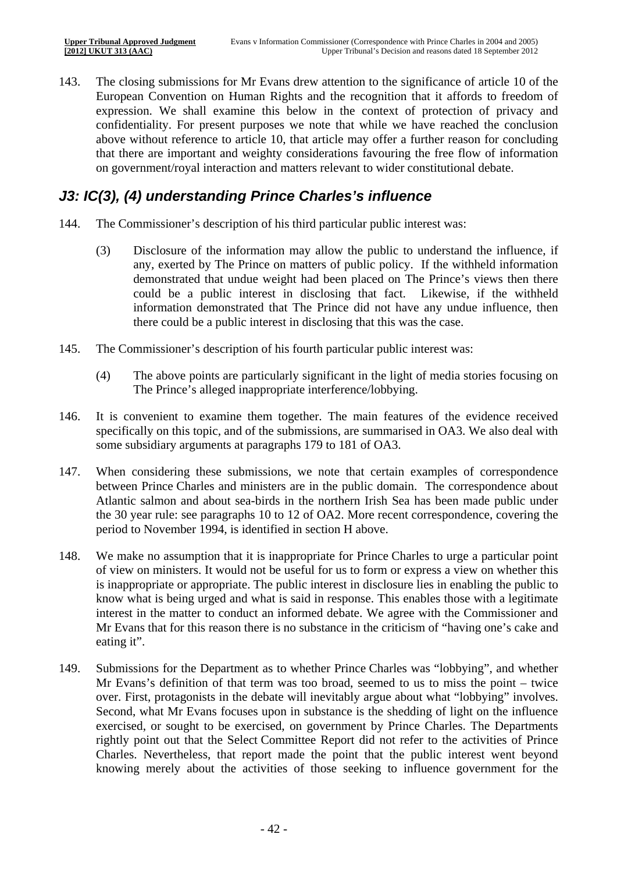143. The closing submissions for Mr Evans drew attention to the significance of article 10 of the European Convention on Human Rights and the recognition that it affords to freedom of expression. We shall examine this below in the context of protection of privacy and confidentiality. For present purposes we note that while we have reached the conclusion above without reference to article 10, that article may offer a further reason for concluding that there are important and weighty considerations favouring the free flow of information on government/royal interaction and matters relevant to wider constitutional debate.

### *J3: IC(3), (4) understanding Prince Charles's influence*

- 144. The Commissioner's description of his third particular public interest was:
	- (3) Disclosure of the information may allow the public to understand the influence, if any, exerted by The Prince on matters of public policy. If the withheld information demonstrated that undue weight had been placed on The Prince's views then there could be a public interest in disclosing that fact. Likewise, if the withheld information demonstrated that The Prince did not have any undue influence, then there could be a public interest in disclosing that this was the case.
- 145. The Commissioner's description of his fourth particular public interest was:
	- (4) The above points are particularly significant in the light of media stories focusing on The Prince's alleged inappropriate interference/lobbying.
- 146. It is convenient to examine them together. The main features of the evidence received specifically on this topic, and of the submissions, are summarised in OA3. We also deal with some subsidiary arguments at paragraphs 179 to 181 of OA3.
- 147. When considering these submissions, we note that certain examples of correspondence between Prince Charles and ministers are in the public domain. The correspondence about Atlantic salmon and about sea-birds in the northern Irish Sea has been made public under the 30 year rule: see paragraphs 10 to 12 of OA2. More recent correspondence, covering the period to November 1994, is identified in section H above.
- 148. We make no assumption that it is inappropriate for Prince Charles to urge a particular point of view on ministers. It would not be useful for us to form or express a view on whether this is inappropriate or appropriate. The public interest in disclosure lies in enabling the public to know what is being urged and what is said in response. This enables those with a legitimate interest in the matter to conduct an informed debate. We agree with the Commissioner and Mr Evans that for this reason there is no substance in the criticism of "having one's cake and eating it".
- 149. Submissions for the Department as to whether Prince Charles was "lobbying", and whether Mr Evans's definition of that term was too broad, seemed to us to miss the point – twice over. First, protagonists in the debate will inevitably argue about what "lobbying" involves. Second, what Mr Evans focuses upon in substance is the shedding of light on the influence exercised, or sought to be exercised, on government by Prince Charles. The Departments rightly point out that the Select Committee Report did not refer to the activities of Prince Charles. Nevertheless, that report made the point that the public interest went beyond knowing merely about the activities of those seeking to influence government for the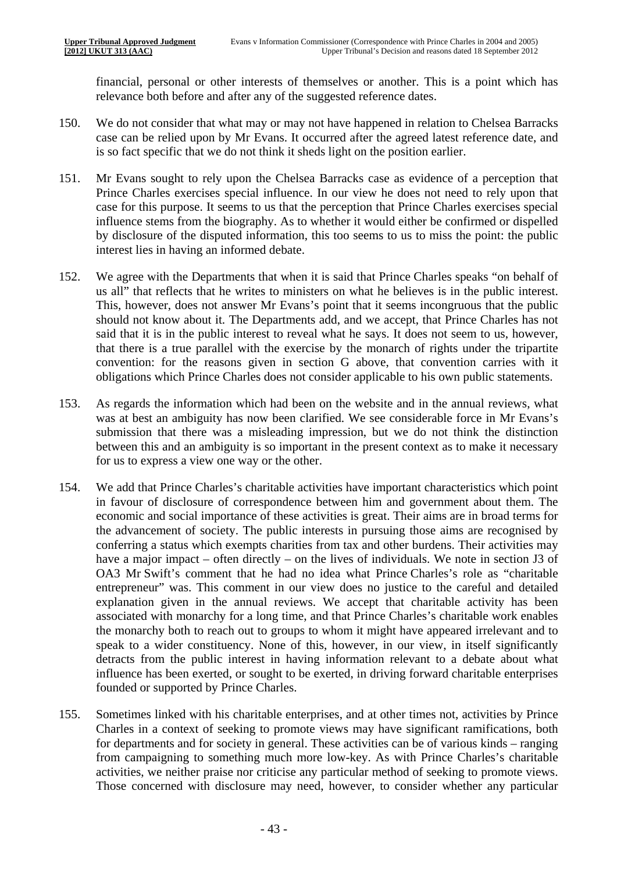financial, personal or other interests of themselves or another. This is a point which has relevance both before and after any of the suggested reference dates.

- 150. We do not consider that what may or may not have happened in relation to Chelsea Barracks case can be relied upon by Mr Evans. It occurred after the agreed latest reference date, and is so fact specific that we do not think it sheds light on the position earlier.
- 151. Mr Evans sought to rely upon the Chelsea Barracks case as evidence of a perception that Prince Charles exercises special influence. In our view he does not need to rely upon that case for this purpose. It seems to us that the perception that Prince Charles exercises special influence stems from the biography. As to whether it would either be confirmed or dispelled by disclosure of the disputed information, this too seems to us to miss the point: the public interest lies in having an informed debate.
- 152. We agree with the Departments that when it is said that Prince Charles speaks "on behalf of us all" that reflects that he writes to ministers on what he believes is in the public interest. This, however, does not answer Mr Evans's point that it seems incongruous that the public should not know about it. The Departments add, and we accept, that Prince Charles has not said that it is in the public interest to reveal what he says. It does not seem to us, however, that there is a true parallel with the exercise by the monarch of rights under the tripartite convention: for the reasons given in section G above, that convention carries with it obligations which Prince Charles does not consider applicable to his own public statements.
- 153. As regards the information which had been on the website and in the annual reviews, what was at best an ambiguity has now been clarified. We see considerable force in Mr Evans's submission that there was a misleading impression, but we do not think the distinction between this and an ambiguity is so important in the present context as to make it necessary for us to express a view one way or the other.
- 154. We add that Prince Charles's charitable activities have important characteristics which point in favour of disclosure of correspondence between him and government about them. The economic and social importance of these activities is great. Their aims are in broad terms for the advancement of society. The public interests in pursuing those aims are recognised by conferring a status which exempts charities from tax and other burdens. Their activities may have a major impact – often directly – on the lives of individuals. We note in section J3 of OA3 Mr Swift's comment that he had no idea what Prince Charles's role as "charitable entrepreneur" was. This comment in our view does no justice to the careful and detailed explanation given in the annual reviews. We accept that charitable activity has been associated with monarchy for a long time, and that Prince Charles's charitable work enables the monarchy both to reach out to groups to whom it might have appeared irrelevant and to speak to a wider constituency. None of this, however, in our view, in itself significantly detracts from the public interest in having information relevant to a debate about what influence has been exerted, or sought to be exerted, in driving forward charitable enterprises founded or supported by Prince Charles.
- 155. Sometimes linked with his charitable enterprises, and at other times not, activities by Prince Charles in a context of seeking to promote views may have significant ramifications, both for departments and for society in general. These activities can be of various kinds – ranging from campaigning to something much more low-key. As with Prince Charles's charitable activities, we neither praise nor criticise any particular method of seeking to promote views. Those concerned with disclosure may need, however, to consider whether any particular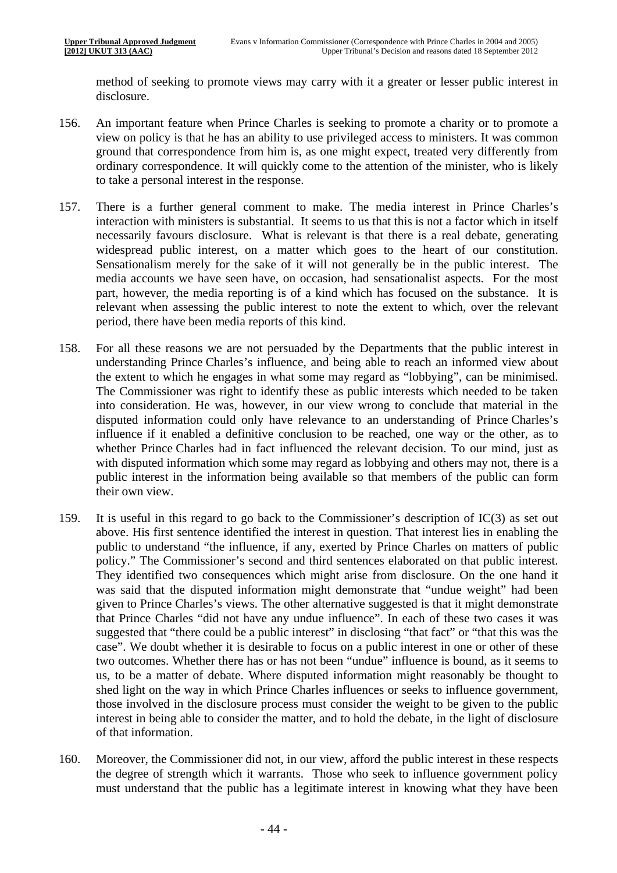method of seeking to promote views may carry with it a greater or lesser public interest in disclosure.

- 156. An important feature when Prince Charles is seeking to promote a charity or to promote a view on policy is that he has an ability to use privileged access to ministers. It was common ground that correspondence from him is, as one might expect, treated very differently from ordinary correspondence. It will quickly come to the attention of the minister, who is likely to take a personal interest in the response.
- widespread public interest, on a matter which goes to the heart of our constitution. Sensationalism merely for the sake of it will not generally be in the public interest. The 157. There is a further general comment to make. The media interest in Prince Charles's interaction with ministers is substantial. It seems to us that this is not a factor which in itself necessarily favours disclosure. What is relevant is that there is a real debate, generating media accounts we have seen have, on occasion, had sensationalist aspects. For the most part, however, the media reporting is of a kind which has focused on the substance. It is relevant when assessing the public interest to note the extent to which, over the relevant period, there have been media reports of this kind.
- 158. For all these reasons we are not persuaded by the Departments that the public interest in understanding Prince Charles's influence, and being able to reach an informed view about the extent to which he engages in what some may regard as "lobbying", can be minimised. The Commissioner was right to identify these as public interests which needed to be taken into consideration. He was, however, in our view wrong to conclude that material in the disputed information could only have relevance to an understanding of Prince Charles's influence if it enabled a definitive conclusion to be reached, one way or the other, as to whether Prince Charles had in fact influenced the relevant decision. To our mind, just as with disputed information which some may regard as lobbying and others may not, there is a public interest in the information being available so that members of the public can form their own view.
- 159. It is useful in this regard to go back to the Commissioner's description of  $IC(3)$  as set out above. His first sentence identified the interest in question. That interest lies in enabling the public to understand "the influence, if any, exerted by Prince Charles on matters of public policy." The Commissioner's second and third sentences elaborated on that public interest. They identified two consequences which might arise from disclosure. On the one hand it was said that the disputed information might demonstrate that "undue weight" had been given to Prince Charles's views. The other alternative suggested is that it might demonstrate that Prince Charles "did not have any undue influence". In each of these two cases it was suggested that "there could be a public interest" in disclosing "that fact" or "that this was the case". We doubt whether it is desirable to focus on a public interest in one or other of these two outcomes. Whether there has or has not been "undue" influence is bound, as it seems to us, to be a matter of debate. Where disputed information might reasonably be thought to shed light on the way in which Prince Charles influences or seeks to influence government, those involved in the disclosure process must consider the weight to be given to the public interest in being able to consider the matter, and to hold the debate, in the light of disclosure of that information.
- 160. Moreover, the Commissioner did not, in our view, afford the public interest in these respects the degree of strength which it warrants. Those who seek to influence government policy must understand that the public has a legitimate interest in knowing what they have been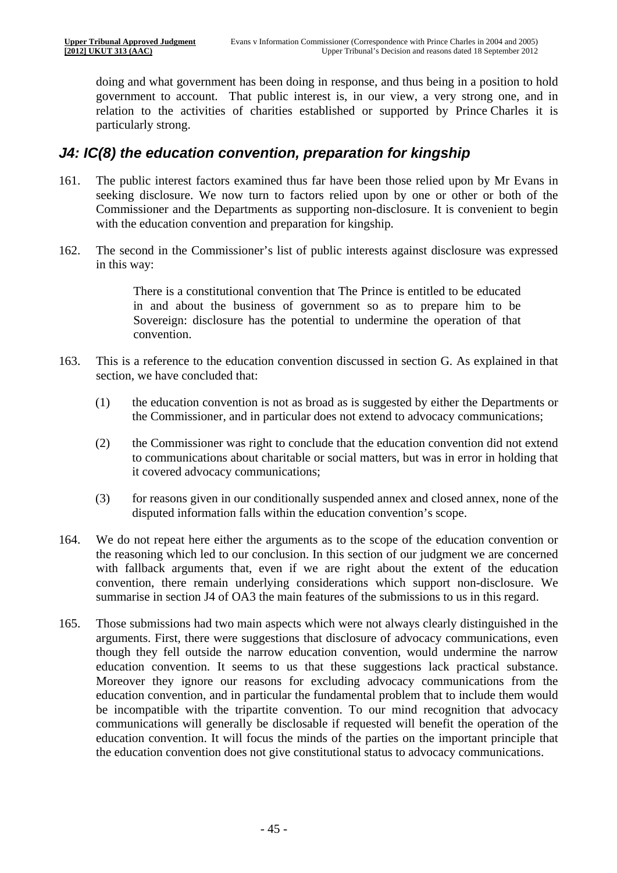doing and what government has been doing in response, and thus being in a position to hold government to account. That public interest is, in our view, a very strong one, and in relation to the activities of charities established or supported by Prince Charles it is particularly strong.

#### *J4: IC(8) the education convention, preparation for kingship*

- 161. The public interest factors examined thus far have been those relied upon by Mr Evans in seeking disclosure. We now turn to factors relied upon by one or other or both of the Commissioner and the Departments as supporting non-disclosure. It is convenient to begin with the education convention and preparation for kingship.
- 162. The second in the Commissioner's list of public interests against disclosure was expressed in this way:

There is a constitutional convention that The Prince is entitled to be educated in and about the business of government so as to prepare him to be Sovereign: disclosure has the potential to undermine the operation of that convention.

- 163. This is a reference to the education convention discussed in section G. As explained in that section, we have concluded that:
	- (1) the education convention is not as broad as is suggested by either the Departments or the Commissioner, and in particular does not extend to advocacy communications;
	- (2) the Commissioner was right to conclude that the education convention did not extend to communications about charitable or social matters, but was in error in holding that it covered advocacy communications;
	- (3) for reasons given in our conditionally suspended annex and closed annex, none of the disputed information falls within the education convention's scope.
- 164. We do not repeat here either the arguments as to the scope of the education convention or the reasoning which led to our conclusion. In this section of our judgment we are concerned with fallback arguments that, even if we are right about the extent of the education convention, there remain underlying considerations which support non-disclosure. We summarise in section J4 of OA3 the main features of the submissions to us in this regard.
- 165. Those submissions had two main aspects which were not always clearly distinguished in the arguments. First, there were suggestions that disclosure of advocacy communications, even though they fell outside the narrow education convention, would undermine the narrow education convention. It seems to us that these suggestions lack practical substance. Moreover they ignore our reasons for excluding advocacy communications from the education convention, and in particular the fundamental problem that to include them would be incompatible with the tripartite convention. To our mind recognition that advocacy communications will generally be disclosable if requested will benefit the operation of the education convention. It will focus the minds of the parties on the important principle that the education convention does not give constitutional status to advocacy communications.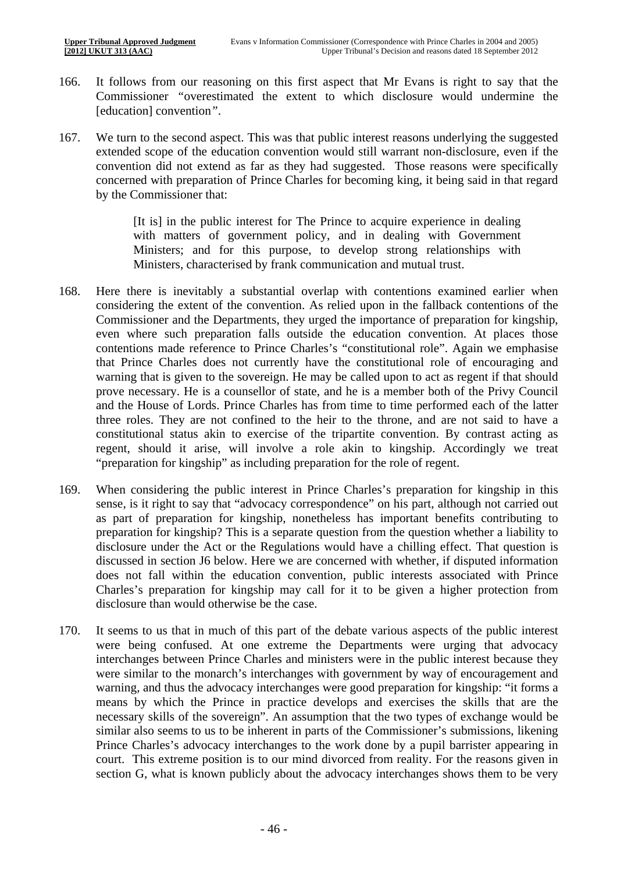- 166. It follows from our reasoning on this first aspect that Mr Evans is right to say that the Commissioner *"*overestimated the extent to which disclosure would undermine the [education] convention*"*.
- 167. We turn to the second aspect. This was that public interest reasons underlying the suggested extended scope of the education convention would still warrant non-disclosure, even if the convention did not extend as far as they had suggested. Those reasons were specifically concerned with preparation of Prince Charles for becoming king, it being said in that regard by the Commissioner that:

[It is] in the public interest for The Prince to acquire experience in dealing with matters of government policy, and in dealing with Government Ministers; and for this purpose, to develop strong relationships with Ministers, characterised by frank communication and mutual trust.

- 168. Here there is inevitably a substantial overlap with contentions examined earlier when considering the extent of the convention. As relied upon in the fallback contentions of the Commissioner and the Departments, they urged the importance of preparation for kingship, even where such preparation falls outside the education convention. At places those contentions made reference to Prince Charles's "constitutional role". Again we emphasise that Prince Charles does not currently have the constitutional role of encouraging and warning that is given to the sovereign. He may be called upon to act as regent if that should prove necessary. He is a counsellor of state, and he is a member both of the Privy Council and the House of Lords. Prince Charles has from time to time performed each of the latter three roles. They are not confined to the heir to the throne, and are not said to have a constitutional status akin to exercise of the tripartite convention. By contrast acting as regent, should it arise, will involve a role akin to kingship. Accordingly we treat "preparation for kingship" as including preparation for the role of regent.
- 169. When considering the public interest in Prince Charles's preparation for kingship in this sense, is it right to say that "advocacy correspondence" on his part, although not carried out as part of preparation for kingship, nonetheless has important benefits contributing to preparation for kingship? This is a separate question from the question whether a liability to disclosure under the Act or the Regulations would have a chilling effect. That question is discussed in section J6 below. Here we are concerned with whether, if disputed information does not fall within the education convention, public interests associated with Prince Charles's preparation for kingship may call for it to be given a higher protection from disclosure than would otherwise be the case.
- 170. It seems to us that in much of this part of the debate various aspects of the public interest were being confused. At one extreme the Departments were urging that advocacy interchanges between Prince Charles and ministers were in the public interest because they were similar to the monarch's interchanges with government by way of encouragement and warning, and thus the advocacy interchanges were good preparation for kingship: "it forms a means by which the Prince in practice develops and exercises the skills that are the necessary skills of the sovereign". An assumption that the two types of exchange would be similar also seems to us to be inherent in parts of the Commissioner's submissions, likening Prince Charles's advocacy interchanges to the work done by a pupil barrister appearing in court. This extreme position is to our mind divorced from reality. For the reasons given in section G, what is known publicly about the advocacy interchanges shows them to be very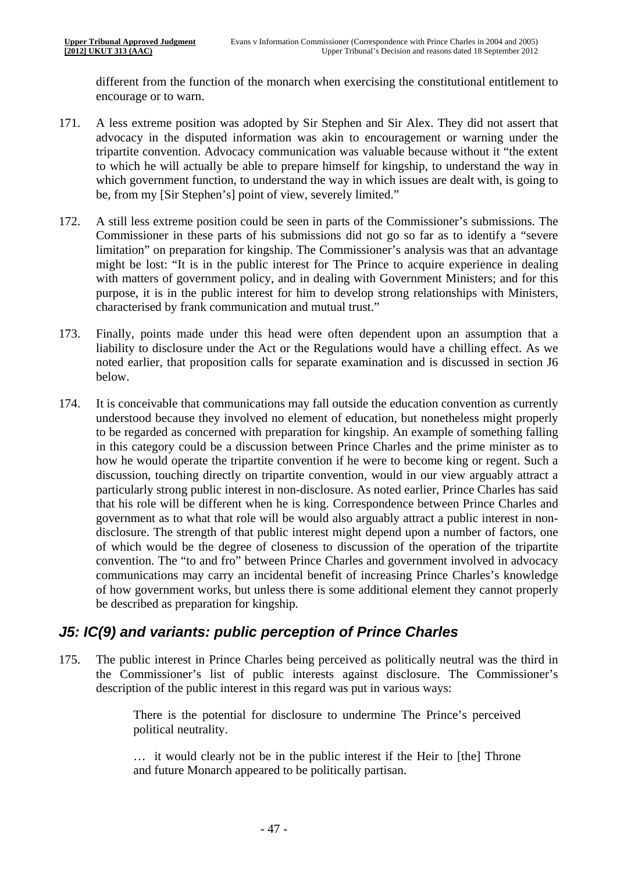different from the function of the monarch when exercising the constitutional entitlement to encourage or to warn.

- 171. A less extreme position was adopted by Sir Stephen and Sir Alex. They did not assert that advocacy in the disputed information was akin to encouragement or warning under the tripartite convention. Advocacy communication was valuable because without it "the extent to which he will actually be able to prepare himself for kingship, to understand the way in which government function, to understand the way in which issues are dealt with, is going to be, from my [Sir Stephen's] point of view, severely limited."
- 172. A still less extreme position could be seen in parts of the Commissioner's submissions. The Commissioner in these parts of his submissions did not go so far as to identify a "severe limitation" on preparation for kingship. The Commissioner's analysis was that an advantage might be lost: "It is in the public interest for The Prince to acquire experience in dealing with matters of government policy, and in dealing with Government Ministers; and for this purpose, it is in the public interest for him to develop strong relationships with Ministers, characterised by frank communication and mutual trust."
- 173. Finally, points made under this head were often dependent upon an assumption that a liability to disclosure under the Act or the Regulations would have a chilling effect. As we noted earlier, that proposition calls for separate examination and is discussed in section J6 below.
- 174. It is conceivable that communications may fall outside the education convention as currently understood because they involved no element of education, but nonetheless might properly to be regarded as concerned with preparation for kingship. An example of something falling in this category could be a discussion between Prince Charles and the prime minister as to how he would operate the tripartite convention if he were to become king or regent. Such a discussion, touching directly on tripartite convention, would in our view arguably attract a particularly strong public interest in non-disclosure. As noted earlier, Prince Charles has said that his role will be different when he is king. Correspondence between Prince Charles and government as to what that role will be would also arguably attract a public interest in nondisclosure. The strength of that public interest might depend upon a number of factors, one of which would be the degree of closeness to discussion of the operation of the tripartite convention. The "to and fro" between Prince Charles and government involved in advocacy communications may carry an incidental benefit of increasing Prince Charles's knowledge of how government works, but unless there is some additional element they cannot properly be described as preparation for kingship.

### *J5: IC(9) and variants: public perception of Prince Charles*

175. The public interest in Prince Charles being perceived as politically neutral was the third in the Commissioner's list of public interests against disclosure. The Commissioner's description of the public interest in this regard was put in various ways:

> There is the potential for disclosure to undermine The Prince's perceived political neutrality.

> … it would clearly not be in the public interest if the Heir to [the] Throne and future Monarch appeared to be politically partisan.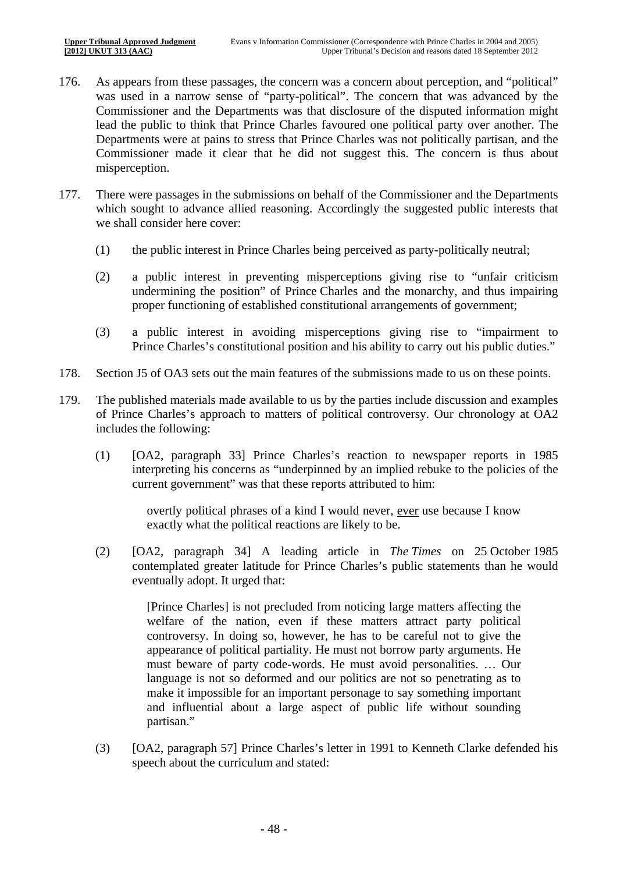- 176. As appears from these passages, the concern was a concern about perception, and "political" was used in a narrow sense of "party-political". The concern that was advanced by the Commissioner and the Departments was that disclosure of the disputed information might lead the public to think that Prince Charles favoured one political party over another. The Departments were at pains to stress that Prince Charles was not politically partisan, and the Commissioner made it clear that he did not suggest this. The concern is thus about misperception.
- 177. There were passages in the submissions on behalf of the Commissioner and the Departments which sought to advance allied reasoning. Accordingly the suggested public interests that we shall consider here cover:
	- (1) the public interest in Prince Charles being perceived as party-politically neutral;
	- (2) a public interest in preventing misperceptions giving rise to "unfair criticism undermining the position" of Prince Charles and the monarchy, and thus impairing proper functioning of established constitutional arrangements of government;
	- (3) a public interest in avoiding misperceptions giving rise to "impairment to Prince Charles's constitutional position and his ability to carry out his public duties."
- 178. Section J5 of OA3 sets out the main features of the submissions made to us on these points.
- 179. The published materials made available to us by the parties include discussion and examples of Prince Charles's approach to matters of political controversy. Our chronology at OA2 includes the following:
	- (1) [OA2, paragraph 33] Prince Charles's reaction to newspaper reports in 1985 interpreting his concerns as "underpinned by an implied rebuke to the policies of the current government" was that these reports attributed to him:

overtly political phrases of a kind I would never, ever use because I know exactly what the political reactions are likely to be.

(2) [OA2, paragraph 34] A leading article in *The Times* on 25 October 1985 contemplated greater latitude for Prince Charles's public statements than he would eventually adopt. It urged that:

> [Prince Charles] is not precluded from noticing large matters affecting the welfare of the nation, even if these matters attract party political controversy. In doing so, however, he has to be careful not to give the appearance of political partiality. He must not borrow party arguments. He must beware of party code-words. He must avoid personalities. … Our language is not so deformed and our politics are not so penetrating as to make it impossible for an important personage to say something important and influential about a large aspect of public life without sounding partisan."

(3) [OA2, paragraph 57] Prince Charles's letter in 1991 to Kenneth Clarke defended his speech about the curriculum and stated: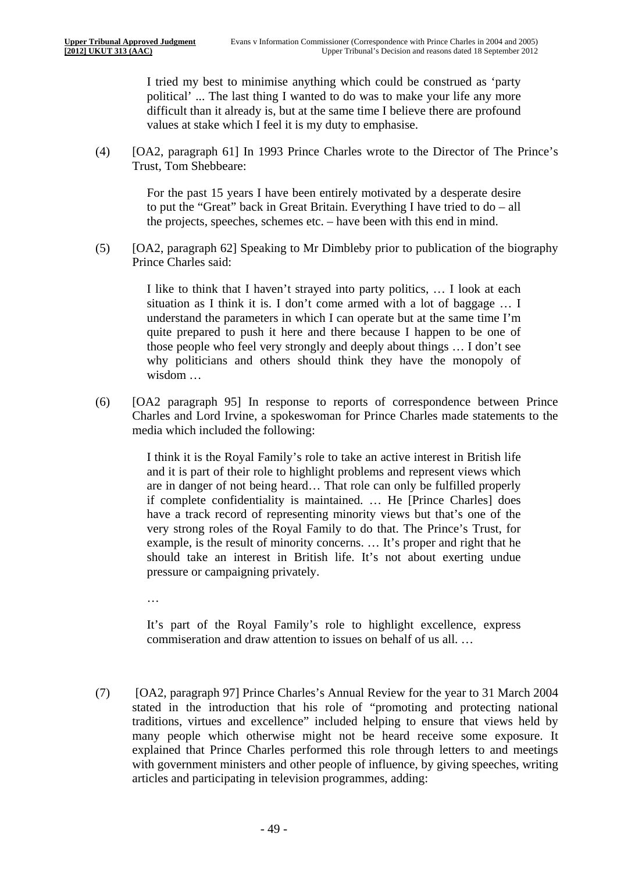I tried my best to minimise anything which could be construed as 'party political' ... The last thing I wanted to do was to make your life any more difficult than it already is, but at the same time I believe there are profound values at stake which I feel it is my duty to emphasise.

(4) [OA2, paragraph 61] In 1993 Prince Charles wrote to the Director of The Prince's Trust, Tom Shebbeare:

> For the past 15 years I have been entirely motivated by a desperate desire to put the "Great" back in Great Britain. Everything I have tried to do – all the projects, speeches, schemes etc. – have been with this end in mind.

(5) [OA2, paragraph 62] Speaking to Mr Dimbleby prior to publication of the biography Prince Charles said:

> I like to think that I haven't strayed into party politics, … I look at each situation as I think it is. I don't come armed with a lot of baggage … I understand the parameters in which I can operate but at the same time I'm quite prepared to push it here and there because I happen to be one of those people who feel very strongly and deeply about things … I don't see why politicians and others should think they have the monopoly of wisdom …

(6) [OA2 paragraph 95] In response to reports of correspondence between Prince Charles and Lord Irvine, a spokeswoman for Prince Charles made statements to the media which included the following:

> I think it is the Royal Family's role to take an active interest in British life and it is part of their role to highlight problems and represent views which are in danger of not being heard… That role can only be fulfilled properly if complete confidentiality is maintained. … He [Prince Charles] does have a track record of representing minority views but that's one of the very strong roles of the Royal Family to do that. The Prince's Trust, for example, is the result of minority concerns. … It's proper and right that he should take an interest in British life. It's not about exerting undue pressure or campaigning privately.

…

It's part of the Royal Family's role to highlight excellence, express commiseration and draw attention to issues on behalf of us all. …

(7) [OA2, paragraph 97] Prince Charles's Annual Review for the year to 31 March 2004 stated in the introduction that his role of "promoting and protecting national traditions, virtues and excellence" included helping to ensure that views held by many people which otherwise might not be heard receive some exposure. It explained that Prince Charles performed this role through letters to and meetings with government ministers and other people of influence, by giving speeches, writing articles and participating in television programmes, adding: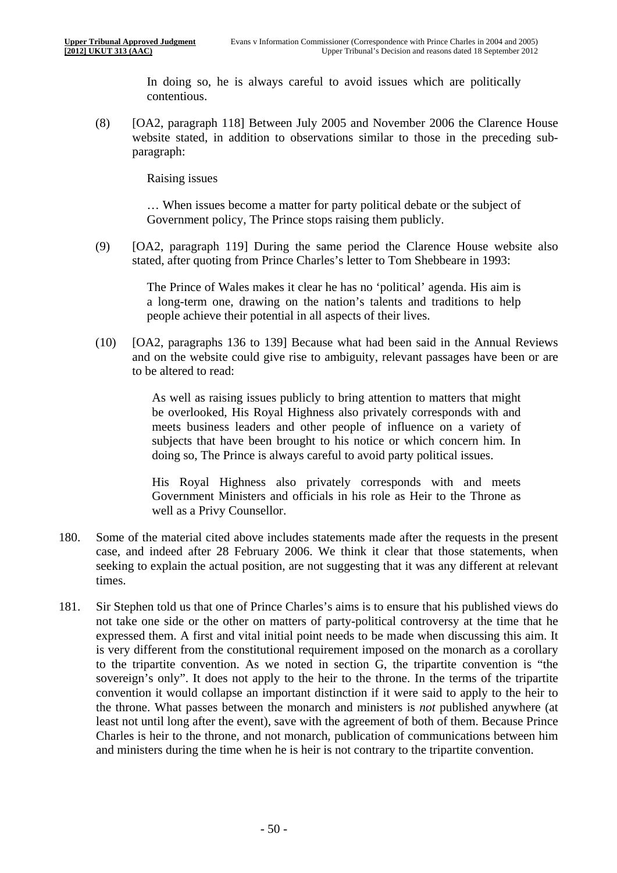In doing so, he is always careful to avoid issues which are politically contentious.

(8) [OA2, paragraph 118] Between July 2005 and November 2006 the Clarence House website stated, in addition to observations similar to those in the preceding subparagraph:

Raising issues

… When issues become a matter for party political debate or the subject of Government policy, The Prince stops raising them publicly.

(9) [OA2, paragraph 119] During the same period the Clarence House website also stated, after quoting from Prince Charles's letter to Tom Shebbeare in 1993:

> The Prince of Wales makes it clear he has no 'political' agenda. His aim is a long-term one, drawing on the nation's talents and traditions to help people achieve their potential in all aspects of their lives.

(10) [OA2, paragraphs 136 to 139] Because what had been said in the Annual Reviews and on the website could give rise to ambiguity, relevant passages have been or are to be altered to read:

> As well as raising issues publicly to bring attention to matters that might be overlooked, His Royal Highness also privately corresponds with and meets business leaders and other people of influence on a variety of subjects that have been brought to his notice or which concern him. In doing so, The Prince is always careful to avoid party political issues.

> His Royal Highness also privately corresponds with and meets Government Ministers and officials in his role as Heir to the Throne as well as a Privy Counsellor.

- 180. Some of the material cited above includes statements made after the requests in the present case, and indeed after 28 February 2006. We think it clear that those statements, when seeking to explain the actual position, are not suggesting that it was any different at relevant times.
- 181. Sir Stephen told us that one of Prince Charles's aims is to ensure that his published views do not take one side or the other on matters of party-political controversy at the time that he expressed them. A first and vital initial point needs to be made when discussing this aim. It is very different from the constitutional requirement imposed on the monarch as a corollary to the tripartite convention. As we noted in section G, the tripartite convention is "the sovereign's only". It does not apply to the heir to the throne. In the terms of the tripartite convention it would collapse an important distinction if it were said to apply to the heir to the throne. What passes between the monarch and ministers is *not* published anywhere (at least not until long after the event), save with the agreement of both of them. Because Prince Charles is heir to the throne, and not monarch, publication of communications between him and ministers during the time when he is heir is not contrary to the tripartite convention.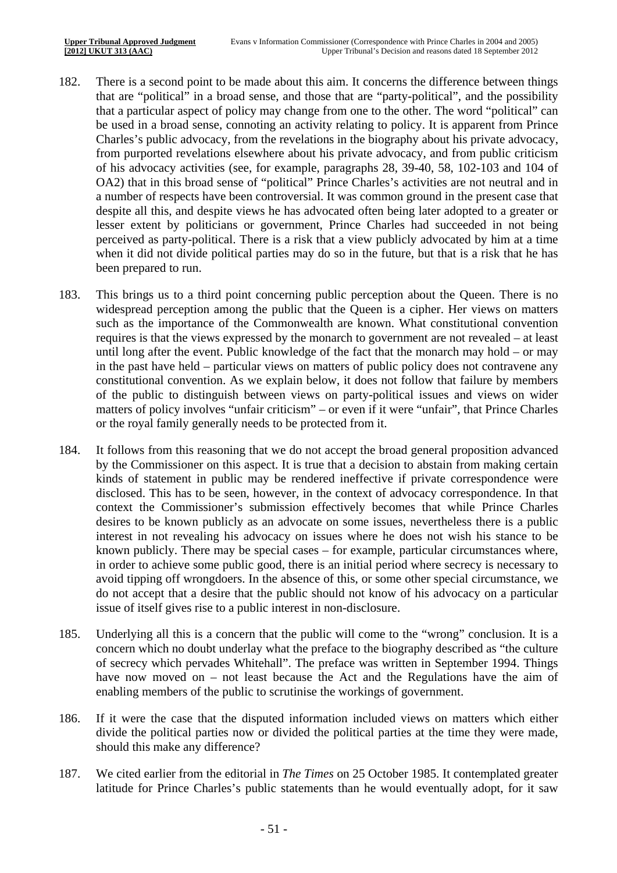- 182. There is a second point to be made about this aim. It concerns the difference between things that are "political" in a broad sense, and those that are "party-political", and the possibility that a particular aspect of policy may change from one to the other. The word "political" can be used in a broad sense, connoting an activity relating to policy. It is apparent from Prince Charles's public advocacy, from the revelations in the biography about his private advocacy, from purported revelations elsewhere about his private advocacy, and from public criticism of his advocacy activities (see, for example, paragraphs 28, 39-40, 58, 102-103 and 104 of OA2) that in this broad sense of "political" Prince Charles's activities are not neutral and in a number of respects have been controversial. It was common ground in the present case that despite all this, and despite views he has advocated often being later adopted to a greater or lesser extent by politicians or government, Prince Charles had succeeded in not being perceived as party-political. There is a risk that a view publicly advocated by him at a time when it did not divide political parties may do so in the future, but that is a risk that he has been prepared to run.
- 183. This brings us to a third point concerning public perception about the Queen. There is no widespread perception among the public that the Queen is a cipher. Her views on matters such as the importance of the Commonwealth are known. What constitutional convention requires is that the views expressed by the monarch to government are not revealed – at least until long after the event. Public knowledge of the fact that the monarch may hold – or may in the past have held – particular views on matters of public policy does not contravene any constitutional convention. As we explain below, it does not follow that failure by members of the public to distinguish between views on party-political issues and views on wider matters of policy involves "unfair criticism" – or even if it were "unfair", that Prince Charles or the royal family generally needs to be protected from it.
- 184. It follows from this reasoning that we do not accept the broad general proposition advanced by the Commissioner on this aspect. It is true that a decision to abstain from making certain kinds of statement in public may be rendered ineffective if private correspondence were disclosed. This has to be seen, however, in the context of advocacy correspondence. In that context the Commissioner's submission effectively becomes that while Prince Charles desires to be known publicly as an advocate on some issues, nevertheless there is a public interest in not revealing his advocacy on issues where he does not wish his stance to be known publicly. There may be special cases – for example, particular circumstances where, in order to achieve some public good, there is an initial period where secrecy is necessary to avoid tipping off wrongdoers. In the absence of this, or some other special circumstance, we do not accept that a desire that the public should not know of his advocacy on a particular issue of itself gives rise to a public interest in non-disclosure.
- 185. Underlying all this is a concern that the public will come to the "wrong" conclusion. It is a concern which no doubt underlay what the preface to the biography described as "the culture of secrecy which pervades Whitehall". The preface was written in September 1994. Things have now moved on – not least because the Act and the Regulations have the aim of enabling members of the public to scrutinise the workings of government.
- should this make any difference? 186. If it were the case that the disputed information included views on matters which either divide the political parties now or divided the political parties at the time they were made,
- 187. We cited earlier from the editorial in *The Times* on 25 October 1985. It contemplated greater latitude for Prince Charles's public statements than he would eventually adopt, for it saw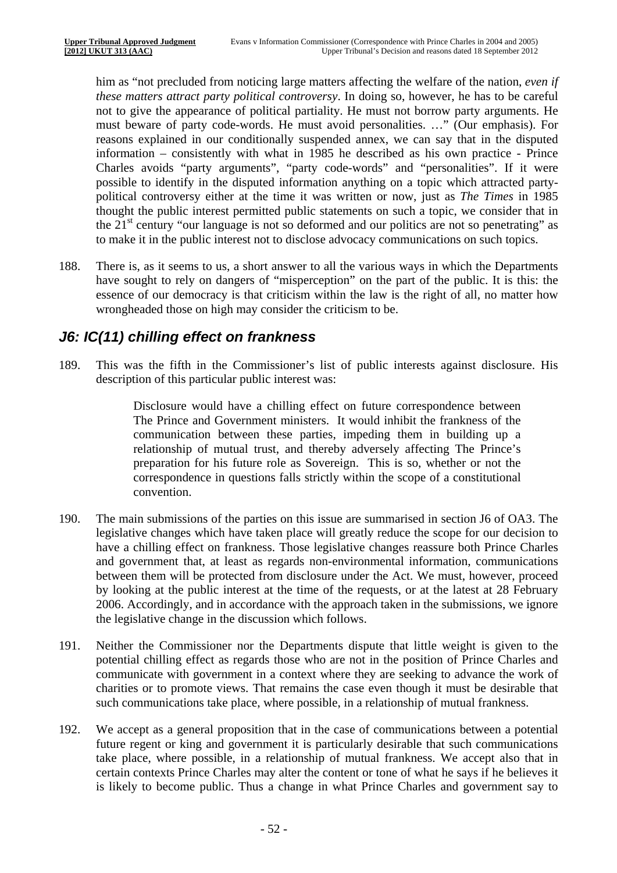him as "not precluded from noticing large matters affecting the welfare of the nation, *even if these matters attract party political controversy*. In doing so, however, he has to be careful not to give the appearance of political partiality. He must not borrow party arguments. He must beware of party code-words. He must avoid personalities. …" (Our emphasis). For reasons explained in our conditionally suspended annex, we can say that in the disputed information – consistently with what in 1985 he described as his own practice - Prince Charles avoids "party arguments", "party code-words" and "personalities". If it were possible to identify in the disputed information anything on a topic which attracted partypolitical controversy either at the time it was written or now, just as *The Times* in 1985 thought the public interest permitted public statements on such a topic, we consider that in the  $21<sup>st</sup>$  century "our language is not so deformed and our politics are not so penetrating" as to make it in the public interest not to disclose advocacy communications on such topics.

188. There is, as it seems to us, a short answer to all the various ways in which the Departments have sought to rely on dangers of "misperception" on the part of the public. It is this: the essence of our democracy is that criticism within the law is the right of all, no matter how wrongheaded those on high may consider the criticism to be.

### *J6: IC(11) chilling effect on frankness*

189. This was the fifth in the Commissioner's list of public interests against disclosure. His description of this particular public interest was:

> Disclosure would have a chilling effect on future correspondence between The Prince and Government ministers. It would inhibit the frankness of the communication between these parties, impeding them in building up a relationship of mutual trust, and thereby adversely affecting The Prince's preparation for his future role as Sovereign. This is so, whether or not the correspondence in questions falls strictly within the scope of a constitutional convention.

- 190. The main submissions of the parties on this issue are summarised in section J6 of OA3. The legislative changes which have taken place will greatly reduce the scope for our decision to have a chilling effect on frankness. Those legislative changes reassure both Prince Charles and government that, at least as regards non-environmental information, communications between them will be protected from disclosure under the Act. We must, however, proceed by looking at the public interest at the time of the requests, or at the latest at 28 February 2006. Accordingly, and in accordance with the approach taken in the submissions, we ignore the legislative change in the discussion which follows.
- 191. Neither the Commissioner nor the Departments dispute that little weight is given to the potential chilling effect as regards those who are not in the position of Prince Charles and communicate with government in a context where they are seeking to advance the work of charities or to promote views. That remains the case even though it must be desirable that such communications take place, where possible, in a relationship of mutual frankness.
- 192. We accept as a general proposition that in the case of communications between a potential future regent or king and government it is particularly desirable that such communications take place, where possible, in a relationship of mutual frankness. We accept also that in certain contexts Prince Charles may alter the content or tone of what he says if he believes it is likely to become public. Thus a change in what Prince Charles and government say to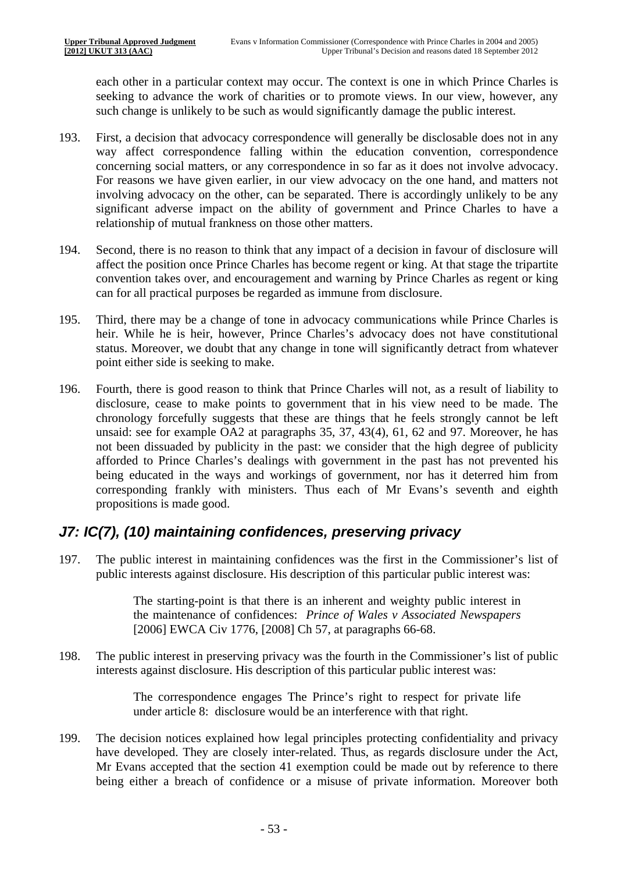each other in a particular context may occur. The context is one in which Prince Charles is seeking to advance the work of charities or to promote views. In our view, however, any such change is unlikely to be such as would significantly damage the public interest.

- 193. First, a decision that advocacy correspondence will generally be disclosable does not in any way affect correspondence falling within the education convention, correspondence concerning social matters, or any correspondence in so far as it does not involve advocacy. For reasons we have given earlier, in our view advocacy on the one hand, and matters not involving advocacy on the other, can be separated. There is accordingly unlikely to be any significant adverse impact on the ability of government and Prince Charles to have a relationship of mutual frankness on those other matters.
- 194. Second, there is no reason to think that any impact of a decision in favour of disclosure will affect the position once Prince Charles has become regent or king. At that stage the tripartite convention takes over, and encouragement and warning by Prince Charles as regent or king can for all practical purposes be regarded as immune from disclosure.
- 195. Third, there may be a change of tone in advocacy communications while Prince Charles is heir. While he is heir, however, Prince Charles's advocacy does not have constitutional status. Moreover, we doubt that any change in tone will significantly detract from whatever point either side is seeking to make.
- 196. Fourth, there is good reason to think that Prince Charles will not, as a result of liability to disclosure, cease to make points to government that in his view need to be made. The chronology forcefully suggests that these are things that he feels strongly cannot be left unsaid: see for example OA2 at paragraphs 35, 37, 43(4), 61, 62 and 97. Moreover, he has not been dissuaded by publicity in the past: we consider that the high degree of publicity afforded to Prince Charles's dealings with government in the past has not prevented his being educated in the ways and workings of government, nor has it deterred him from corresponding frankly with ministers. Thus each of Mr Evans's seventh and eighth propositions is made good.

### *J7: IC(7), (10) maintaining confidences, preserving privacy*

197. The public interest in maintaining confidences was the first in the Commissioner's list of public interests against disclosure. His description of this particular public interest was:

> The starting-point is that there is an inherent and weighty public interest in the maintenance of confidences: *Prince of Wales v Associated Newspapers*  [2006] EWCA Civ 1776, [2008] Ch 57, at paragraphs 66-68.

198. The public interest in preserving privacy was the fourth in the Commissioner's list of public interests against disclosure. His description of this particular public interest was:

> The correspondence engages The Prince's right to respect for private life under article 8: disclosure would be an interference with that right.

199. The decision notices explained how legal principles protecting confidentiality and privacy have developed. They are closely inter-related. Thus, as regards disclosure under the Act, Mr Evans accepted that the section 41 exemption could be made out by reference to there being either a breach of confidence or a misuse of private information. Moreover both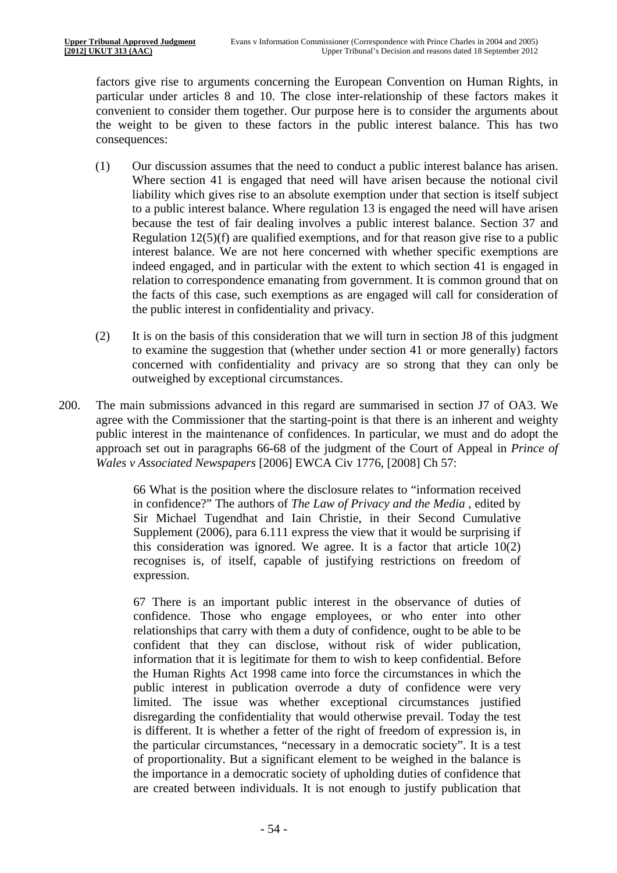factors give rise to arguments concerning the European Convention on Human Rights, in particular under articles 8 and 10. The close inter-relationship of these factors makes it convenient to consider them together. Our purpose here is to consider the arguments about the weight to be given to these factors in the public interest balance. This has two consequences:

- (1) Our discussion assumes that the need to conduct a public interest balance has arisen. Where section 41 is engaged that need will have arisen because the notional civil liability which gives rise to an absolute exemption under that section is itself subject to a public interest balance. Where regulation 13 is engaged the need will have arisen because the test of fair dealing involves a public interest balance. Section 37 and Regulation 12(5)(f) are qualified exemptions, and for that reason give rise to a public interest balance. We are not here concerned with whether specific exemptions are indeed engaged, and in particular with the extent to which section 41 is engaged in relation to correspondence emanating from government. It is common ground that on the facts of this case, such exemptions as are engaged will call for consideration of the public interest in confidentiality and privacy.
- (2) It is on the basis of this consideration that we will turn in section J8 of this judgment to examine the suggestion that (whether under section 41 or more generally) factors concerned with confidentiality and privacy are so strong that they can only be outweighed by exceptional circumstances.
- 200. The main submissions advanced in this regard are summarised in section J7 of OA3. We agree with the Commissioner that the starting-point is that there is an inherent and weighty public interest in the maintenance of confidences. In particular, we must and do adopt the approach set out in paragraphs 66-68 of the judgment of the Court of Appeal in *Prince of Wales v Associated Newspapers* [2006] EWCA Civ 1776, [2008] Ch 57:

66 What is the position where the disclosure relates to "information received in confidence?" The authors of *The Law of Privacy and the Media* , edited by Sir Michael Tugendhat and Iain Christie, in their Second Cumulative Supplement (2006), para 6.111 express the view that it would be surprising if this consideration was ignored. We agree. It is a factor that article  $10(2)$ recognises is, of itself, capable of justifying restrictions on freedom of expression.

67 There is an important public interest in the observance of duties of confidence. Those who engage employees, or who enter into other relationships that carry with them a duty of confidence, ought to be able to be confident that they can disclose, without risk of wider publication, information that it is legitimate for them to wish to keep confidential. Before the Human Rights Act 1998 came into force the circumstances in which the public interest in publication overrode a duty of confidence were very limited. The issue was whether exceptional circumstances justified disregarding the confidentiality that would otherwise prevail. Today the test is different. It is whether a fetter of the right of freedom of expression is, in the particular circumstances, "necessary in a democratic society". It is a test of proportionality. But a significant element to be weighed in the balance is the importance in a democratic society of upholding duties of confidence that are created between individuals. It is not enough to justify publication that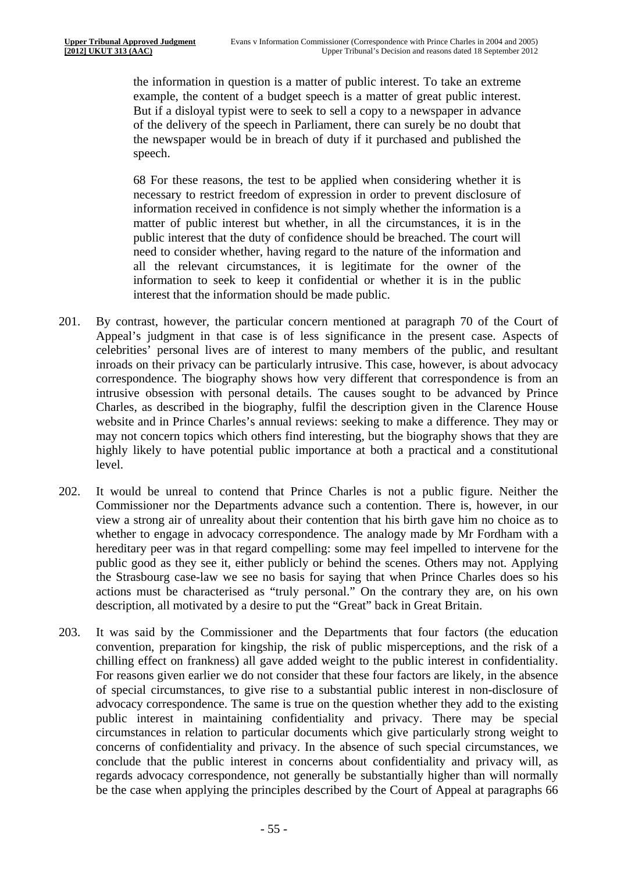the information in question is a matter of public interest. To take an extreme example, the content of a budget speech is a matter of great public interest. But if a disloyal typist were to seek to sell a copy to a newspaper in advance of the delivery of the speech in Parliament, there can surely be no doubt that the newspaper would be in breach of duty if it purchased and published the speech.

68 For these reasons, the test to be applied when considering whether it is necessary to restrict freedom of expression in order to prevent disclosure of information received in confidence is not simply whether the information is a matter of public interest but whether, in all the circumstances, it is in the public interest that the duty of confidence should be breached. The court will need to consider whether, having regard to the nature of the information and all the relevant circumstances, it is legitimate for the owner of the information to seek to keep it confidential or whether it is in the public interest that the information should be made public.

- 201. By contrast, however, the particular concern mentioned at paragraph 70 of the Court of Appeal's judgment in that case is of less significance in the present case. Aspects of celebrities' personal lives are of interest to many members of the public, and resultant inroads on their privacy can be particularly intrusive. This case, however, is about advocacy correspondence. The biography shows how very different that correspondence is from an intrusive obsession with personal details. The causes sought to be advanced by Prince Charles, as described in the biography, fulfil the description given in the Clarence House website and in Prince Charles's annual reviews: seeking to make a difference. They may or may not concern topics which others find interesting, but the biography shows that they are highly likely to have potential public importance at both a practical and a constitutional level.
- 202. It would be unreal to contend that Prince Charles is not a public figure. Neither the Commissioner nor the Departments advance such a contention. There is, however, in our view a strong air of unreality about their contention that his birth gave him no choice as to whether to engage in advocacy correspondence. The analogy made by Mr Fordham with a hereditary peer was in that regard compelling: some may feel impelled to intervene for the public good as they see it, either publicly or behind the scenes. Others may not. Applying the Strasbourg case-law we see no basis for saying that when Prince Charles does so his actions must be characterised as "truly personal." On the contrary they are, on his own description, all motivated by a desire to put the "Great" back in Great Britain.
- 203. It was said by the Commissioner and the Departments that four factors (the education convention, preparation for kingship, the risk of public misperceptions, and the risk of a chilling effect on frankness) all gave added weight to the public interest in confidentiality. For reasons given earlier we do not consider that these four factors are likely, in the absence of special circumstances, to give rise to a substantial public interest in non-disclosure of advocacy correspondence. The same is true on the question whether they add to the existing public interest in maintaining confidentiality and privacy. There may be special circumstances in relation to particular documents which give particularly strong weight to concerns of confidentiality and privacy. In the absence of such special circumstances, we conclude that the public interest in concerns about confidentiality and privacy will, as regards advocacy correspondence, not generally be substantially higher than will normally be the case when applying the principles described by the Court of Appeal at paragraphs 66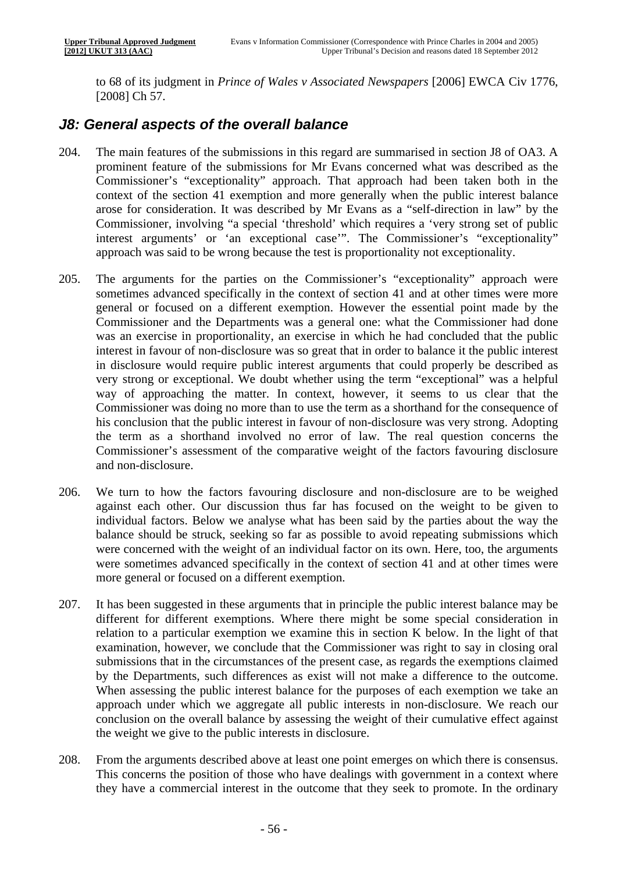to 68 of its judgment in *Prince of Wales v Associated Newspapers* [2006] EWCA Civ 1776, [2008] Ch 57.

#### *J8: General aspects of the overall balance*

- 204. The main features of the submissions in this regard are summarised in section J8 of OA3. A prominent feature of the submissions for Mr Evans concerned what was described as the Commissioner's "exceptionality" approach. That approach had been taken both in the context of the section 41 exemption and more generally when the public interest balance arose for consideration. It was described by Mr Evans as a "self-direction in law" by the Commissioner, involving "a special 'threshold' which requires a 'very strong set of public interest arguments' or 'an exceptional case'". The Commissioner's "exceptionality" approach was said to be wrong because the test is proportionality not exceptionality.
- 205. The arguments for the parties on the Commissioner's "exceptionality" approach were sometimes advanced specifically in the context of section 41 and at other times were more general or focused on a different exemption. However the essential point made by the Commissioner and the Departments was a general one: what the Commissioner had done was an exercise in proportionality, an exercise in which he had concluded that the public interest in favour of non-disclosure was so great that in order to balance it the public interest in disclosure would require public interest arguments that could properly be described as very strong or exceptional. We doubt whether using the term "exceptional" was a helpful way of approaching the matter. In context, however, it seems to us clear that the Commissioner was doing no more than to use the term as a shorthand for the consequence of his conclusion that the public interest in favour of non-disclosure was very strong. Adopting the term as a shorthand involved no error of law. The real question concerns the Commissioner's assessment of the comparative weight of the factors favouring disclosure and non-disclosure.
- 206. We turn to how the factors favouring disclosure and non-disclosure are to be weighed against each other. Our discussion thus far has focused on the weight to be given to individual factors. Below we analyse what has been said by the parties about the way the balance should be struck, seeking so far as possible to avoid repeating submissions which were concerned with the weight of an individual factor on its own. Here, too, the arguments were sometimes advanced specifically in the context of section 41 and at other times were more general or focused on a different exemption.
- 207. It has been suggested in these arguments that in principle the public interest balance may be different for different exemptions. Where there might be some special consideration in relation to a particular exemption we examine this in section K below. In the light of that examination, however, we conclude that the Commissioner was right to say in closing oral submissions that in the circumstances of the present case, as regards the exemptions claimed by the Departments, such differences as exist will not make a difference to the outcome. When assessing the public interest balance for the purposes of each exemption we take an approach under which we aggregate all public interests in non-disclosure. We reach our conclusion on the overall balance by assessing the weight of their cumulative effect against the weight we give to the public interests in disclosure.
- 208. From the arguments described above at least one point emerges on which there is consensus. This concerns the position of those who have dealings with government in a context where they have a commercial interest in the outcome that they seek to promote. In the ordinary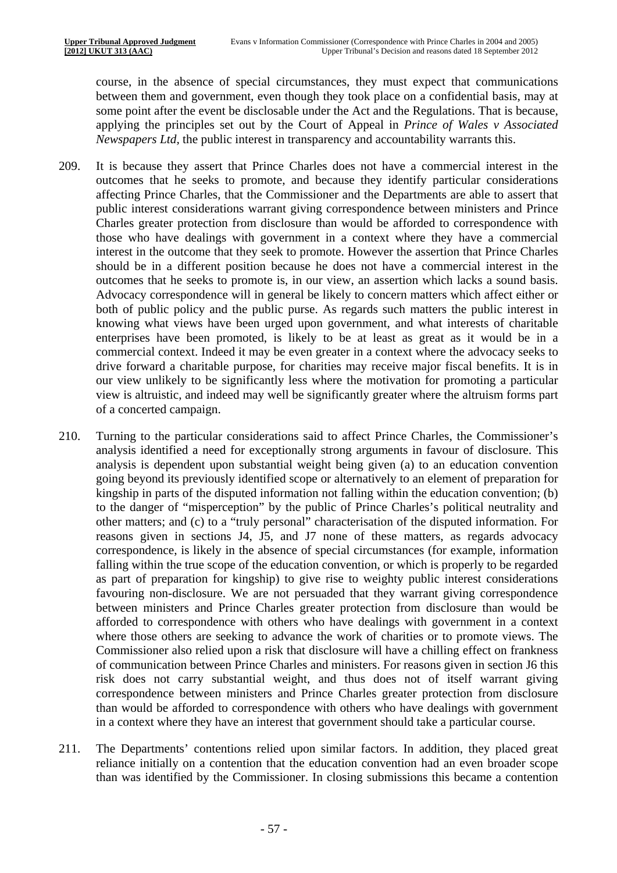course, in the absence of special circumstances, they must expect that communications between them and government, even though they took place on a confidential basis, may at some point after the event be disclosable under the Act and the Regulations. That is because, applying the principles set out by the Court of Appeal in *Prince of Wales v Associated Newspapers Ltd,* the public interest in transparency and accountability warrants this.

- 209. It is because they assert that Prince Charles does not have a commercial interest in the outcomes that he seeks to promote, and because they identify particular considerations affecting Prince Charles, that the Commissioner and the Departments are able to assert that public interest considerations warrant giving correspondence between ministers and Prince Charles greater protection from disclosure than would be afforded to correspondence with those who have dealings with government in a context where they have a commercial interest in the outcome that they seek to promote. However the assertion that Prince Charles should be in a different position because he does not have a commercial interest in the outcomes that he seeks to promote is, in our view, an assertion which lacks a sound basis. Advocacy correspondence will in general be likely to concern matters which affect either or both of public policy and the public purse. As regards such matters the public interest in knowing what views have been urged upon government, and what interests of charitable enterprises have been promoted, is likely to be at least as great as it would be in a commercial context. Indeed it may be even greater in a context where the advocacy seeks to drive forward a charitable purpose, for charities may receive major fiscal benefits. It is in our view unlikely to be significantly less where the motivation for promoting a particular view is altruistic, and indeed may well be significantly greater where the altruism forms part of a concerted campaign.
- 210. Turning to the particular considerations said to affect Prince Charles, the Commissioner's analysis identified a need for exceptionally strong arguments in favour of disclosure. This analysis is dependent upon substantial weight being given (a) to an education convention going beyond its previously identified scope or alternatively to an element of preparation for kingship in parts of the disputed information not falling within the education convention; (b) to the danger of "misperception" by the public of Prince Charles's political neutrality and other matters; and (c) to a "truly personal" characterisation of the disputed information. For reasons given in sections J4, J5, and J7 none of these matters, as regards advocacy correspondence, is likely in the absence of special circumstances (for example, information falling within the true scope of the education convention, or which is properly to be regarded as part of preparation for kingship) to give rise to weighty public interest considerations favouring non-disclosure. We are not persuaded that they warrant giving correspondence between ministers and Prince Charles greater protection from disclosure than would be afforded to correspondence with others who have dealings with government in a context where those others are seeking to advance the work of charities or to promote views. The Commissioner also relied upon a risk that disclosure will have a chilling effect on frankness of communication between Prince Charles and ministers. For reasons given in section J6 this risk does not carry substantial weight, and thus does not of itself warrant giving correspondence between ministers and Prince Charles greater protection from disclosure than would be afforded to correspondence with others who have dealings with government in a context where they have an interest that government should take a particular course.
- 211. The Departments' contentions relied upon similar factors. In addition, they placed great reliance initially on a contention that the education convention had an even broader scope than was identified by the Commissioner. In closing submissions this became a contention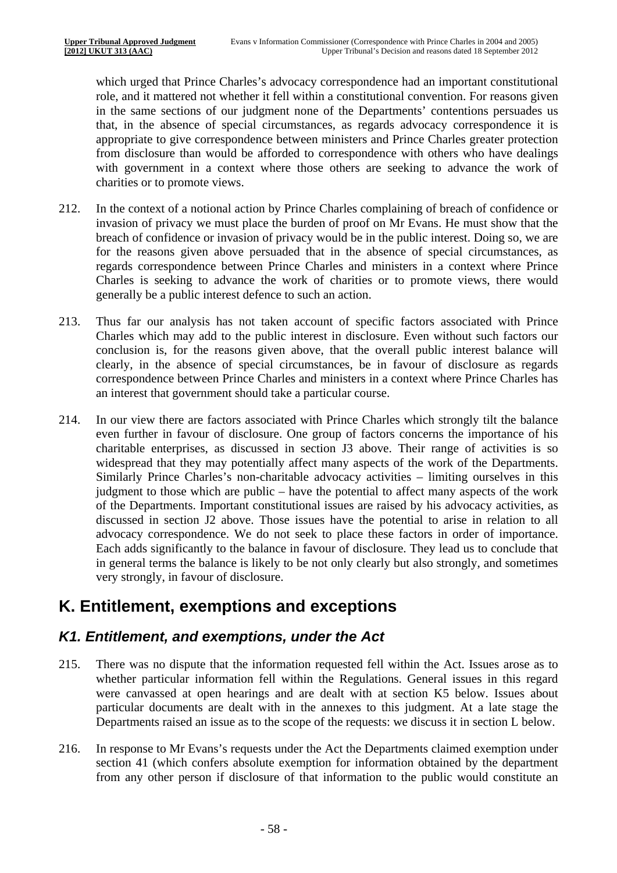which urged that Prince Charles's advocacy correspondence had an important constitutional role, and it mattered not whether it fell within a constitutional convention. For reasons given in the same sections of our judgment none of the Departments' contentions persuades us that, in the absence of special circumstances, as regards advocacy correspondence it is appropriate to give correspondence between ministers and Prince Charles greater protection from disclosure than would be afforded to correspondence with others who have dealings with government in a context where those others are seeking to advance the work of charities or to promote views.

- 212. In the context of a notional action by Prince Charles complaining of breach of confidence or invasion of privacy we must place the burden of proof on Mr Evans. He must show that the breach of confidence or invasion of privacy would be in the public interest. Doing so, we are for the reasons given above persuaded that in the absence of special circumstances, as regards correspondence between Prince Charles and ministers in a context where Prince Charles is seeking to advance the work of charities or to promote views, there would generally be a public interest defence to such an action.
- 213. Thus far our analysis has not taken account of specific factors associated with Prince Charles which may add to the public interest in disclosure. Even without such factors our conclusion is, for the reasons given above, that the overall public interest balance will clearly, in the absence of special circumstances, be in favour of disclosure as regards correspondence between Prince Charles and ministers in a context where Prince Charles has an interest that government should take a particular course.
- 214. In our view there are factors associated with Prince Charles which strongly tilt the balance even further in favour of disclosure. One group of factors concerns the importance of his charitable enterprises, as discussed in section J3 above. Their range of activities is so widespread that they may potentially affect many aspects of the work of the Departments. Similarly Prince Charles's non-charitable advocacy activities – limiting ourselves in this judgment to those which are public – have the potential to affect many aspects of the work of the Departments. Important constitutional issues are raised by his advocacy activities, as discussed in section J2 above. Those issues have the potential to arise in relation to all advocacy correspondence. We do not seek to place these factors in order of importance. Each adds significantly to the balance in favour of disclosure. They lead us to conclude that in general terms the balance is likely to be not only clearly but also strongly, and sometimes very strongly, in favour of disclosure.

## **K. Entitlement, exemptions and exceptions**

#### *K1. Entitlement, and exemptions, under the Act*

- 215. There was no dispute that the information requested fell within the Act. Issues arose as to whether particular information fell within the Regulations. General issues in this regard were canvassed at open hearings and are dealt with at section K5 below. Issues about particular documents are dealt with in the annexes to this judgment. At a late stage the Departments raised an issue as to the scope of the requests: we discuss it in section L below.
- 216. In response to Mr Evans's requests under the Act the Departments claimed exemption under section 41 (which confers absolute exemption for information obtained by the department from any other person if disclosure of that information to the public would constitute an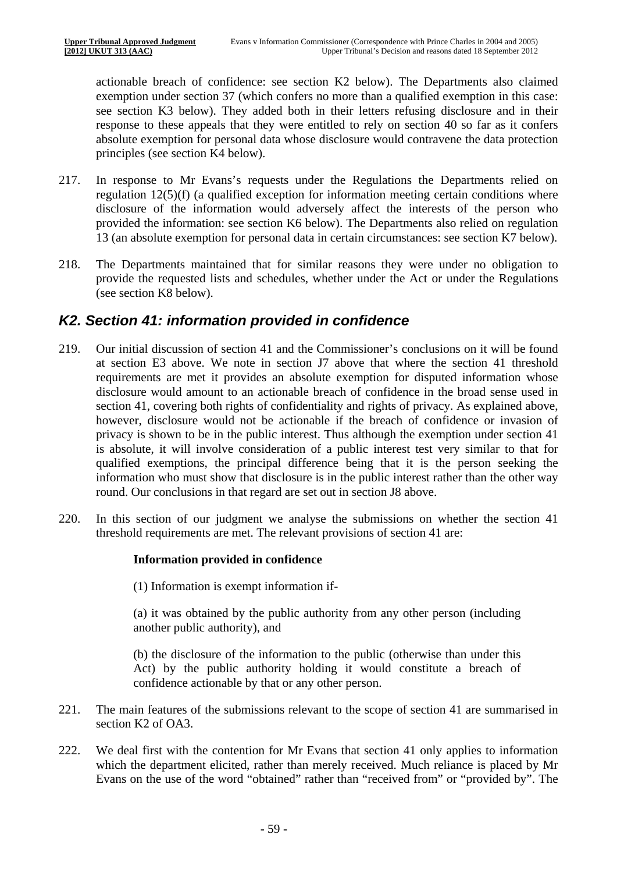actionable breach of confidence: see section K2 below). The Departments also claimed exemption under section 37 (which confers no more than a qualified exemption in this case: see section K3 below). They added both in their letters refusing disclosure and in their response to these appeals that they were entitled to rely on section 40 so far as it confers absolute exemption for personal data whose disclosure would contravene the data protection principles (see section K4 below).

- 217. In response to Mr Evans's requests under the Regulations the Departments relied on regulation 12(5)(f) (a qualified exception for information meeting certain conditions where disclosure of the information would adversely affect the interests of the person who provided the information: see section K6 below). The Departments also relied on regulation 13 (an absolute exemption for personal data in certain circumstances: see section K7 below).
- 218. The Departments maintained that for similar reasons they were under no obligation to provide the requested lists and schedules, whether under the Act or under the Regulations (see section K8 below).

#### *K2. Section 41: information provided in confidence*

- 219. Our initial discussion of section 41 and the Commissioner's conclusions on it will be found at section E3 above. We note in section J7 above that where the section 41 threshold requirements are met it provides an absolute exemption for disputed information whose disclosure would amount to an actionable breach of confidence in the broad sense used in section 41, covering both rights of confidentiality and rights of privacy. As explained above, however, disclosure would not be actionable if the breach of confidence or invasion of privacy is shown to be in the public interest. Thus although the exemption under section 41 is absolute, it will involve consideration of a public interest test very similar to that for qualified exemptions, the principal difference being that it is the person seeking the information who must show that disclosure is in the public interest rather than the other way round. Our conclusions in that regard are set out in section J8 above.
- 220. In this section of our judgment we analyse the submissions on whether the section 41 threshold requirements are met. The relevant provisions of section 41 are:

#### **Information provided in confidence**

(1) Information is exempt information if-

(a) it was obtained by the public authority from any other person (including another public authority), and

(b) the disclosure of the information to the public (otherwise than under this Act) by the public authority holding it would constitute a breach of confidence actionable by that or any other person.

- 221. The main features of the submissions relevant to the scope of section 41 are summarised in section K2 of OA3.
- 222. We deal first with the contention for Mr Evans that section 41 only applies to information which the department elicited, rather than merely received. Much reliance is placed by Mr Evans on the use of the word "obtained" rather than "received from" or "provided by". The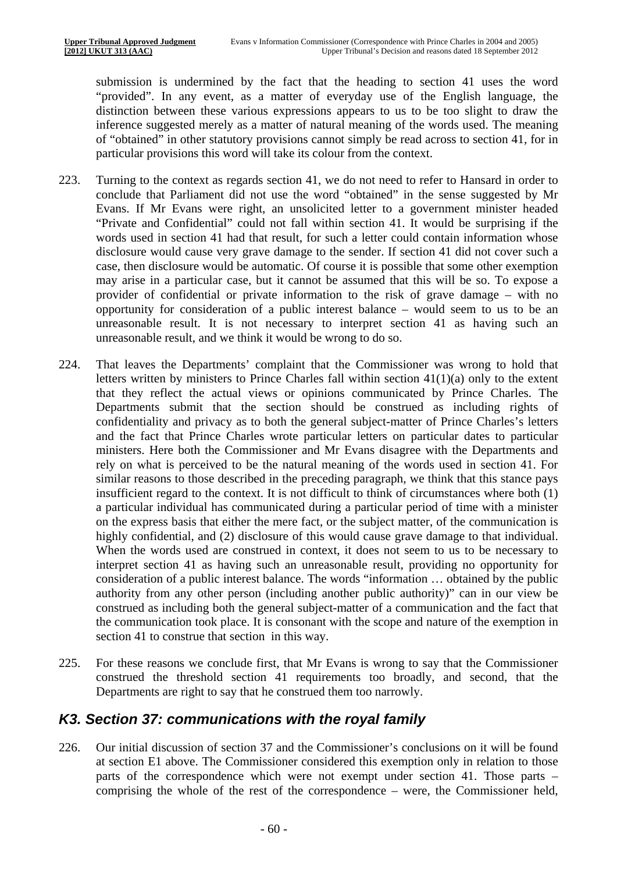submission is undermined by the fact that the heading to section 41 uses the word "provided". In any event, as a matter of everyday use of the English language, the distinction between these various expressions appears to us to be too slight to draw the inference suggested merely as a matter of natural meaning of the words used. The meaning of "obtained" in other statutory provisions cannot simply be read across to section 41, for in particular provisions this word will take its colour from the context.

- 223. Turning to the context as regards section 41, we do not need to refer to Hansard in order to conclude that Parliament did not use the word "obtained" in the sense suggested by Mr Evans. If Mr Evans were right, an unsolicited letter to a government minister headed "Private and Confidential" could not fall within section 41. It would be surprising if the words used in section 41 had that result, for such a letter could contain information whose disclosure would cause very grave damage to the sender. If section 41 did not cover such a case, then disclosure would be automatic. Of course it is possible that some other exemption may arise in a particular case, but it cannot be assumed that this will be so. To expose a provider of confidential or private information to the risk of grave damage – with no opportunity for consideration of a public interest balance – would seem to us to be an unreasonable result. It is not necessary to interpret section 41 as having such an unreasonable result, and we think it would be wrong to do so.
- 224. That leaves the Departments' complaint that the Commissioner was wrong to hold that letters written by ministers to Prince Charles fall within section  $41(1)(a)$  only to the extent that they reflect the actual views or opinions communicated by Prince Charles. The Departments submit that the section should be construed as including rights of confidentiality and privacy as to both the general subject-matter of Prince Charles's letters and the fact that Prince Charles wrote particular letters on particular dates to particular ministers. Here both the Commissioner and Mr Evans disagree with the Departments and rely on what is perceived to be the natural meaning of the words used in section 41. For similar reasons to those described in the preceding paragraph, we think that this stance pays insufficient regard to the context. It is not difficult to think of circumstances where both (1) a particular individual has communicated during a particular period of time with a minister on the express basis that either the mere fact, or the subject matter, of the communication is highly confidential, and (2) disclosure of this would cause grave damage to that individual. When the words used are construed in context, it does not seem to us to be necessary to interpret section 41 as having such an unreasonable result, providing no opportunity for consideration of a public interest balance. The words "information … obtained by the public authority from any other person (including another public authority)" can in our view be construed as including both the general subject-matter of a communication and the fact that the communication took place. It is consonant with the scope and nature of the exemption in section 41 to construe that section in this way.
- 225. For these reasons we conclude first, that Mr Evans is wrong to say that the Commissioner construed the threshold section 41 requirements too broadly, and second, that the Departments are right to say that he construed them too narrowly.

#### *K3. Section 37: communications with the royal family*

226. Our initial discussion of section 37 and the Commissioner's conclusions on it will be found at section E1 above. The Commissioner considered this exemption only in relation to those parts of the correspondence which were not exempt under section 41. Those parts – comprising the whole of the rest of the correspondence – were, the Commissioner held,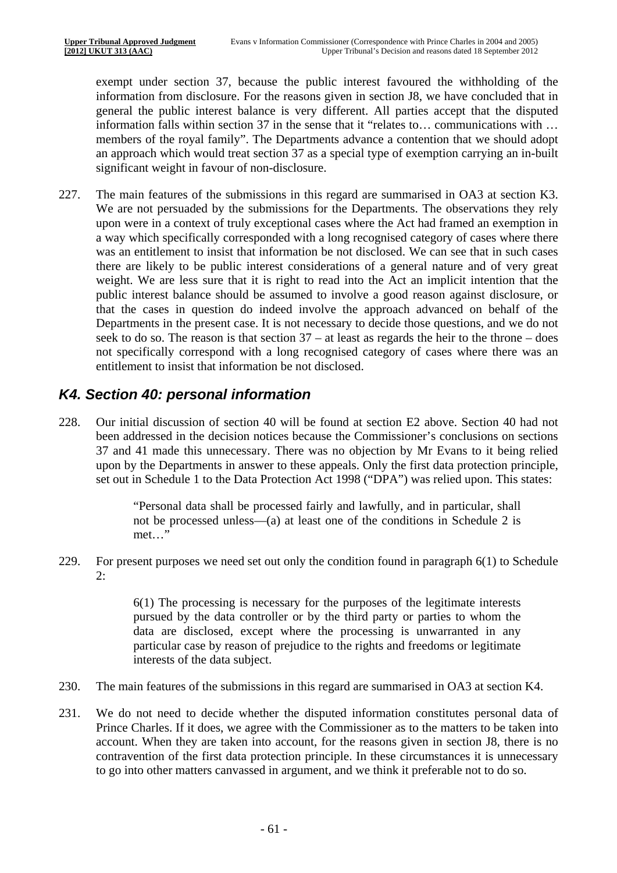exempt under section 37, because the public interest favoured the withholding of the information from disclosure. For the reasons given in section J8, we have concluded that in general the public interest balance is very different. All parties accept that the disputed information falls within section 37 in the sense that it "relates to… communications with … members of the royal family". The Departments advance a contention that we should adopt an approach which would treat section 37 as a special type of exemption carrying an in-built significant weight in favour of non-disclosure.

227. The main features of the submissions in this regard are summarised in OA3 at section K3. We are not persuaded by the submissions for the Departments. The observations they rely upon were in a context of truly exceptional cases where the Act had framed an exemption in a way which specifically corresponded with a long recognised category of cases where there was an entitlement to insist that information be not disclosed. We can see that in such cases there are likely to be public interest considerations of a general nature and of very great weight. We are less sure that it is right to read into the Act an implicit intention that the public interest balance should be assumed to involve a good reason against disclosure, or that the cases in question do indeed involve the approach advanced on behalf of the Departments in the present case. It is not necessary to decide those questions, and we do not seek to do so. The reason is that section 37 – at least as regards the heir to the throne – does not specifically correspond with a long recognised category of cases where there was an entitlement to insist that information be not disclosed.

### *K4. Section 40: personal information*

228. Our initial discussion of section 40 will be found at section E2 above. Section 40 had not been addressed in the decision notices because the Commissioner's conclusions on sections 37 and 41 made this unnecessary. There was no objection by Mr Evans to it being relied upon by the Departments in answer to these appeals. Only the first data protection principle, set out in Schedule 1 to the Data Protection Act 1998 ("DPA") was relied upon. This states:

> "Personal data shall be processed fairly and lawfully, and in particular, shall not be processed unless—(a) at least one of the conditions in Schedule 2 is met…"

229. For present purposes we need set out only the condition found in paragraph 6(1) to Schedule  $2:$ 

> 6(1) The processing is necessary for the purposes of the legitimate interests pursued by the data controller or by the third party or parties to whom the data are disclosed, except where the processing is unwarranted in any particular case by reason of prejudice to the rights and freedoms or legitimate interests of the data subject.

- 230. The main features of the submissions in this regard are summarised in OA3 at section K4.
- 231. We do not need to decide whether the disputed information constitutes personal data of Prince Charles. If it does, we agree with the Commissioner as to the matters to be taken into account. When they are taken into account, for the reasons given in section J8, there is no contravention of the first data protection principle. In these circumstances it is unnecessary to go into other matters canvassed in argument, and we think it preferable not to do so.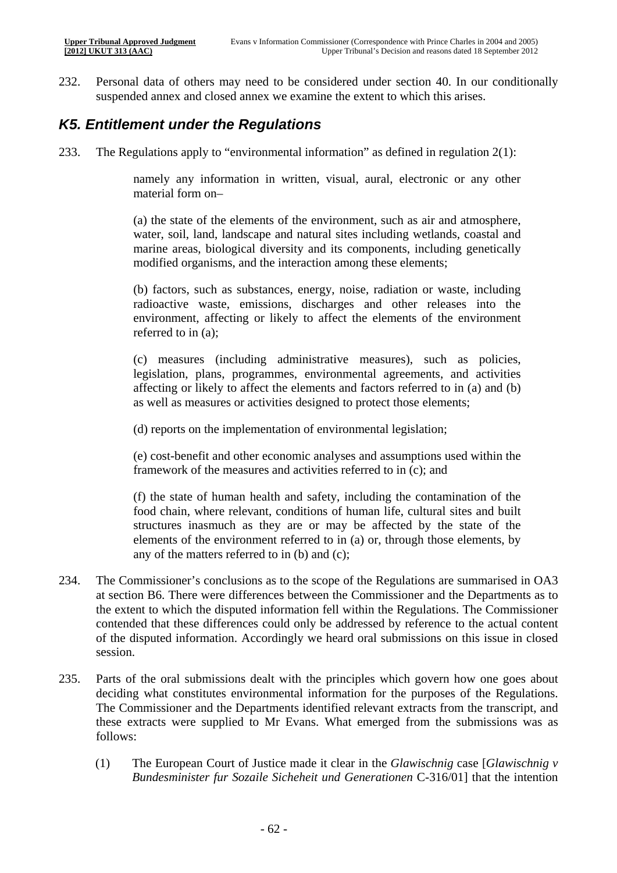232. Personal data of others may need to be considered under section 40. In our conditionally suspended annex and closed annex we examine the extent to which this arises.

#### *K5. Entitlement under the Regulations*

233. The Regulations apply to "environmental information" as defined in regulation  $2(1)$ :

namely any information in written, visual, aural, electronic or any other material form on–

(a) the state of the elements of the environment, such as air and atmosphere, water, soil, land, landscape and natural sites including wetlands, coastal and marine areas, biological diversity and its components, including genetically modified organisms, and the interaction among these elements;

(b) factors, such as substances, energy, noise, radiation or waste, including radioactive waste, emissions, discharges and other releases into the environment, affecting or likely to affect the elements of the environment referred to in (a);

(c) measures (including administrative measures), such as policies, legislation, plans, programmes, environmental agreements, and activities affecting or likely to affect the elements and factors referred to in (a) and (b) as well as measures or activities designed to protect those elements;

(d) reports on the implementation of environmental legislation;

(e) cost-benefit and other economic analyses and assumptions used within the framework of the measures and activities referred to in (c); and

(f) the state of human health and safety, including the contamination of the food chain, where relevant, conditions of human life, cultural sites and built structures inasmuch as they are or may be affected by the state of the elements of the environment referred to in (a) or, through those elements, by any of the matters referred to in (b) and (c);

- 234. The Commissioner's conclusions as to the scope of the Regulations are summarised in OA3 at section B6. There were differences between the Commissioner and the Departments as to the extent to which the disputed information fell within the Regulations. The Commissioner contended that these differences could only be addressed by reference to the actual content of the disputed information. Accordingly we heard oral submissions on this issue in closed session.
- 235. Parts of the oral submissions dealt with the principles which govern how one goes about deciding what constitutes environmental information for the purposes of the Regulations. The Commissioner and the Departments identified relevant extracts from the transcript, and these extracts were supplied to Mr Evans. What emerged from the submissions was as follows:
	- (1) The European Court of Justice made it clear in the *Glawischnig* case [*Glawischnig v Bundesminister fur Sozaile Sicheheit und Generationen* C-316/01] that the intention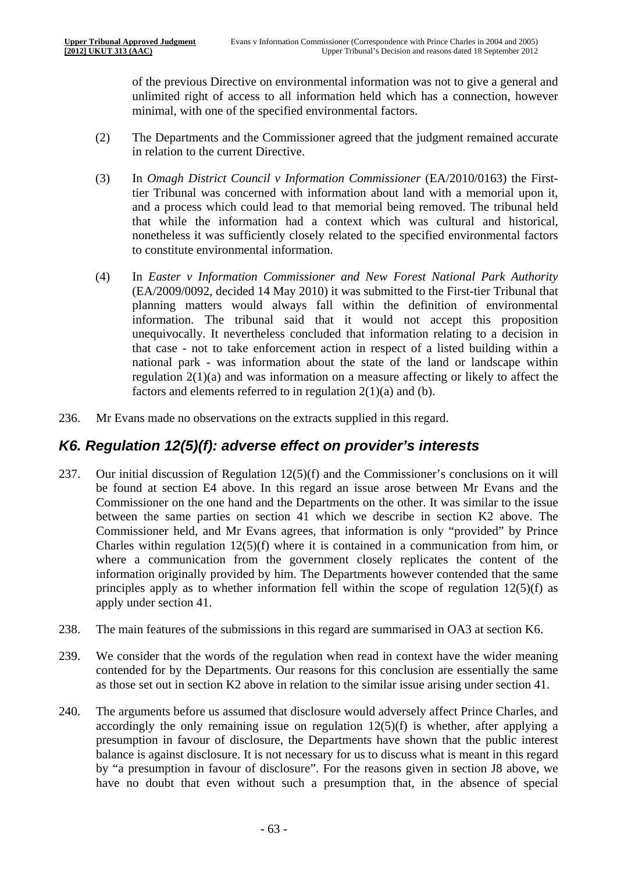of the previous Directive on environmental information was not to give a general and unlimited right of access to all information held which has a connection, however minimal, with one of the specified environmental factors.

- (2) The Departments and the Commissioner agreed that the judgment remained accurate in relation to the current Directive.
- (3) In *Omagh District Council v Information Commissioner* (EA/2010/0163) the Firsttier Tribunal was concerned with information about land with a memorial upon it, and a process which could lead to that memorial being removed. The tribunal held that while the information had a context which was cultural and historical, nonetheless it was sufficiently closely related to the specified environmental factors to constitute environmental information.
- (4) In *Easter v Information Commissioner and New Forest National Park Authority*  (EA/2009/0092, decided 14 May 2010) it was submitted to the First-tier Tribunal that planning matters would always fall within the definition of environmental information. The tribunal said that it would not accept this proposition unequivocally. It nevertheless concluded that information relating to a decision in that case - not to take enforcement action in respect of a listed building within a national park - was information about the state of the land or landscape within regulation  $2(1)(a)$  and was information on a measure affecting or likely to affect the factors and elements referred to in regulation 2(1)(a) and (b).
- 236. Mr Evans made no observations on the extracts supplied in this regard.

#### *K6. Regulation 12(5)(f): adverse effect on provider's interests*

- 237. Our initial discussion of Regulation  $12(5)(f)$  and the Commissioner's conclusions on it will be found at section E4 above. In this regard an issue arose between Mr Evans and the Commissioner on the one hand and the Departments on the other. It was similar to the issue between the same parties on section 41 which we describe in section K2 above. The Commissioner held, and Mr Evans agrees, that information is only "provided" by Prince Charles within regulation 12(5)(f) where it is contained in a communication from him, or where a communication from the government closely replicates the content of the information originally provided by him. The Departments however contended that the same principles apply as to whether information fell within the scope of regulation 12(5)(f) as apply under section 41.
- 238. The main features of the submissions in this regard are summarised in OA3 at section K6.
- 239. We consider that the words of the regulation when read in context have the wider meaning contended for by the Departments. Our reasons for this conclusion are essentially the same as those set out in section K2 above in relation to the similar issue arising under section 41.
- 240. The arguments before us assumed that disclosure would adversely affect Prince Charles, and accordingly the only remaining issue on regulation  $12(5)(f)$  is whether, after applying a presumption in favour of disclosure, the Departments have shown that the public interest balance is against disclosure. It is not necessary for us to discuss what is meant in this regard by "a presumption in favour of disclosure". For the reasons given in section J8 above, we have no doubt that even without such a presumption that, in the absence of special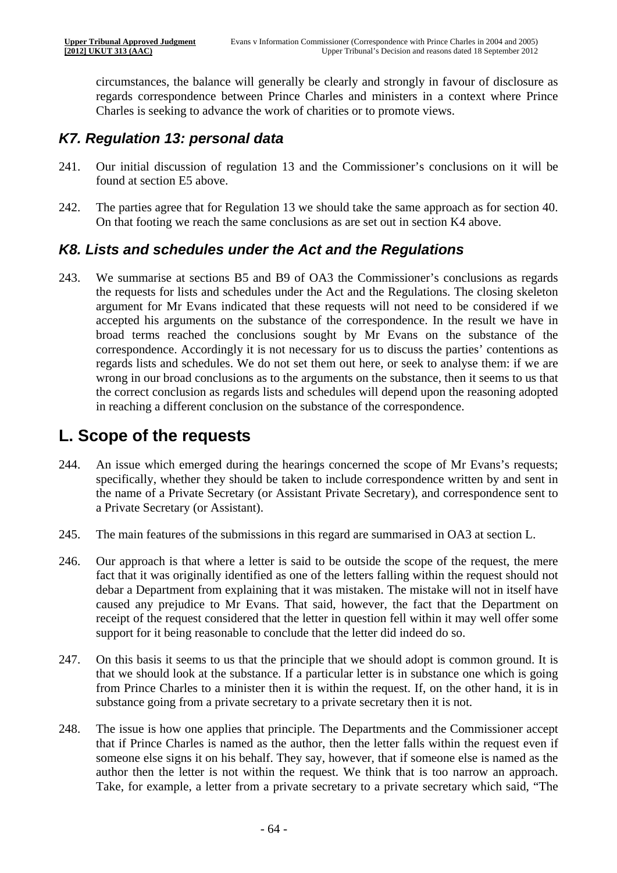circumstances, the balance will generally be clearly and strongly in favour of disclosure as regards correspondence between Prince Charles and ministers in a context where Prince Charles is seeking to advance the work of charities or to promote views.

### *K7. Regulation 13: personal data*

- 241. Our initial discussion of regulation 13 and the Commissioner's conclusions on it will be found at section E5 above.
- 242. The parties agree that for Regulation 13 we should take the same approach as for section 40. On that footing we reach the same conclusions as are set out in section K4 above.

#### *K8. Lists and schedules under the Act and the Regulations*

243. We summarise at sections B5 and B9 of OA3 the Commissioner's conclusions as regards the requests for lists and schedules under the Act and the Regulations. The closing skeleton argument for Mr Evans indicated that these requests will not need to be considered if we accepted his arguments on the substance of the correspondence. In the result we have in broad terms reached the conclusions sought by Mr Evans on the substance of the correspondence. Accordingly it is not necessary for us to discuss the parties' contentions as regards lists and schedules. We do not set them out here, or seek to analyse them: if we are wrong in our broad conclusions as to the arguments on the substance, then it seems to us that the correct conclusion as regards lists and schedules will depend upon the reasoning adopted in reaching a different conclusion on the substance of the correspondence.

## **L. Scope of the requests**

- 244. An issue which emerged during the hearings concerned the scope of Mr Evans's requests; specifically, whether they should be taken to include correspondence written by and sent in the name of a Private Secretary (or Assistant Private Secretary), and correspondence sent to a Private Secretary (or Assistant).
- 245. The main features of the submissions in this regard are summarised in OA3 at section L.
- 246. Our approach is that where a letter is said to be outside the scope of the request, the mere fact that it was originally identified as one of the letters falling within the request should not debar a Department from explaining that it was mistaken. The mistake will not in itself have caused any prejudice to Mr Evans. That said, however, the fact that the Department on receipt of the request considered that the letter in question fell within it may well offer some support for it being reasonable to conclude that the letter did indeed do so.
- 247. On this basis it seems to us that the principle that we should adopt is common ground. It is that we should look at the substance. If a particular letter is in substance one which is going from Prince Charles to a minister then it is within the request. If, on the other hand, it is in substance going from a private secretary to a private secretary then it is not.
- 248. The issue is how one applies that principle. The Departments and the Commissioner accept that if Prince Charles is named as the author, then the letter falls within the request even if someone else signs it on his behalf. They say, however, that if someone else is named as the author then the letter is not within the request. We think that is too narrow an approach. Take, for example, a letter from a private secretary to a private secretary which said, "The